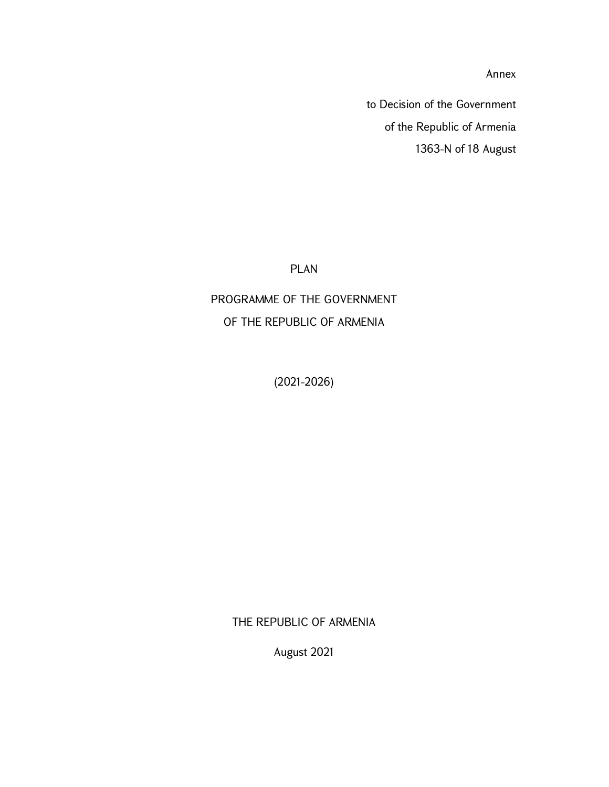Annex

to Decision of the Government of the Republic of Armenia 1363-N of 18 August

PLAN

PROGRAMME OF THE GOVERNMENT OF THE REPUBLIC OF ARMENIA

(2021-2026)

THE REPUBLIC OF ARMENIA

August 2021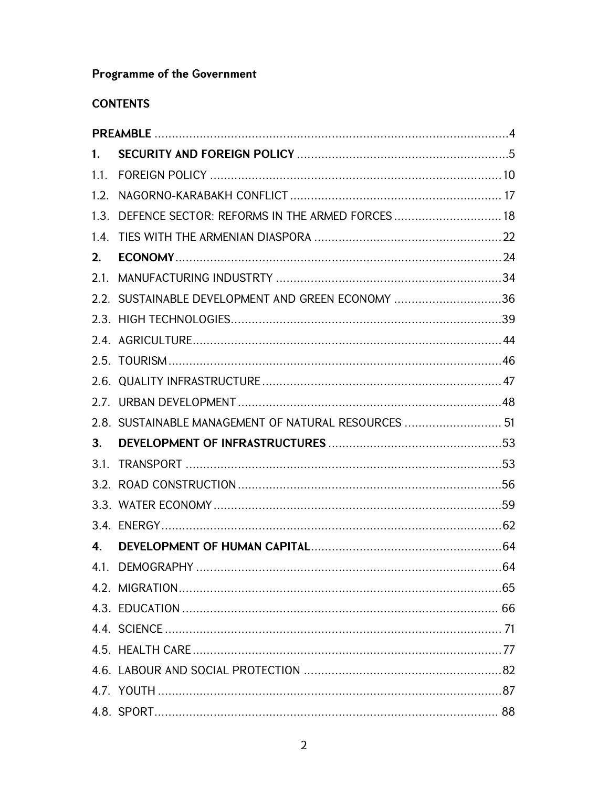# **Programme of the Government**

## **CONTENTS**

| 1.   |                                                      |    |
|------|------------------------------------------------------|----|
| 1.1. |                                                      |    |
| 1.2. |                                                      |    |
|      | 1.3. DEFENCE SECTOR: REFORMS IN THE ARMED FORCES  18 |    |
|      |                                                      |    |
| 2.   |                                                      |    |
|      |                                                      |    |
|      | 2.2. SUSTAINABLE DEVELOPMENT AND GREEN ECONOMY 36    |    |
|      |                                                      |    |
|      |                                                      |    |
|      |                                                      |    |
|      |                                                      |    |
|      |                                                      |    |
|      | 2.8. SUSTAINABLE MANAGEMENT OF NATURAL RESOURCES  51 |    |
| 3.   |                                                      |    |
|      |                                                      |    |
|      |                                                      |    |
|      |                                                      |    |
|      |                                                      |    |
| 4.   |                                                      |    |
|      |                                                      |    |
|      |                                                      |    |
|      |                                                      |    |
|      |                                                      |    |
|      |                                                      |    |
|      |                                                      |    |
|      |                                                      |    |
|      |                                                      | 88 |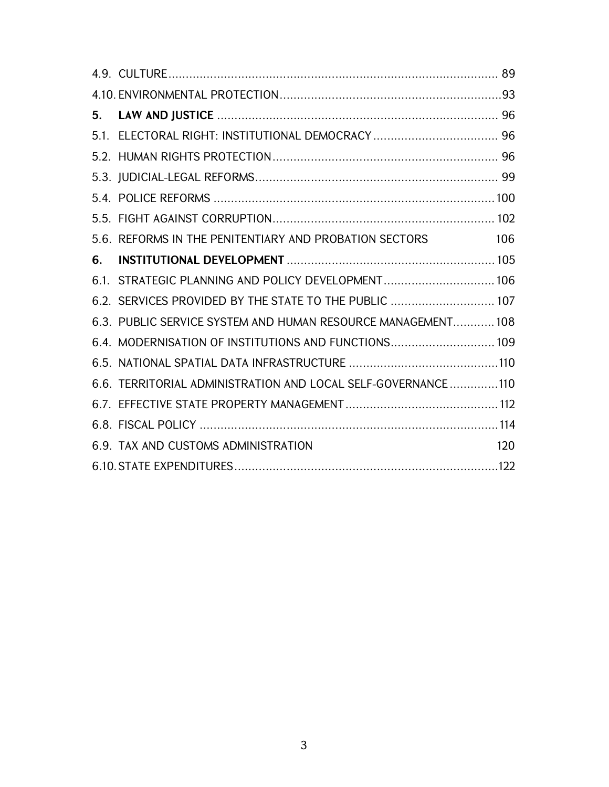| 5. |                                                               |
|----|---------------------------------------------------------------|
|    |                                                               |
|    |                                                               |
|    |                                                               |
|    |                                                               |
|    |                                                               |
|    | 106<br>5.6. REFORMS IN THE PENITENTIARY AND PROBATION SECTORS |
| 6. |                                                               |
|    | 6.1. STRATEGIC PLANNING AND POLICY DEVELOPMENT 106            |
|    | 6.2. SERVICES PROVIDED BY THE STATE TO THE PUBLIC  107        |
|    | 6.3. PUBLIC SERVICE SYSTEM AND HUMAN RESOURCE MANAGEMENT 108  |
|    | 6.4. MODERNISATION OF INSTITUTIONS AND FUNCTIONS 109          |
|    |                                                               |
|    | 6.6. TERRITORIAL ADMINISTRATION AND LOCAL SELF-GOVERNANCE110  |
|    |                                                               |
|    |                                                               |
|    | 6.9. TAX AND CUSTOMS ADMINISTRATION<br>120                    |
|    |                                                               |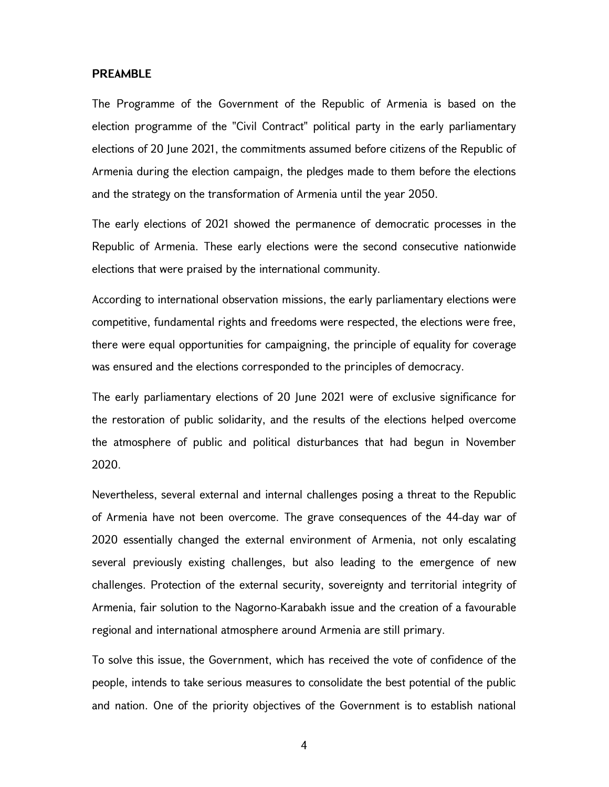#### PREAMBLE

The Programme of the Government of the Republic of Armenia is based on the election programme of the "Civil Contract" political party in the early parliamentary elections of 20 June 2021, the commitments assumed before citizens of the Republic of Armenia during the election campaign, the pledges made to them before the elections and the strategy on the transformation of Armenia until the year 2050.

The early elections of 2021 showed the permanence of democratic processes in the Republic of Armenia. These early elections were the second consecutive nationwide elections that were praised by the international community.

According to international observation missions, the early parliamentary elections were competitive, fundamental rights and freedoms were respected, the elections were free, there were equal opportunities for campaigning, the principle of equality for coverage was ensured and the elections corresponded to the principles of democracy.

The early parliamentary elections of 20 June 2021 were of exclusive significance for the restoration of public solidarity, and the results of the elections helped overcome the atmosphere of public and political disturbances that had begun in November 2020.

Nevertheless, several external and internal challenges posing a threat to the Republic of Armenia have not been overcome. The grave consequences of the 44-day war of 2020 essentially changed the external environment of Armenia, not only escalating several previously existing challenges, but also leading to the emergence of new challenges. Protection of the external security, sovereignty and territorial integrity of Armenia, fair solution to the Nagorno-Karabakh issue and the creation of a favourable regional and international atmosphere around Armenia are still primary.

To solve this issue, the Government, which has received the vote of confidence of the people, intends to take serious measures to consolidate the best potential of the public and nation. One of the priority objectives of the Government is to establish national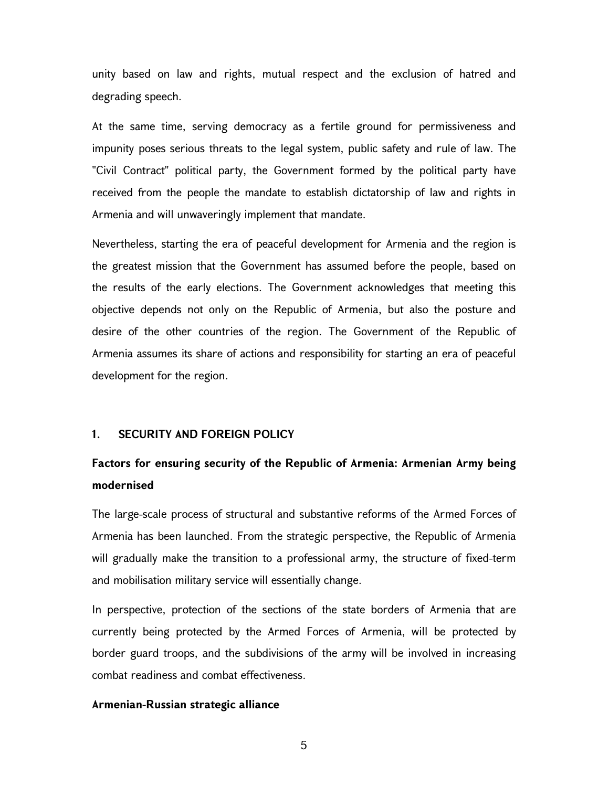unity based on law and rights, mutual respect and the exclusion of hatred and degrading speech.

At the same time, serving democracy as a fertile ground for permissiveness and impunity poses serious threats to the legal system, public safety and rule of law. The "Civil Contract" political party, the Government formed by the political party have received from the people the mandate to establish dictatorship of law and rights in Armenia and will unwaveringly implement that mandate.

Nevertheless, starting the era of peaceful development for Armenia and the region is the greatest mission that the Government has assumed before the people, based on the results of the early elections. The Government acknowledges that meeting this objective depends not only on the Republic of Armenia, but also the posture and desire of the other countries of the region. The Government of the Republic of Armenia assumes its share of actions and responsibility for starting an era of peaceful development for the region.

## 1. SECURITY AND FOREIGN POLICY

## Factors for ensuring security of the Republic of Armenia: Armenian Army being modernised

The large-scale process of structural and substantive reforms of the Armed Forces of Armenia has been launched. From the strategic perspective, the Republic of Armenia will gradually make the transition to a professional army, the structure of fixed-term and mobilisation military service will essentially change.

In perspective, protection of the sections of the state borders of Armenia that are currently being protected by the Armed Forces of Armenia, will be protected by border guard troops, and the subdivisions of the army will be involved in increasing combat readiness and combat effectiveness.

## Armenian-Russian strategic alliance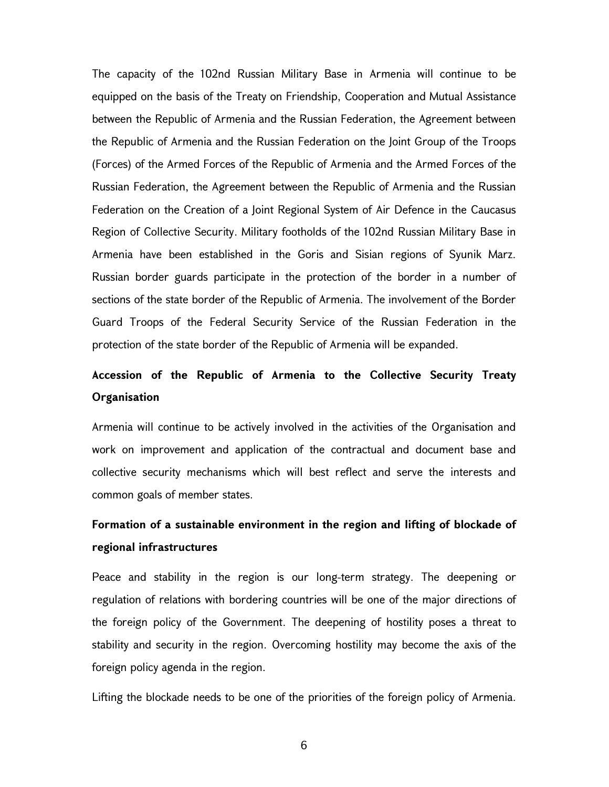The capacity of the 102nd Russian Military Base in Armenia will continue to be equipped on the basis of the Treaty on Friendship, Cooperation and Mutual Assistance between the Republic of Armenia and the Russian Federation, the Agreement between the Republic of Armenia and the Russian Federation on the Joint Group of the Troops (Forces) of the Armed Forces of the Republic of Armenia and the Armed Forces of the Russian Federation, the Agreement between the Republic of Armenia and the Russian Federation on the Creation of a Joint Regional System of Air Defence in the Caucasus Region of Collective Security. Military footholds of the 102nd Russian Military Base in Armenia have been established in the Goris and Sisian regions of Syunik Marz. Russian border guards participate in the protection of the border in a number of sections of the state border of the Republic of Armenia. The involvement of the Border Guard Troops of the Federal Security Service of the Russian Federation in the protection of the state border of the Republic of Armenia will be expanded.

# Accession of the Republic of Armenia to the Collective Security Treaty **Organisation**

Armenia will continue to be actively involved in the activities of the Organisation and work on improvement and application of the contractual and document base and collective security mechanisms which will best reflect and serve the interests and common goals of member states.

# Formation of a sustainable environment in the region and lifting of blockade of regional infrastructures

Peace and stability in the region is our long-term strategy. The deepening or regulation of relations with bordering countries will be one of the major directions of the foreign policy of the Government. The deepening of hostility poses a threat to stability and security in the region. Overcoming hostility may become the axis of the foreign policy agenda in the region.

Lifting the blockade needs to be one of the priorities of the foreign policy of Armenia.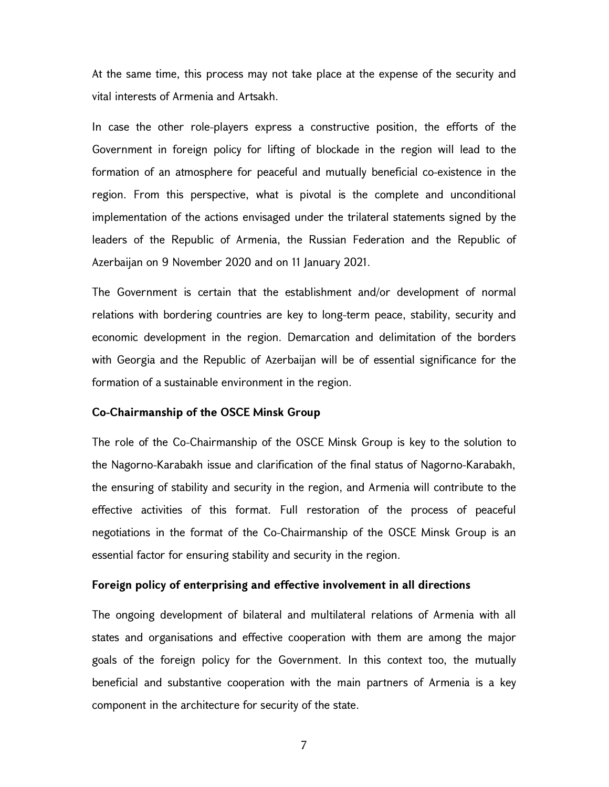At the same time, this process may not take place at the expense of the security and vital interests of Armenia and Artsakh.

In case the other role-players express a constructive position, the efforts of the Government in foreign policy for lifting of blockade in the region will lead to the formation of an atmosphere for peaceful and mutually beneficial co-existence in the region. From this perspective, what is pivotal is the complete and unconditional implementation of the actions envisaged under the trilateral statements signed by the leaders of the Republic of Armenia, the Russian Federation and the Republic of Azerbaijan on 9 November 2020 and on 11 January 2021.

The Government is certain that the establishment and/or development of normal relations with bordering countries are key to long-term peace, stability, security and economic development in the region. Demarcation and delimitation of the borders with Georgia and the Republic of Azerbaijan will be of essential significance for the formation of a sustainable environment in the region.

#### Co-Chairmanship of the OSCE Minsk Group

The role of the Co-Chairmanship of the OSCE Minsk Group is key to the solution to the Nagorno-Karabakh issue and clarification of the final status of Nagorno-Karabakh, the ensuring of stability and security in the region, and Armenia will contribute to the effective activities of this format. Full restoration of the process of peaceful negotiations in the format of the Co-Chairmanship of the OSCE Minsk Group is an essential factor for ensuring stability and security in the region.

## Foreign policy of enterprising and effective involvement in all directions

The ongoing development of bilateral and multilateral relations of Armenia with all states and organisations and effective cooperation with them are among the major goals of the foreign policy for the Government. In this context too, the mutually beneficial and substantive cooperation with the main partners of Armenia is a key component in the architecture for security of the state.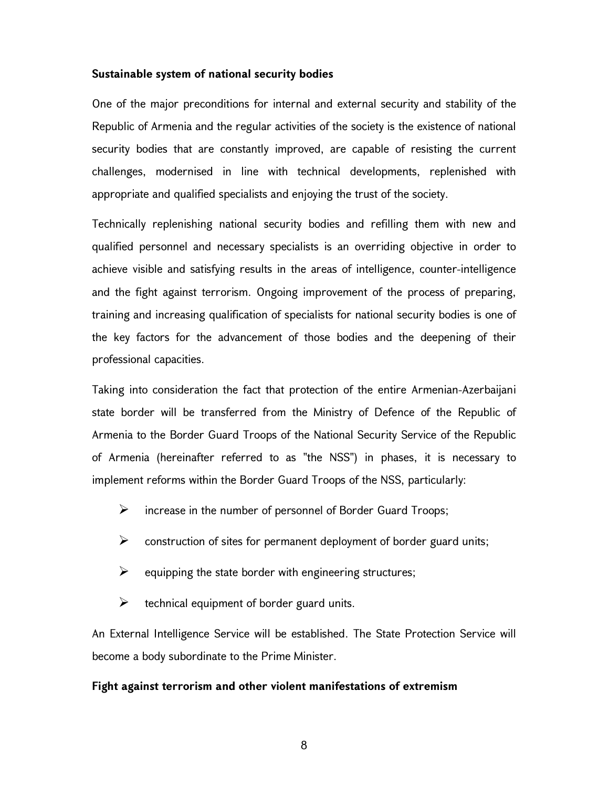#### Sustainable system of national security bodies

One of the major preconditions for internal and external security and stability of the Republic of Armenia and the regular activities of the society is the existence of national security bodies that are constantly improved, are capable of resisting the current challenges, modernised in line with technical developments, replenished with appropriate and qualified specialists and enjoying the trust of the society.

Technically replenishing national security bodies and refilling them with new and qualified personnel and necessary specialists is an overriding objective in order to achieve visible and satisfying results in the areas of intelligence, counter-intelligence and the fight against terrorism. Ongoing improvement of the process of preparing, training and increasing qualification of specialists for national security bodies is one of the key factors for the advancement of those bodies and the deepening of their professional capacities.

Taking into consideration the fact that protection of the entire Armenian-Azerbaijani state border will be transferred from the Ministry of Defence of the Republic of Armenia to the Border Guard Troops of the National Security Service of the Republic of Armenia (hereinafter referred to as "the NSS") in phases, it is necessary to implement reforms within the Border Guard Troops of the NSS, particularly:

- $\triangleright$  increase in the number of personnel of Border Guard Troops;
- $\triangleright$  construction of sites for permanent deployment of border guard units;
- $\triangleright$  equipping the state border with engineering structures;
- $\triangleright$  technical equipment of border guard units.

An External Intelligence Service will be established. The State Protection Service will become a body subordinate to the Prime Minister.

## Fight against terrorism and other violent manifestations of extremism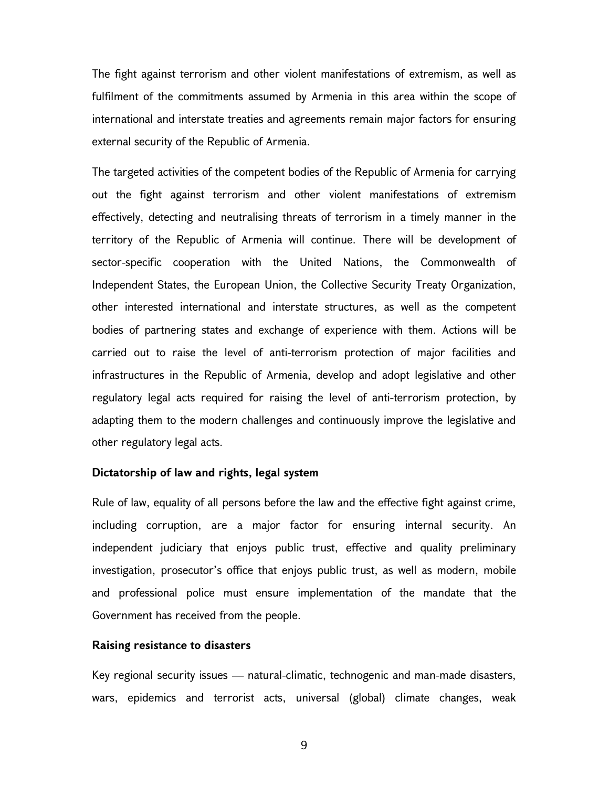The fight against terrorism and other violent manifestations of extremism, as well as fulfilment of the commitments assumed by Armenia in this area within the scope of international and interstate treaties and agreements remain major factors for ensuring external security of the Republic of Armenia.

The targeted activities of the competent bodies of the Republic of Armenia for carrying out the fight against terrorism and other violent manifestations of extremism effectively, detecting and neutralising threats of terrorism in a timely manner in the territory of the Republic of Armenia will continue. There will be development of sector-specific cooperation with the United Nations, the Commonwealth of Independent States, the European Union, the Collective Security Treaty Organization, other interested international and interstate structures, as well as the competent bodies of partnering states and exchange of experience with them. Actions will be carried out to raise the level of anti-terrorism protection of major facilities and infrastructures in the Republic of Armenia, develop and adopt legislative and other regulatory legal acts required for raising the level of anti-terrorism protection, by adapting them to the modern challenges and continuously improve the legislative and other regulatory legal acts.

## Dictatorship of law and rights, legal system

Rule of law, equality of all persons before the law and the effective fight against crime, including corruption, are a major factor for ensuring internal security. An independent judiciary that enjoys public trust, effective and quality preliminary investigation, prosecutor's office that enjoys public trust, as well as modern, mobile and professional police must ensure implementation of the mandate that the Government has received from the people.

#### Raising resistance to disasters

Key regional security issues — natural-climatic, technogenic and man-made disasters, wars, epidemics and terrorist acts, universal (global) climate changes, weak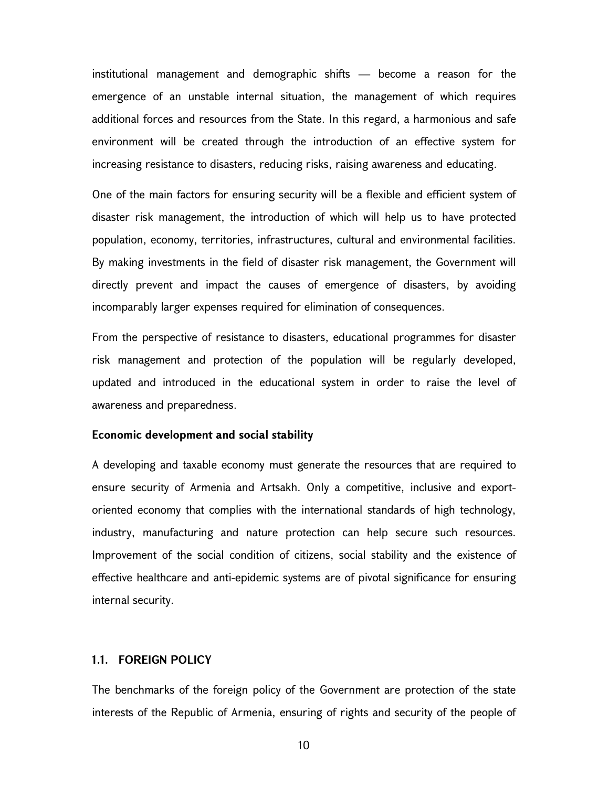institutional management and demographic shifts — become a reason for the emergence of an unstable internal situation, the management of which requires additional forces and resources from the State. In this regard, a harmonious and safe environment will be created through the introduction of an effective system for increasing resistance to disasters, reducing risks, raising awareness and educating.

One of the main factors for ensuring security will be a flexible and efficient system of disaster risk management, the introduction of which will help us to have protected population, economy, territories, infrastructures, cultural and environmental facilities. By making investments in the field of disaster risk management, the Government will directly prevent and impact the causes of emergence of disasters, by avoiding incomparably larger expenses required for elimination of consequences.

From the perspective of resistance to disasters, educational programmes for disaster risk management and protection of the population will be regularly developed, updated and introduced in the educational system in order to raise the level of awareness and preparedness.

#### Economic development and social stability

A developing and taxable economy must generate the resources that are required to ensure security of Armenia and Artsakh. Only a competitive, inclusive and exportoriented economy that complies with the international standards of high technology, industry, manufacturing and nature protection can help secure such resources. Improvement of the social condition of citizens, social stability and the existence of effective healthcare and anti-epidemic systems are of pivotal significance for ensuring internal security.

#### 1.1. FOREIGN POLICY

The benchmarks of the foreign policy of the Government are protection of the state interests of the Republic of Armenia, ensuring of rights and security of the people of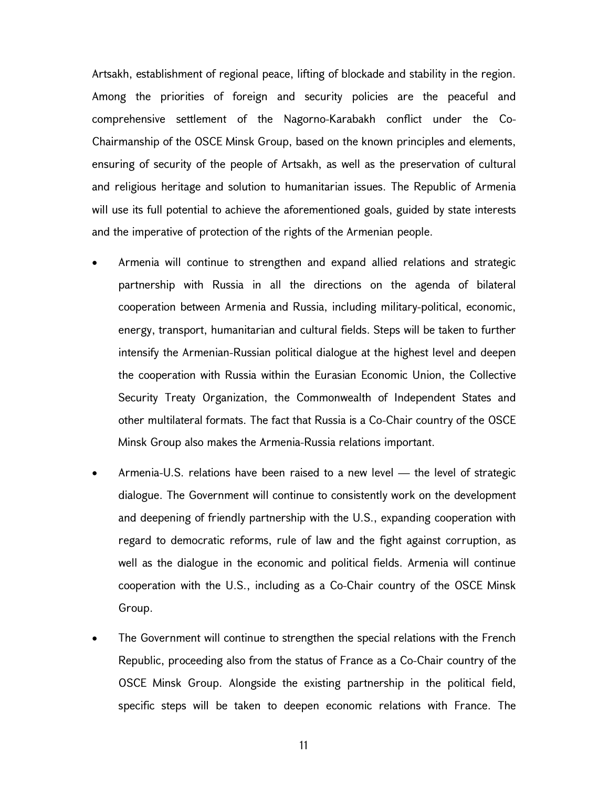Artsakh, establishment of regional peace, lifting of blockade and stability in the region. Among the priorities of foreign and security policies are the peaceful and comprehensive settlement of the Nagorno-Karabakh conflict under the Co-Chairmanship of the OSCE Minsk Group, based on the known principles and elements, ensuring of security of the people of Artsakh, as well as the preservation of cultural and religious heritage and solution to humanitarian issues. The Republic of Armenia will use its full potential to achieve the aforementioned goals, guided by state interests and the imperative of protection of the rights of the Armenian people.

- Armenia will continue to strengthen and expand allied relations and strategic partnership with Russia in all the directions on the agenda of bilateral cooperation between Armenia and Russia, including military-political, economic, energy, transport, humanitarian and cultural fields. Steps will be taken to further intensify the Armenian-Russian political dialogue at the highest level and deepen the cooperation with Russia within the Eurasian Economic Union, the Collective Security Treaty Organization, the Commonwealth of Independent States and other multilateral formats. The fact that Russia is a Co-Chair country of the OSCE Minsk Group also makes the Armenia-Russia relations important.
- Armenia-U.S. relations have been raised to a new level the level of strategic dialogue. The Government will continue to consistently work on the development and deepening of friendly partnership with the U.S., expanding cooperation with regard to democratic reforms, rule of law and the fight against corruption, as well as the dialogue in the economic and political fields. Armenia will continue cooperation with the U.S., including as a Co-Chair country of the OSCE Minsk Group.
- The Government will continue to strengthen the special relations with the French Republic, proceeding also from the status of France as a Co-Chair country of the OSCE Minsk Group. Alongside the existing partnership in the political field, specific steps will be taken to deepen economic relations with France. The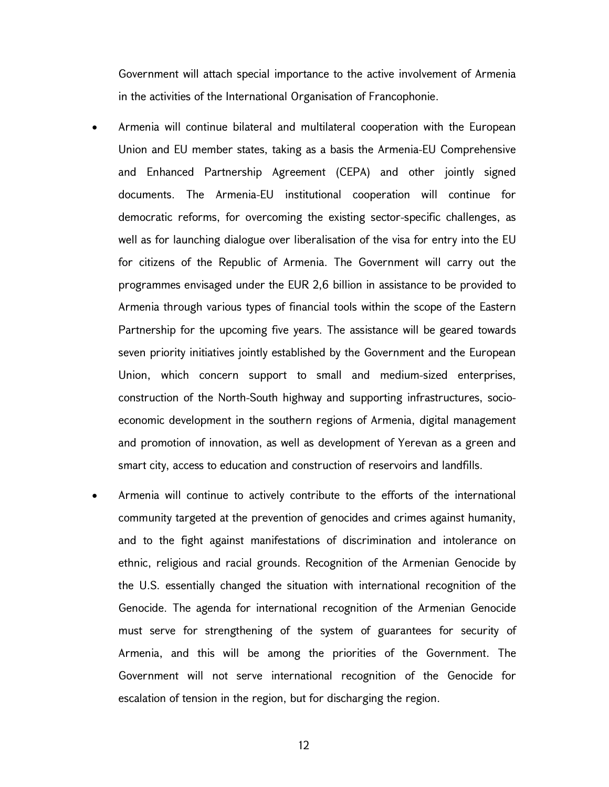Government will attach special importance to the active involvement of Armenia in the activities of the International Organisation of Francophonie.

- Armenia will continue bilateral and multilateral cooperation with the European Union and EU member states, taking as a basis the Armenia-EU Comprehensive and Enhanced Partnership Agreement (CEPA) and other jointly signed documents. The Armenia-EU institutional cooperation will continue for democratic reforms, for overcoming the existing sector-specific challenges, as well as for launching dialogue over liberalisation of the visa for entry into the EU for citizens of the Republic of Armenia. The Government will carry out the programmes envisaged under the EUR 2,6 billion in assistance to be provided to Armenia through various types of financial tools within the scope of the Eastern Partnership for the upcoming five years. The assistance will be geared towards seven priority initiatives jointly established by the Government and the European Union, which concern support to small and medium-sized enterprises, construction of the North-South highway and supporting infrastructures, socioeconomic development in the southern regions of Armenia, digital management and promotion of innovation, as well as development of Yerevan as a green and smart city, access to education and construction of reservoirs and landfills.
- Armenia will continue to actively contribute to the efforts of the international community targeted at the prevention of genocides and crimes against humanity, and to the fight against manifestations of discrimination and intolerance on ethnic, religious and racial grounds. Recognition of the Armenian Genocide by the U.S. essentially changed the situation with international recognition of the Genocide. The agenda for international recognition of the Armenian Genocide must serve for strengthening of the system of guarantees for security of Armenia, and this will be among the priorities of the Government. The Government will not serve international recognition of the Genocide for escalation of tension in the region, but for discharging the region.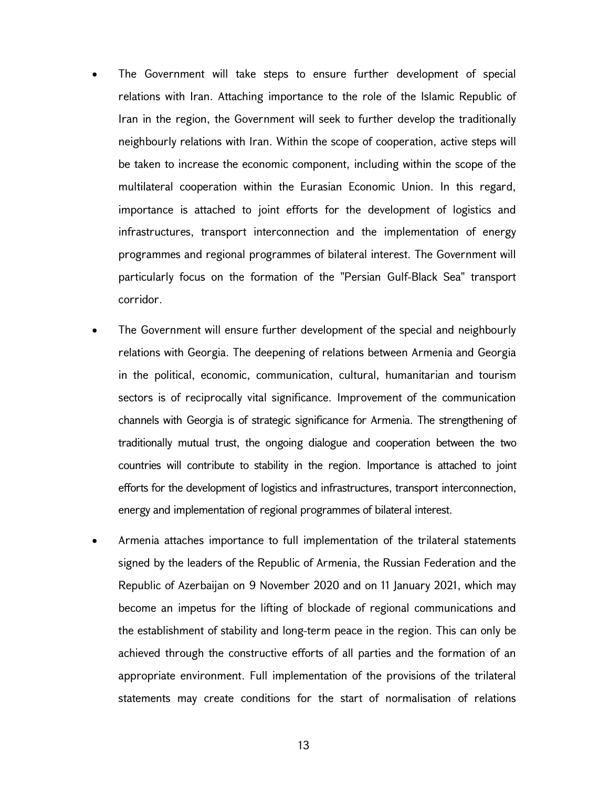- The Government will take steps to ensure further development of special relations with Iran. Attaching importance to the role of the Islamic Republic of Iran in the region, the Government will seek to further develop the traditionally neighbourly relations with Iran. Within the scope of cooperation, active steps will be taken to increase the economic component, including within the scope of the multilateral cooperation within the Eurasian Economic Union. In this regard, importance is attached to joint efforts for the development of logistics and infrastructures, transport interconnection and the implementation of energy programmes and regional programmes of bilateral interest. The Government will particularly focus on the formation of the "Persian Gulf-Black Sea" transport corridor.
- The Government will ensure further development of the special and neighbourly relations with Georgia. The deepening of relations between Armenia and Georgia in the political, economic, communication, cultural, humanitarian and tourism sectors is of reciprocally vital significance. Improvement of the communication channels with Georgia is of strategic significance for Armenia. The strengthening of traditionally mutual trust, the ongoing dialogue and cooperation between the two countries will contribute to stability in the region. Importance is attached to joint efforts for the development of logistics and infrastructures, transport interconnection, energy and implementation of regional programmes of bilateral interest.
- Armenia attaches importance to full implementation of the trilateral statements signed by the leaders of the Republic of Armenia, the Russian Federation and the Republic of Azerbaijan on 9 November 2020 and on 11 January 2021, which may become an impetus for the lifting of blockade of regional communications and the establishment of stability and long-term peace in the region. This can only be achieved through the constructive efforts of all parties and the formation of an appropriate environment. Full implementation of the provisions of the trilateral statements may create conditions for the start of normalisation of relations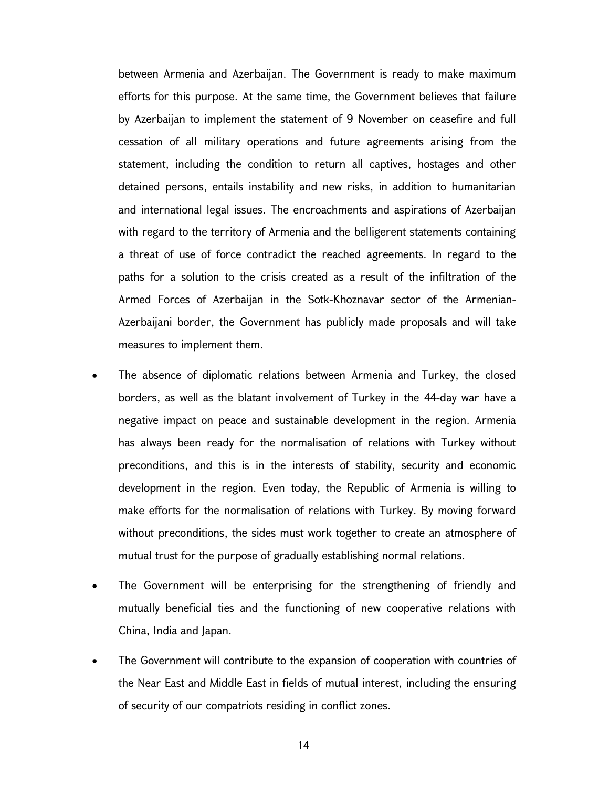between Armenia and Azerbaijan. The Government is ready to make maximum efforts for this purpose. At the same time, the Government believes that failure by Azerbaijan to implement the statement of 9 November on ceasefire and full cessation of all military operations and future agreements arising from the statement, including the condition to return all captives, hostages and other detained persons, entails instability and new risks, in addition to humanitarian and international legal issues. The encroachments and aspirations of Azerbaijan with regard to the territory of Armenia and the belligerent statements containing a threat of use of force contradict the reached agreements. In regard to the paths for a solution to the crisis created as a result of the infiltration of the Armed Forces of Azerbaijan in the Sotk-Khoznavar sector of the Armenian-Azerbaijani border, the Government has publicly made proposals and will take measures to implement them.

- The absence of diplomatic relations between Armenia and Turkey, the closed borders, as well as the blatant involvement of Turkey in the 44-day war have a negative impact on peace and sustainable development in the region. Armenia has always been ready for the normalisation of relations with Turkey without preconditions, and this is in the interests of stability, security and economic development in the region. Even today, the Republic of Armenia is willing to make efforts for the normalisation of relations with Turkey. By moving forward without preconditions, the sides must work together to create an atmosphere of mutual trust for the purpose of gradually establishing normal relations.
- The Government will be enterprising for the strengthening of friendly and mutually beneficial ties and the functioning of new cooperative relations with China, India and Japan.
- The Government will contribute to the expansion of cooperation with countries of the Near East and Middle East in fields of mutual interest, including the ensuring of security of our compatriots residing in conflict zones.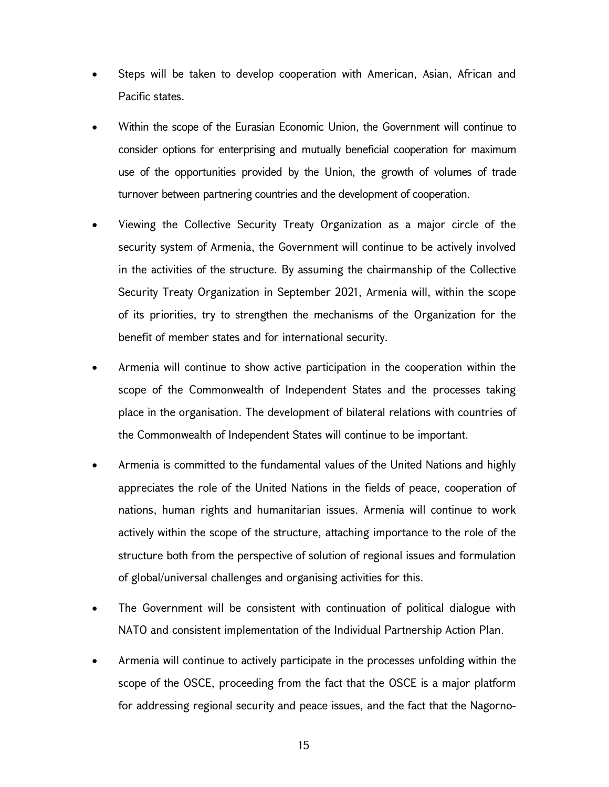- Steps will be taken to develop cooperation with American, Asian, African and Pacific states.
- Within the scope of the Eurasian Economic Union, the Government will continue to consider options for enterprising and mutually beneficial cooperation for maximum use of the opportunities provided by the Union, the growth of volumes of trade turnover between partnering countries and the development of cooperation.
- Viewing the Collective Security Treaty Organization as a major circle of the security system of Armenia, the Government will continue to be actively involved in the activities of the structure. By assuming the chairmanship of the Collective Security Treaty Organization in September 2021, Armenia will, within the scope of its priorities, try to strengthen the mechanisms of the Organization for the benefit of member states and for international security.
- Armenia will continue to show active participation in the cooperation within the scope of the Commonwealth of Independent States and the processes taking place in the organisation. The development of bilateral relations with countries of the Commonwealth of Independent States will continue to be important.
- Armenia is committed to the fundamental values of the United Nations and highly appreciates the role of the United Nations in the fields of peace, cooperation of nations, human rights and humanitarian issues. Armenia will continue to work actively within the scope of the structure, attaching importance to the role of the structure both from the perspective of solution of regional issues and formulation of global/universal challenges and organising activities for this.
- The Government will be consistent with continuation of political dialogue with NATO and consistent implementation of the Individual Partnership Action Plan.
- Armenia will continue to actively participate in the processes unfolding within the scope of the OSCE, proceeding from the fact that the OSCE is a major platform for addressing regional security and peace issues, and the fact that the Nagorno-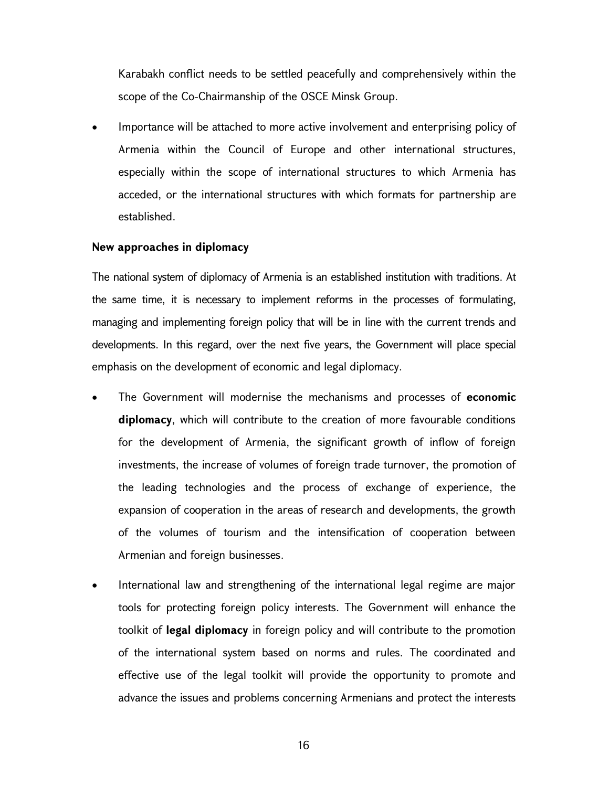Karabakh conflict needs to be settled peacefully and comprehensively within the scope of the Co-Chairmanship of the OSCE Minsk Group.

 Importance will be attached to more active involvement and enterprising policy of Armenia within the Council of Europe and other international structures, especially within the scope of international structures to which Armenia has acceded, or the international structures with which formats for partnership are established.

## New approaches in diplomacy

The national system of diplomacy of Armenia is an established institution with traditions. At the same time, it is necessary to implement reforms in the processes of formulating, managing and implementing foreign policy that will be in line with the current trends and developments. In this regard, over the next five years, the Government will place special emphasis on the development of economic and legal diplomacy.

- The Government will modernise the mechanisms and processes of economic diplomacy, which will contribute to the creation of more favourable conditions for the development of Armenia, the significant growth of inflow of foreign investments, the increase of volumes of foreign trade turnover, the promotion of the leading technologies and the process of exchange of experience, the expansion of cooperation in the areas of research and developments, the growth of the volumes of tourism and the intensification of cooperation between Armenian and foreign businesses.
- International law and strengthening of the international legal regime are major tools for protecting foreign policy interests. The Government will enhance the toolkit of legal diplomacy in foreign policy and will contribute to the promotion of the international system based on norms and rules. The coordinated and effective use of the legal toolkit will provide the opportunity to promote and advance the issues and problems concerning Armenians and protect the interests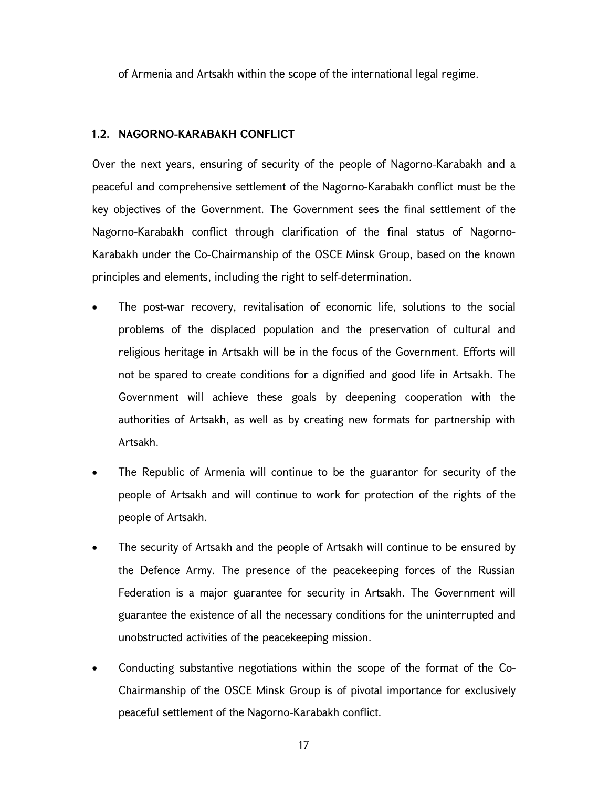of Armenia and Artsakh within the scope of the international legal regime.

#### 1.2. NAGORNO-KARABAKH CONFLICT

Over the next years, ensuring of security of the people of Nagorno-Karabakh and a peaceful and comprehensive settlement of the Nagorno-Karabakh conflict must be the key objectives of the Government. The Government sees the final settlement of the Nagorno-Karabakh conflict through clarification of the final status of Nagorno-Karabakh under the Co-Chairmanship of the OSCE Minsk Group, based on the known principles and elements, including the right to self-determination.

- The post-war recovery, revitalisation of economic life, solutions to the social problems of the displaced population and the preservation of cultural and religious heritage in Artsakh will be in the focus of the Government. Efforts will not be spared to create conditions for a dignified and good life in Artsakh. The Government will achieve these goals by deepening cooperation with the authorities of Artsakh, as well as by creating new formats for partnership with Artsakh.
- The Republic of Armenia will continue to be the guarantor for security of the people of Artsakh and will continue to work for protection of the rights of the people of Artsakh.
- The security of Artsakh and the people of Artsakh will continue to be ensured by the Defence Army. The presence of the peacekeeping forces of the Russian Federation is a major guarantee for security in Artsakh. The Government will guarantee the existence of all the necessary conditions for the uninterrupted and unobstructed activities of the peacekeeping mission.
- Conducting substantive negotiations within the scope of the format of the Co-Chairmanship of the OSCE Minsk Group is of pivotal importance for exclusively peaceful settlement of the Nagorno-Karabakh conflict.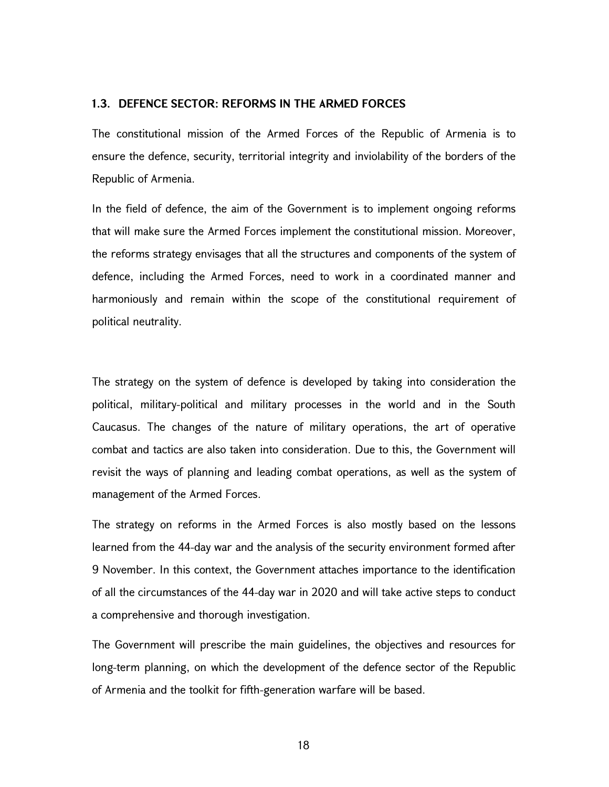#### 1.3. DEFENCE SECTOR: REFORMS IN THE ARMED FORCES

The constitutional mission of the Armed Forces of the Republic of Armenia is to ensure the defence, security, territorial integrity and inviolability of the borders of the Republic of Armenia.

In the field of defence, the aim of the Government is to implement ongoing reforms that will make sure the Armed Forces implement the constitutional mission. Moreover, the reforms strategy envisages that all the structures and components of the system of defence, including the Armed Forces, need to work in a coordinated manner and harmoniously and remain within the scope of the constitutional requirement of political neutrality.

The strategy on the system of defence is developed by taking into consideration the political, military-political and military processes in the world and in the South Caucasus. The changes of the nature of military operations, the art of operative combat and tactics are also taken into consideration. Due to this, the Government will revisit the ways of planning and leading combat operations, as well as the system of management of the Armed Forces.

The strategy on reforms in the Armed Forces is also mostly based on the lessons learned from the 44-day war and the analysis of the security environment formed after 9 November. In this context, the Government attaches importance to the identification of all the circumstances of the 44-day war in 2020 and will take active steps to conduct a comprehensive and thorough investigation.

The Government will prescribe the main guidelines, the objectives and resources for long-term planning, on which the development of the defence sector of the Republic of Armenia and the toolkit for fifth-generation warfare will be based.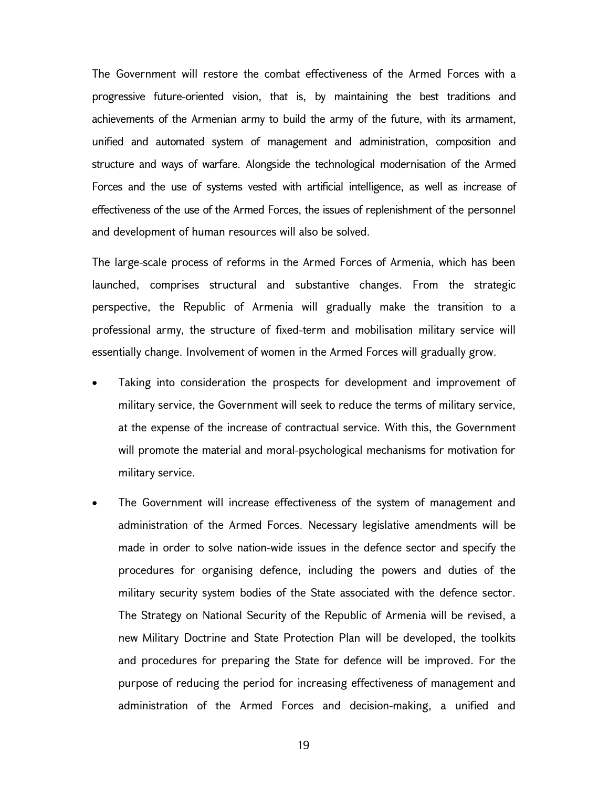The Government will restore the combat effectiveness of the Armed Forces with a progressive future-oriented vision, that is, by maintaining the best traditions and achievements of the Armenian army to build the army of the future, with its armament, unified and automated system of management and administration, composition and structure and ways of warfare. Alongside the technological modernisation of the Armed Forces and the use of systems vested with artificial intelligence, as well as increase of effectiveness of the use of the Armed Forces, the issues of replenishment of the personnel and development of human resources will also be solved.

The large-scale process of reforms in the Armed Forces of Armenia, which has been launched, comprises structural and substantive changes. From the strategic perspective, the Republic of Armenia will gradually make the transition to a professional army, the structure of fixed-term and mobilisation military service will essentially change. Involvement of women in the Armed Forces will gradually grow.

- Taking into consideration the prospects for development and improvement of military service, the Government will seek to reduce the terms of military service, at the expense of the increase of contractual service. With this, the Government will promote the material and moral-psychological mechanisms for motivation for military service.
- The Government will increase effectiveness of the system of management and administration of the Armed Forces. Necessary legislative amendments will be made in order to solve nation-wide issues in the defence sector and specify the procedures for organising defence, including the powers and duties of the military security system bodies of the State associated with the defence sector. The Strategy on National Security of the Republic of Armenia will be revised, a new Military Doctrine and State Protection Plan will be developed, the toolkits and procedures for preparing the State for defence will be improved. For the purpose of reducing the period for increasing effectiveness of management and administration of the Armed Forces and decision-making, a unified and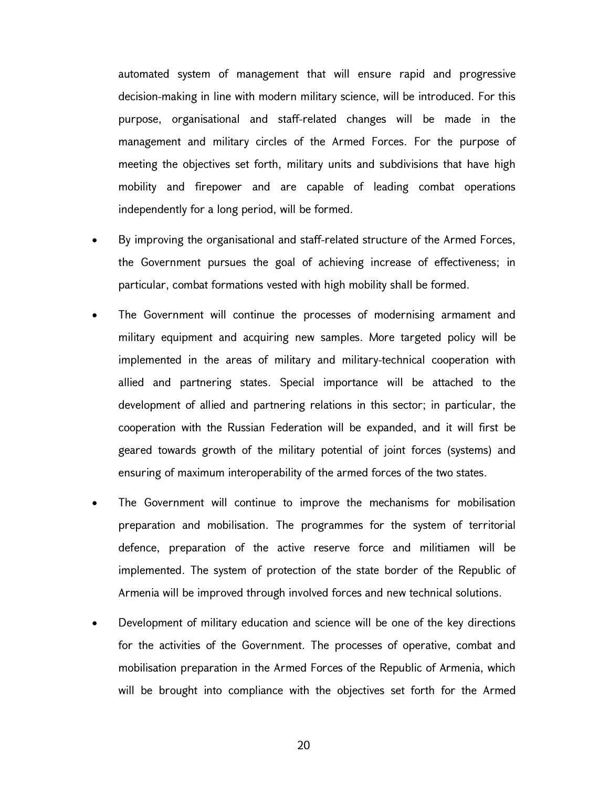automated system of management that will ensure rapid and progressive decision-making in line with modern military science, will be introduced. For this purpose, organisational and staff-related changes will be made in the management and military circles of the Armed Forces. For the purpose of meeting the objectives set forth, military units and subdivisions that have high mobility and firepower and are capable of leading combat operations independently for a long period, will be formed.

- By improving the organisational and staff-related structure of the Armed Forces, the Government pursues the goal of achieving increase of effectiveness; in particular, combat formations vested with high mobility shall be formed.
- The Government will continue the processes of modernising armament and military equipment and acquiring new samples. More targeted policy will be implemented in the areas of military and military-technical cooperation with allied and partnering states. Special importance will be attached to the development of allied and partnering relations in this sector; in particular, the cooperation with the Russian Federation will be expanded, and it will first be geared towards growth of the military potential of joint forces (systems) and ensuring of maximum interoperability of the armed forces of the two states.
- The Government will continue to improve the mechanisms for mobilisation preparation and mobilisation. The programmes for the system of territorial defence, preparation of the active reserve force and militiamen will be implemented. The system of protection of the state border of the Republic of Armenia will be improved through involved forces and new technical solutions.
- Development of military education and science will be one of the key directions for the activities of the Government. The processes of operative, combat and mobilisation preparation in the Armed Forces of the Republic of Armenia, which will be brought into compliance with the objectives set forth for the Armed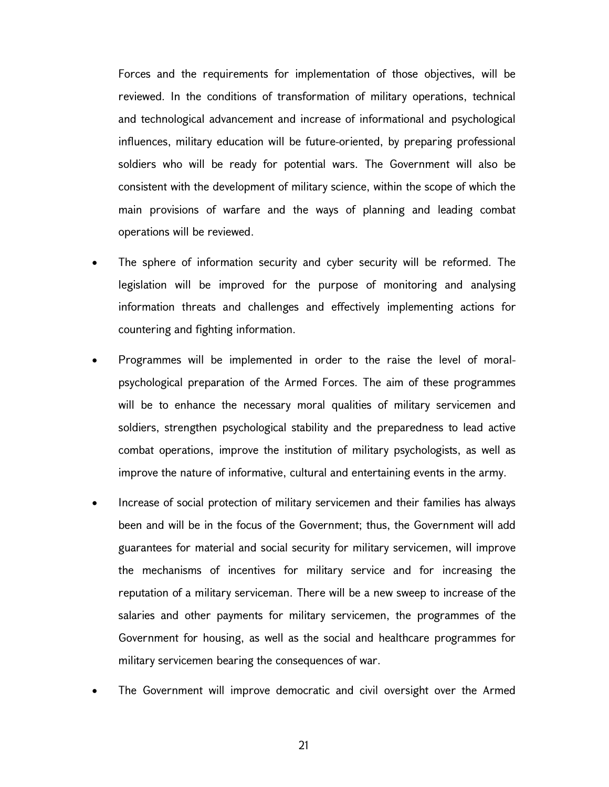Forces and the requirements for implementation of those objectives, will be reviewed. In the conditions of transformation of military operations, technical and technological advancement and increase of informational and psychological influences, military education will be future-oriented, by preparing professional soldiers who will be ready for potential wars. The Government will also be consistent with the development of military science, within the scope of which the main provisions of warfare and the ways of planning and leading combat operations will be reviewed.

- The sphere of information security and cyber security will be reformed. The legislation will be improved for the purpose of monitoring and analysing information threats and challenges and effectively implementing actions for countering and fighting information.
- Programmes will be implemented in order to the raise the level of moralpsychological preparation of the Armed Forces. The aim of these programmes will be to enhance the necessary moral qualities of military servicemen and soldiers, strengthen psychological stability and the preparedness to lead active combat operations, improve the institution of military psychologists, as well as improve the nature of informative, cultural and entertaining events in the army.
- Increase of social protection of military servicemen and their families has always been and will be in the focus of the Government; thus, the Government will add guarantees for material and social security for military servicemen, will improve the mechanisms of incentives for military service and for increasing the reputation of a military serviceman. There will be a new sweep to increase of the salaries and other payments for military servicemen, the programmes of the Government for housing, as well as the social and healthcare programmes for military servicemen bearing the consequences of war.
- The Government will improve democratic and civil oversight over the Armed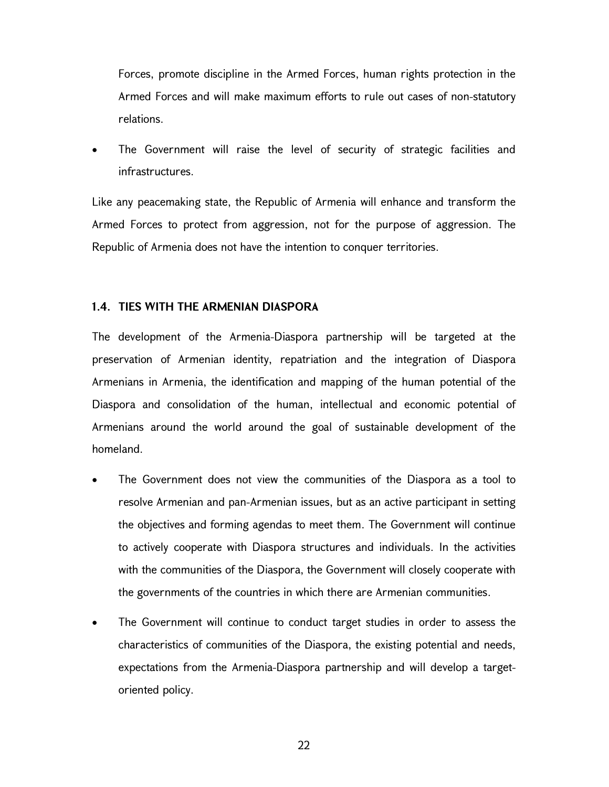Forces, promote discipline in the Armed Forces, human rights protection in the Armed Forces and will make maximum efforts to rule out cases of non-statutory relations.

 The Government will raise the level of security of strategic facilities and infrastructures.

Like any peacemaking state, the Republic of Armenia will enhance and transform the Armed Forces to protect from aggression, not for the purpose of aggression. The Republic of Armenia does not have the intention to conquer territories.

## 1.4. TIES WITH THE ARMENIAN DIASPORA

The development of the Armenia-Diaspora partnership will be targeted at the preservation of Armenian identity, repatriation and the integration of Diaspora Armenians in Armenia, the identification and mapping of the human potential of the Diaspora and consolidation of the human, intellectual and economic potential of Armenians around the world around the goal of sustainable development of the homeland.

- The Government does not view the communities of the Diaspora as a tool to resolve Armenian and pan-Armenian issues, but as an active participant in setting the objectives and forming agendas to meet them. The Government will continue to actively cooperate with Diaspora structures and individuals. In the activities with the communities of the Diaspora, the Government will closely cooperate with the governments of the countries in which there are Armenian communities.
- The Government will continue to conduct target studies in order to assess the characteristics of communities of the Diaspora, the existing potential and needs, expectations from the Armenia-Diaspora partnership and will develop a targetoriented policy.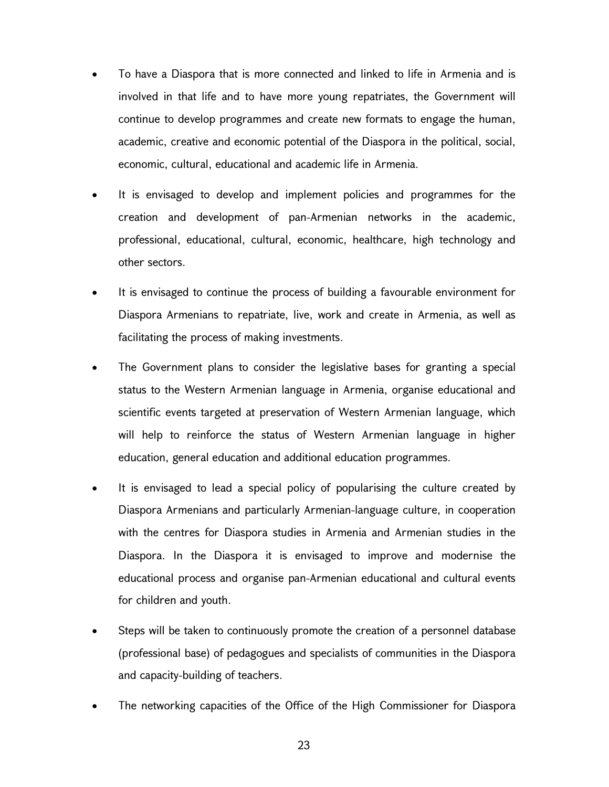- To have a Diaspora that is more connected and linked to life in Armenia and is involved in that life and to have more young repatriates, the Government will continue to develop programmes and create new formats to engage the human, academic, creative and economic potential of the Diaspora in the political, social, economic, cultural, educational and academic life in Armenia.
- It is envisaged to develop and implement policies and programmes for the creation and development of pan-Armenian networks in the academic, professional, educational, cultural, economic, healthcare, high technology and other sectors.
- It is envisaged to continue the process of building a favourable environment for Diaspora Armenians to repatriate, live, work and create in Armenia, as well as facilitating the process of making investments.
- The Government plans to consider the legislative bases for granting a special status to the Western Armenian language in Armenia, organise educational and scientific events targeted at preservation of Western Armenian language, which will help to reinforce the status of Western Armenian language in higher education, general education and additional education programmes.
- It is envisaged to lead a special policy of popularising the culture created by Diaspora Armenians and particularly Armenian-language culture, in cooperation with the centres for Diaspora studies in Armenia and Armenian studies in the Diaspora. In the Diaspora it is envisaged to improve and modernise the educational process and organise pan-Armenian educational and cultural events for children and youth.
- Steps will be taken to continuously promote the creation of a personnel database (professional base) of pedagogues and specialists of communities in the Diaspora and capacity-building of teachers.
- The networking capacities of the Office of the High Commissioner for Diaspora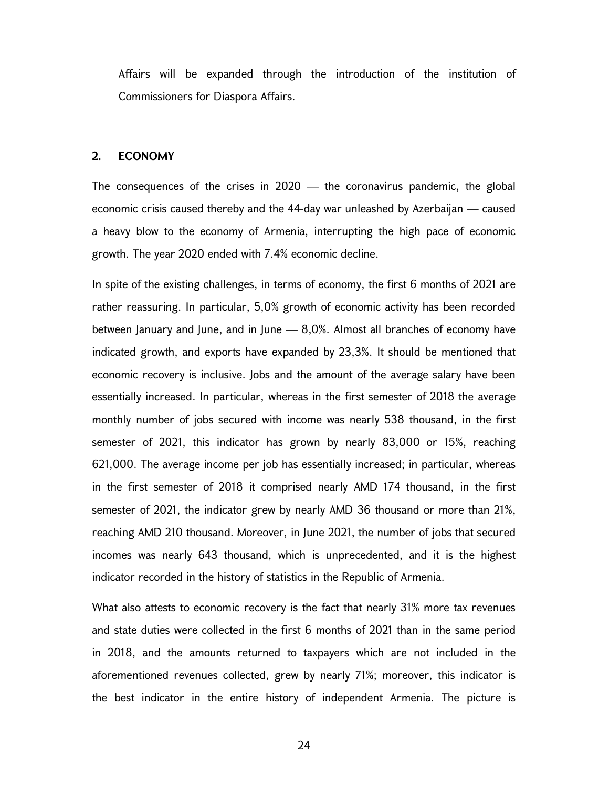Affairs will be expanded through the introduction of the institution of Commissioners for Diaspora Affairs.

#### 2. ECONOMY

The consequences of the crises in  $2020 -$  the coronavirus pandemic, the global economic crisis caused thereby and the 44-day war unleashed by Azerbaijan — caused a heavy blow to the economy of Armenia, interrupting the high pace of economic growth. The year 2020 ended with 7.4% economic decline.

In spite of the existing challenges, in terms of economy, the first 6 months of 2021 are rather reassuring. In particular, 5,0% growth of economic activity has been recorded between January and June, and in June — 8,0%. Almost all branches of economy have indicated growth, and exports have expanded by 23,3%. It should be mentioned that economic recovery is inclusive. Jobs and the amount of the average salary have been essentially increased. In particular, whereas in the first semester of 2018 the average monthly number of jobs secured with income was nearly 538 thousand, in the first semester of 2021, this indicator has grown by nearly 83,000 or 15%, reaching 621,000. The average income per job has essentially increased; in particular, whereas in the first semester of 2018 it comprised nearly AMD 174 thousand, in the first semester of 2021, the indicator grew by nearly AMD 36 thousand or more than 21%, reaching AMD 210 thousand. Moreover, in June 2021, the number of jobs that secured incomes was nearly 643 thousand, which is unprecedented, and it is the highest indicator recorded in the history of statistics in the Republic of Armenia.

What also attests to economic recovery is the fact that nearly 31% more tax revenues and state duties were collected in the first 6 months of 2021 than in the same period in 2018, and the amounts returned to taxpayers which are not included in the aforementioned revenues collected, grew by nearly 71%; moreover, this indicator is the best indicator in the entire history of independent Armenia. The picture is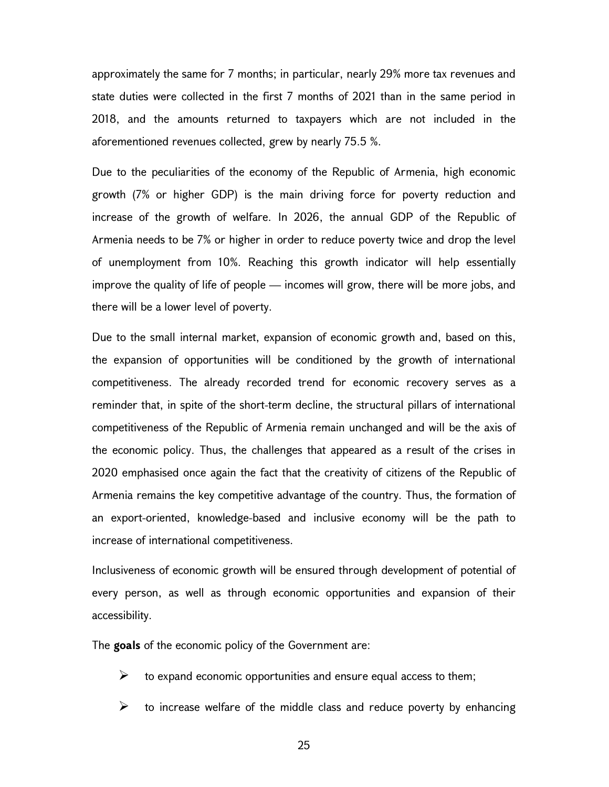approximately the same for 7 months; in particular, nearly 29% more tax revenues and state duties were collected in the first 7 months of 2021 than in the same period in 2018, and the amounts returned to taxpayers which are not included in the aforementioned revenues collected, grew by nearly 75.5 %.

Due to the peculiarities of the economy of the Republic of Armenia, high economic growth (7% or higher GDP) is the main driving force for poverty reduction and increase of the growth of welfare. In 2026, the annual GDP of the Republic of Armenia needs to be 7% or higher in order to reduce poverty twice and drop the level of unemployment from 10%. Reaching this growth indicator will help essentially improve the quality of life of people — incomes will grow, there will be more jobs, and there will be a lower level of poverty.

Due to the small internal market, expansion of economic growth and, based on this, the expansion of opportunities will be conditioned by the growth of international competitiveness. The already recorded trend for economic recovery serves as a reminder that, in spite of the short-term decline, the structural pillars of international competitiveness of the Republic of Armenia remain unchanged and will be the axis of the economic policy. Thus, the challenges that appeared as a result of the crises in 2020 emphasised once again the fact that the creativity of citizens of the Republic of Armenia remains the key competitive advantage of the country. Thus, the formation of an export-oriented, knowledge-based and inclusive economy will be the path to increase of international competitiveness.

Inclusiveness of economic growth will be ensured through development of potential of every person, as well as through economic opportunities and expansion of their accessibility.

The goals of the economic policy of the Government are:

- $\triangleright$  to expand economic opportunities and ensure equal access to them;
- $\triangleright$  to increase welfare of the middle class and reduce poverty by enhancing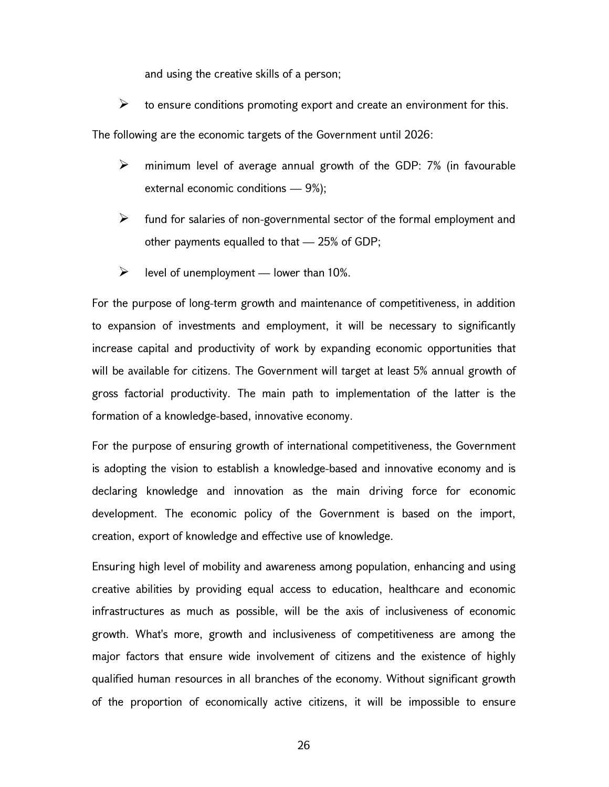and using the creative skills of a person;

 $\triangleright$  to ensure conditions promoting export and create an environment for this.

The following are the economic targets of the Government until 2026:

- $\triangleright$  minimum level of average annual growth of the GDP: 7% (in favourable external economic conditions — 9%);
- $\triangleright$  fund for salaries of non-governmental sector of the formal employment and other payments equalled to that — 25% of GDP;
- $\triangleright$  level of unemployment lower than 10%.

For the purpose of long-term growth and maintenance of competitiveness, in addition to expansion of investments and employment, it will be necessary to significantly increase capital and productivity of work by expanding economic opportunities that will be available for citizens. The Government will target at least 5% annual growth of gross factorial productivity. The main path to implementation of the latter is the formation of a knowledge-based, innovative economy.

For the purpose of ensuring growth of international competitiveness, the Government is adopting the vision to establish a knowledge-based and innovative economy and is declaring knowledge and innovation as the main driving force for economic development. The economic policy of the Government is based on the import, creation, export of knowledge and effective use of knowledge.

Ensuring high level of mobility and awareness among population, enhancing and using creative abilities by providing equal access to education, healthcare and economic infrastructures as much as possible, will be the axis of inclusiveness of economic growth. What's more, growth and inclusiveness of competitiveness are among the major factors that ensure wide involvement of citizens and the existence of highly qualified human resources in all branches of the economy. Without significant growth of the proportion of economically active citizens, it will be impossible to ensure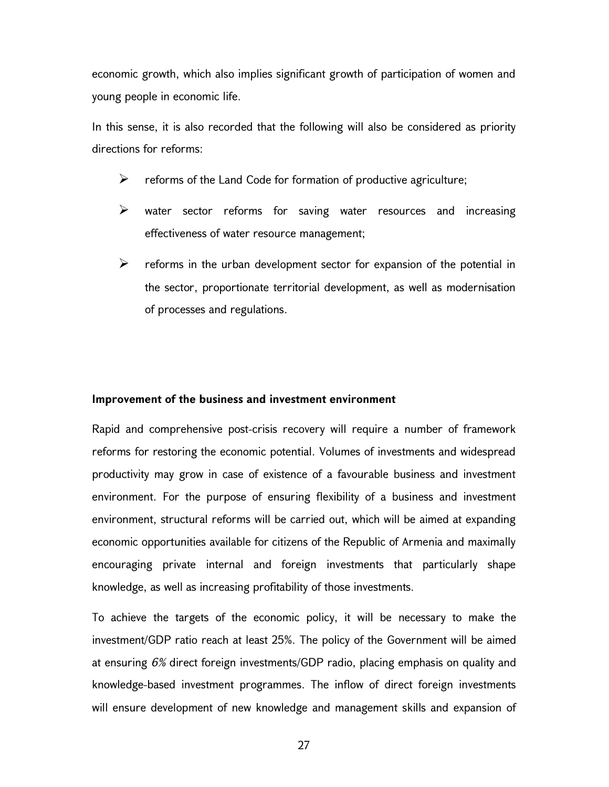economic growth, which also implies significant growth of participation of women and young people in economic life.

In this sense, it is also recorded that the following will also be considered as priority directions for reforms:

- $\triangleright$  reforms of the Land Code for formation of productive agriculture;
- $\triangleright$  water sector reforms for saving water resources and increasing effectiveness of water resource management;
- $\triangleright$  reforms in the urban development sector for expansion of the potential in the sector, proportionate territorial development, as well as modernisation of processes and regulations.

#### Improvement of the business and investment environment

Rapid and comprehensive post-crisis recovery will require a number of framework reforms for restoring the economic potential. Volumes of investments and widespread productivity may grow in case of existence of a favourable business and investment environment. For the purpose of ensuring flexibility of a business and investment environment, structural reforms will be carried out, which will be aimed at expanding economic opportunities available for citizens of the Republic of Armenia and maximally encouraging private internal and foreign investments that particularly shape knowledge, as well as increasing profitability of those investments.

To achieve the targets of the economic policy, it will be necessary to make the investment/GDP ratio reach at least 25%. The policy of the Government will be aimed at ensuring 6% direct foreign investments/GDP radio, placing emphasis on quality and knowledge-based investment programmes. The inflow of direct foreign investments will ensure development of new knowledge and management skills and expansion of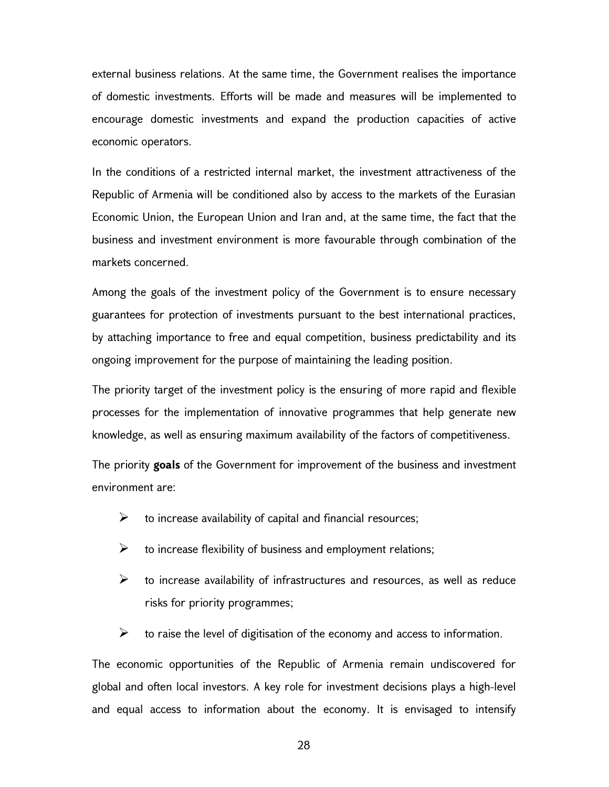external business relations. At the same time, the Government realises the importance of domestic investments. Efforts will be made and measures will be implemented to encourage domestic investments and expand the production capacities of active economic operators.

In the conditions of a restricted internal market, the investment attractiveness of the Republic of Armenia will be conditioned also by access to the markets of the Eurasian Economic Union, the European Union and Iran and, at the same time, the fact that the business and investment environment is more favourable through combination of the markets concerned.

Among the goals of the investment policy of the Government is to ensure necessary guarantees for protection of investments pursuant to the best international practices, by attaching importance to free and equal competition, business predictability and its ongoing improvement for the purpose of maintaining the leading position.

The priority target of the investment policy is the ensuring of more rapid and flexible processes for the implementation of innovative programmes that help generate new knowledge, as well as ensuring maximum availability of the factors of competitiveness.

The priority goals of the Government for improvement of the business and investment environment are:

- $\triangleright$  to increase availability of capital and financial resources;
- $\triangleright$  to increase flexibility of business and employment relations;
- $\triangleright$  to increase availability of infrastructures and resources, as well as reduce risks for priority programmes;

 $\triangleright$  to raise the level of digitisation of the economy and access to information.

The economic opportunities of the Republic of Armenia remain undiscovered for global and often local investors. A key role for investment decisions plays a high-level and equal access to information about the economy. It is envisaged to intensify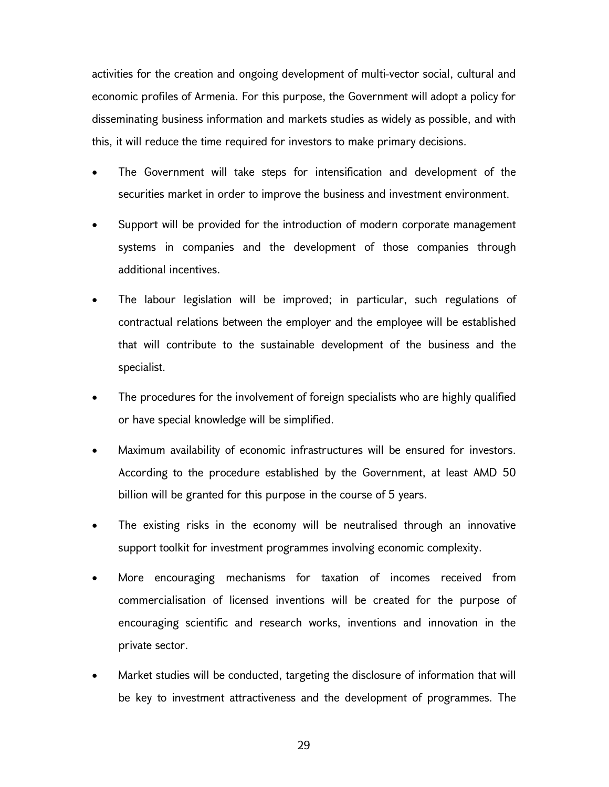activities for the creation and ongoing development of multi-vector social, cultural and economic profiles of Armenia. For this purpose, the Government will adopt a policy for disseminating business information and markets studies as widely as possible, and with this, it will reduce the time required for investors to make primary decisions.

- The Government will take steps for intensification and development of the securities market in order to improve the business and investment environment.
- Support will be provided for the introduction of modern corporate management systems in companies and the development of those companies through additional incentives.
- The labour legislation will be improved; in particular, such regulations of contractual relations between the employer and the employee will be established that will contribute to the sustainable development of the business and the specialist.
- The procedures for the involvement of foreign specialists who are highly qualified or have special knowledge will be simplified.
- Maximum availability of economic infrastructures will be ensured for investors. According to the procedure established by the Government, at least AMD 50 billion will be granted for this purpose in the course of 5 years.
- The existing risks in the economy will be neutralised through an innovative support toolkit for investment programmes involving economic complexity.
- More encouraging mechanisms for taxation of incomes received from commercialisation of licensed inventions will be created for the purpose of encouraging scientific and research works, inventions and innovation in the private sector.
- Market studies will be conducted, targeting the disclosure of information that will be key to investment attractiveness and the development of programmes. The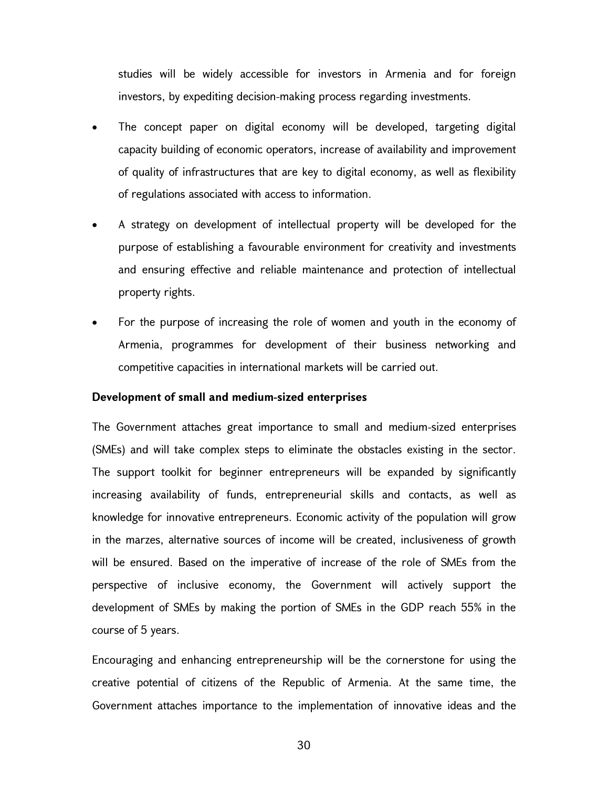studies will be widely accessible for investors in Armenia and for foreign investors, by expediting decision-making process regarding investments.

- The concept paper on digital economy will be developed, targeting digital capacity building of economic operators, increase of availability and improvement of quality of infrastructures that are key to digital economy, as well as flexibility of regulations associated with access to information.
- A strategy on development of intellectual property will be developed for the purpose of establishing a favourable environment for creativity and investments and ensuring effective and reliable maintenance and protection of intellectual property rights.
- For the purpose of increasing the role of women and youth in the economy of Armenia, programmes for development of their business networking and competitive capacities in international markets will be carried out.

#### Development of small and medium-sized enterprises

The Government attaches great importance to small and medium-sized enterprises (SMEs) and will take complex steps to eliminate the obstacles existing in the sector. The support toolkit for beginner entrepreneurs will be expanded by significantly increasing availability of funds, entrepreneurial skills and contacts, as well as knowledge for innovative entrepreneurs. Economic activity of the population will grow in the marzes, alternative sources of income will be created, inclusiveness of growth will be ensured. Based on the imperative of increase of the role of SMEs from the perspective of inclusive economy, the Government will actively support the development of SMEs by making the portion of SMEs in the GDP reach 55% in the course of 5 years.

Encouraging and enhancing entrepreneurship will be the cornerstone for using the creative potential of citizens of the Republic of Armenia. At the same time, the Government attaches importance to the implementation of innovative ideas and the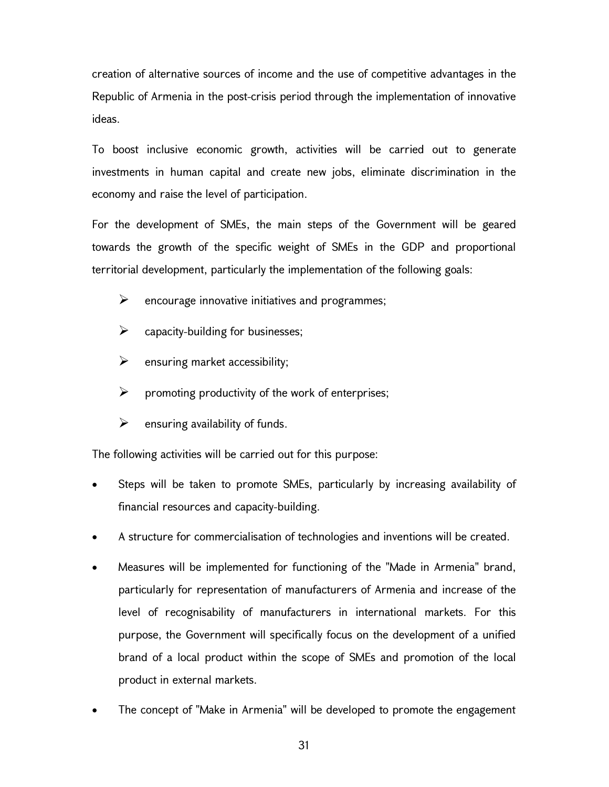creation of alternative sources of income and the use of competitive advantages in the Republic of Armenia in the post-crisis period through the implementation of innovative ideas.

To boost inclusive economic growth, activities will be carried out to generate investments in human capital and create new jobs, eliminate discrimination in the economy and raise the level of participation.

For the development of SMEs, the main steps of the Government will be geared towards the growth of the specific weight of SMEs in the GDP and proportional territorial development, particularly the implementation of the following goals:

- $\triangleright$  encourage innovative initiatives and programmes;
- $\triangleright$  capacity-building for businesses;
- $\triangleright$  ensuring market accessibility;
- $\triangleright$  promoting productivity of the work of enterprises;
- $\triangleright$  ensuring availability of funds.

The following activities will be carried out for this purpose:

- Steps will be taken to promote SMEs, particularly by increasing availability of financial resources and capacity-building.
- A structure for commercialisation of technologies and inventions will be created.
- Measures will be implemented for functioning of the "Made in Armenia" brand, particularly for representation of manufacturers of Armenia and increase of the level of recognisability of manufacturers in international markets. For this purpose, the Government will specifically focus on the development of a unified brand of a local product within the scope of SMEs and promotion of the local product in external markets.
- The concept of "Make in Armenia" will be developed to promote the engagement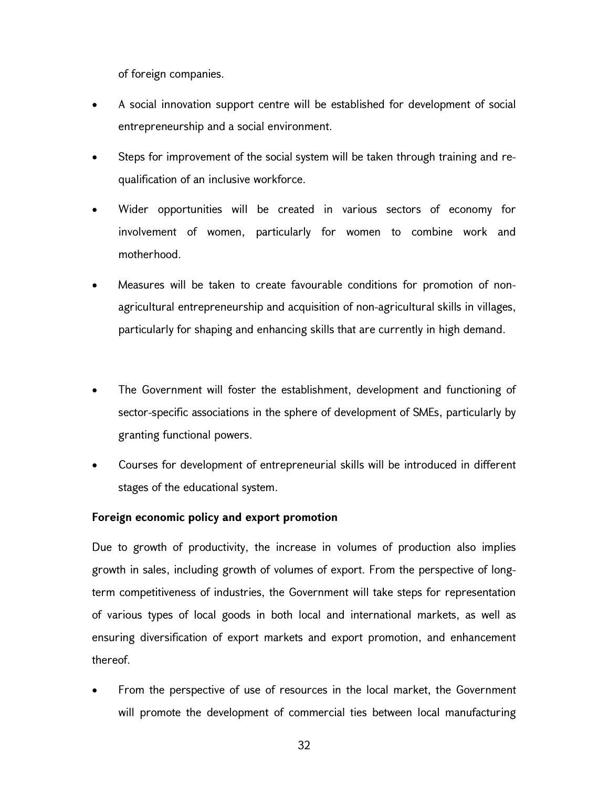of foreign companies.

- A social innovation support centre will be established for development of social entrepreneurship and a social environment.
- Steps for improvement of the social system will be taken through training and requalification of an inclusive workforce.
- Wider opportunities will be created in various sectors of economy for involvement of women, particularly for women to combine work and motherhood.
- Measures will be taken to create favourable conditions for promotion of nonagricultural entrepreneurship and acquisition of non-agricultural skills in villages, particularly for shaping and enhancing skills that are currently in high demand.
- The Government will foster the establishment, development and functioning of sector-specific associations in the sphere of development of SMEs, particularly by granting functional powers.
- Courses for development of entrepreneurial skills will be introduced in different stages of the educational system.

## Foreign economic policy and export promotion

Due to growth of productivity, the increase in volumes of production also implies growth in sales, including growth of volumes of export. From the perspective of longterm competitiveness of industries, the Government will take steps for representation of various types of local goods in both local and international markets, as well as ensuring diversification of export markets and export promotion, and enhancement thereof.

 From the perspective of use of resources in the local market, the Government will promote the development of commercial ties between local manufacturing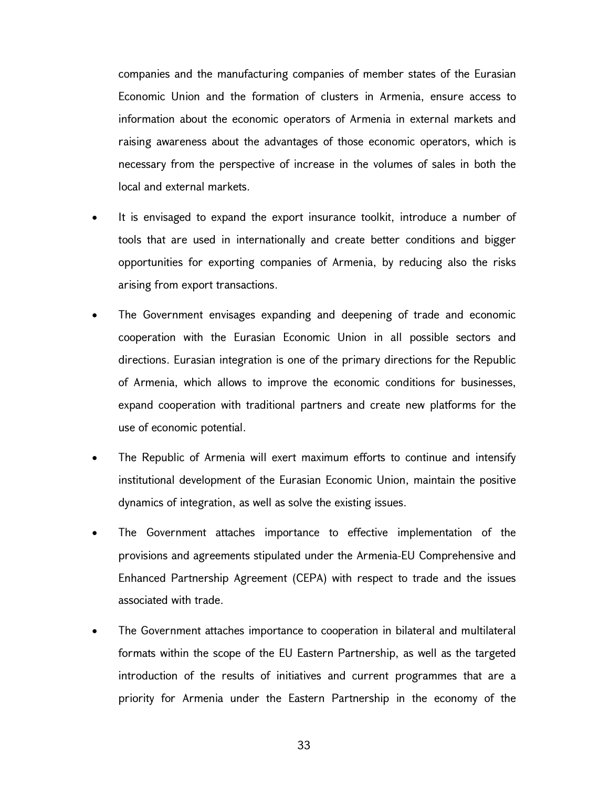companies and the manufacturing companies of member states of the Eurasian Economic Union and the formation of clusters in Armenia, ensure access to information about the economic operators of Armenia in external markets and raising awareness about the advantages of those economic operators, which is necessary from the perspective of increase in the volumes of sales in both the local and external markets.

- It is envisaged to expand the export insurance toolkit, introduce a number of tools that are used in internationally and create better conditions and bigger opportunities for exporting companies of Armenia, by reducing also the risks arising from export transactions.
- The Government envisages expanding and deepening of trade and economic cooperation with the Eurasian Economic Union in all possible sectors and directions. Eurasian integration is one of the primary directions for the Republic of Armenia, which allows to improve the economic conditions for businesses, expand cooperation with traditional partners and create new platforms for the use of economic potential.
- The Republic of Armenia will exert maximum efforts to continue and intensify institutional development of the Eurasian Economic Union, maintain the positive dynamics of integration, as well as solve the existing issues.
- The Government attaches importance to effective implementation of the provisions and agreements stipulated under the Armenia-EU Comprehensive and Enhanced Partnership Agreement (CEPA) with respect to trade and the issues associated with trade.
- The Government attaches importance to cooperation in bilateral and multilateral formats within the scope of the EU Eastern Partnership, as well as the targeted introduction of the results of initiatives and current programmes that are a priority for Armenia under the Eastern Partnership in the economy of the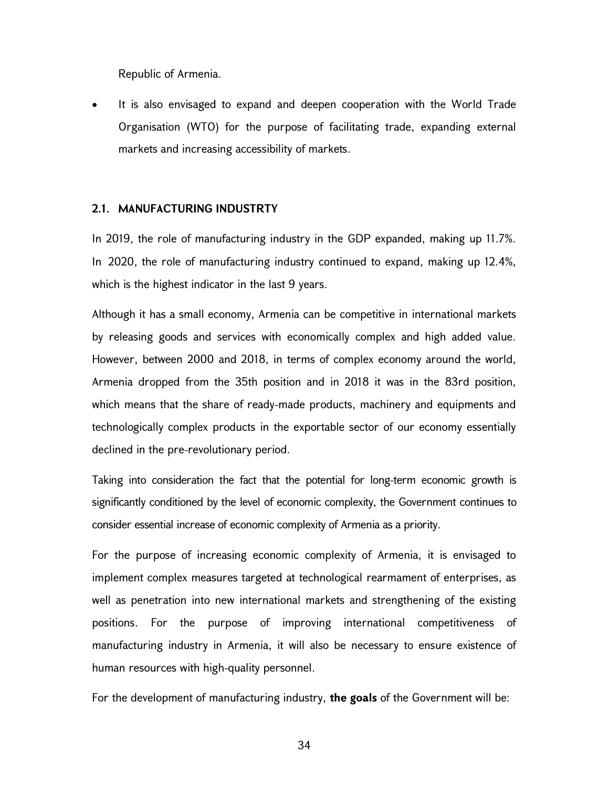Republic of Armenia.

 It is also envisaged to expand and deepen cooperation with the World Trade Organisation (WTO) for the purpose of facilitating trade, expanding external markets and increasing accessibility of markets.

## 2.1. MANUFACTURING INDUSTRTY

In 2019, the role of manufacturing industry in the GDP expanded, making up 11.7%. In 2020, the role of manufacturing industry continued to expand, making up 12.4%, which is the highest indicator in the last 9 years.

Although it has a small economy, Armenia can be competitive in international markets by releasing goods and services with economically complex and high added value. However, between 2000 and 2018, in terms of complex economy around the world, Armenia dropped from the 35th position and in 2018 it was in the 83rd position, which means that the share of ready-made products, machinery and equipments and technologically complex products in the exportable sector of our economy essentially declined in the pre-revolutionary period.

Taking into consideration the fact that the potential for long-term economic growth is significantly conditioned by the level of economic complexity, the Government continues to consider essential increase of economic complexity of Armenia as a priority.

For the purpose of increasing economic complexity of Armenia, it is envisaged to implement complex measures targeted at technological rearmament of enterprises, as well as penetration into new international markets and strengthening of the existing positions. For the purpose of improving international competitiveness of manufacturing industry in Armenia, it will also be necessary to ensure existence of human resources with high-quality personnel.

For the development of manufacturing industry, the goals of the Government will be: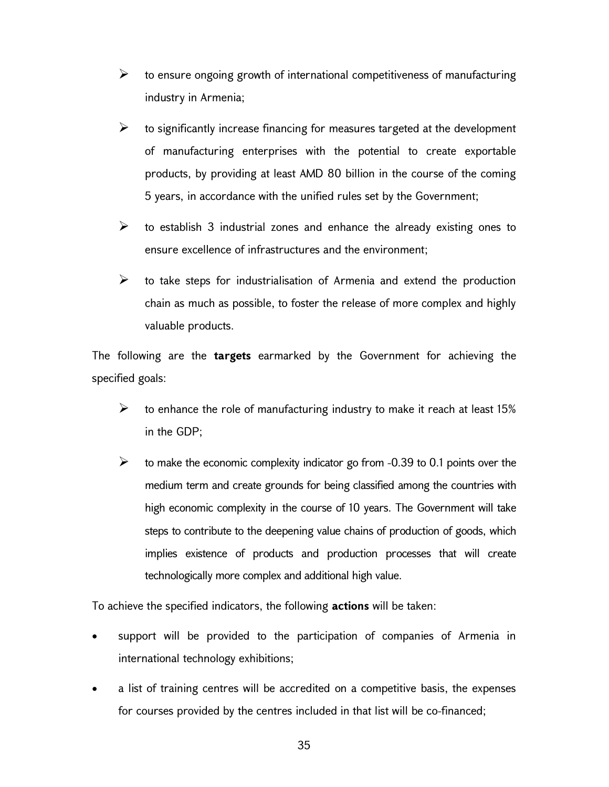- $\triangleright$  to ensure ongoing growth of international competitiveness of manufacturing industry in Armenia;
- $\triangleright$  to significantly increase financing for measures targeted at the development of manufacturing enterprises with the potential to create exportable products, by providing at least AMD 80 billion in the course of the coming 5 years, in accordance with the unified rules set by the Government;
- $\triangleright$  to establish 3 industrial zones and enhance the already existing ones to ensure excellence of infrastructures and the environment;
- $\triangleright$  to take steps for industrialisation of Armenia and extend the production chain as much as possible, to foster the release of more complex and highly valuable products.

The following are the **targets** earmarked by the Government for achieving the specified goals:

- $\triangleright$  to enhance the role of manufacturing industry to make it reach at least 15% in the GDP;
- $\geq$  to make the economic complexity indicator go from -0.39 to 0.1 points over the medium term and create grounds for being classified among the countries with high economic complexity in the course of 10 years. The Government will take steps to contribute to the deepening value chains of production of goods, which implies existence of products and production processes that will create technologically more complex and additional high value.

To achieve the specified indicators, the following actions will be taken:

- support will be provided to the participation of companies of Armenia in international technology exhibitions;
- a list of training centres will be accredited on a competitive basis, the expenses for courses provided by the centres included in that list will be co-financed;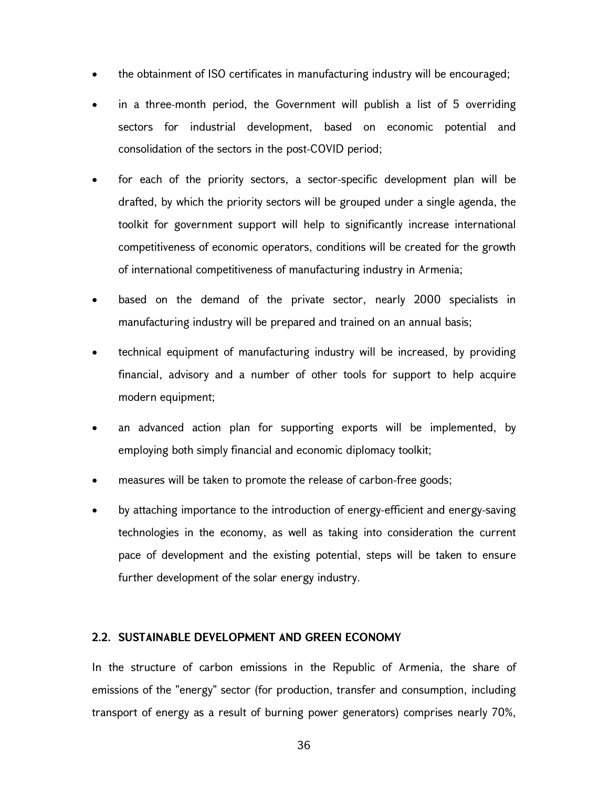- the obtainment of ISO certificates in manufacturing industry will be encouraged;
- in a three-month period, the Government will publish a list of 5 overriding sectors for industrial development, based on economic potential and consolidation of the sectors in the post-COVID period;
- for each of the priority sectors, a sector-specific development plan will be drafted, by which the priority sectors will be grouped under a single agenda, the toolkit for government support will help to significantly increase international competitiveness of economic operators, conditions will be created for the growth of international competitiveness of manufacturing industry in Armenia;
- based on the demand of the private sector, nearly 2000 specialists in manufacturing industry will be prepared and trained on an annual basis;
- technical equipment of manufacturing industry will be increased, by providing financial, advisory and a number of other tools for support to help acquire modern equipment;
- an advanced action plan for supporting exports will be implemented, by employing both simply financial and economic diplomacy toolkit;
- measures will be taken to promote the release of carbon-free goods;
- by attaching importance to the introduction of energy-efficient and energy-saving technologies in the economy, as well as taking into consideration the current pace of development and the existing potential, steps will be taken to ensure further development of the solar energy industry.

#### 2.2. SUSTAINABLE DEVELOPMENT AND GREEN ECONOMY

In the structure of carbon emissions in the Republic of Armenia, the share of emissions of the "energy" sector (for production, transfer and consumption, including transport of energy as a result of burning power generators) comprises nearly 70%,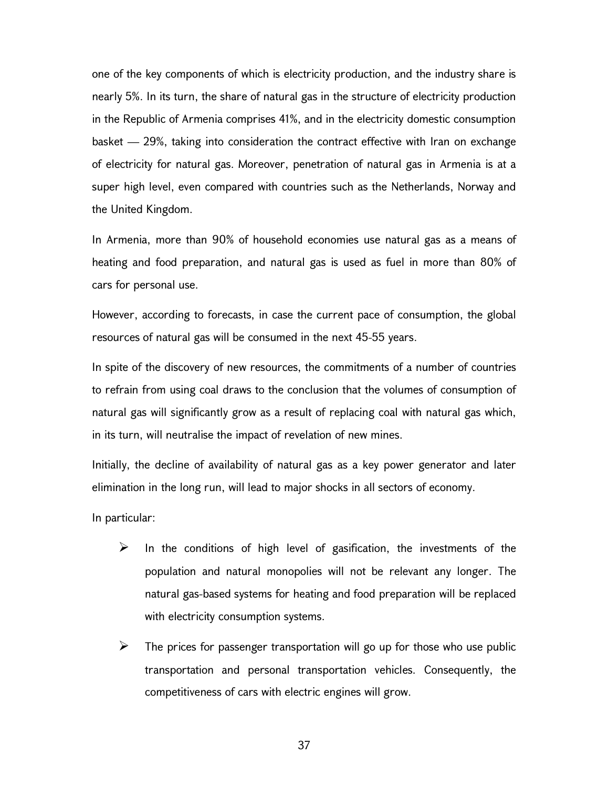one of the key components of which is electricity production, and the industry share is nearly 5%. In its turn, the share of natural gas in the structure of electricity production in the Republic of Armenia comprises 41%, and in the electricity domestic consumption basket — 29%, taking into consideration the contract effective with Iran on exchange of electricity for natural gas. Moreover, penetration of natural gas in Armenia is at a super high level, even compared with countries such as the Netherlands, Norway and the United Kingdom.

In Armenia, more than 90% of household economies use natural gas as a means of heating and food preparation, and natural gas is used as fuel in more than 80% of cars for personal use.

However, according to forecasts, in case the current pace of consumption, the global resources of natural gas will be consumed in the next 45-55 years.

In spite of the discovery of new resources, the commitments of a number of countries to refrain from using coal draws to the conclusion that the volumes of consumption of natural gas will significantly grow as a result of replacing coal with natural gas which, in its turn, will neutralise the impact of revelation of new mines.

Initially, the decline of availability of natural gas as a key power generator and later elimination in the long run, will lead to major shocks in all sectors of economy.

In particular:

- $\triangleright$  In the conditions of high level of gasification, the investments of the population and natural monopolies will not be relevant any longer. The natural gas-based systems for heating and food preparation will be replaced with electricity consumption systems.
- $\triangleright$  The prices for passenger transportation will go up for those who use public transportation and personal transportation vehicles. Consequently, the competitiveness of cars with electric engines will grow.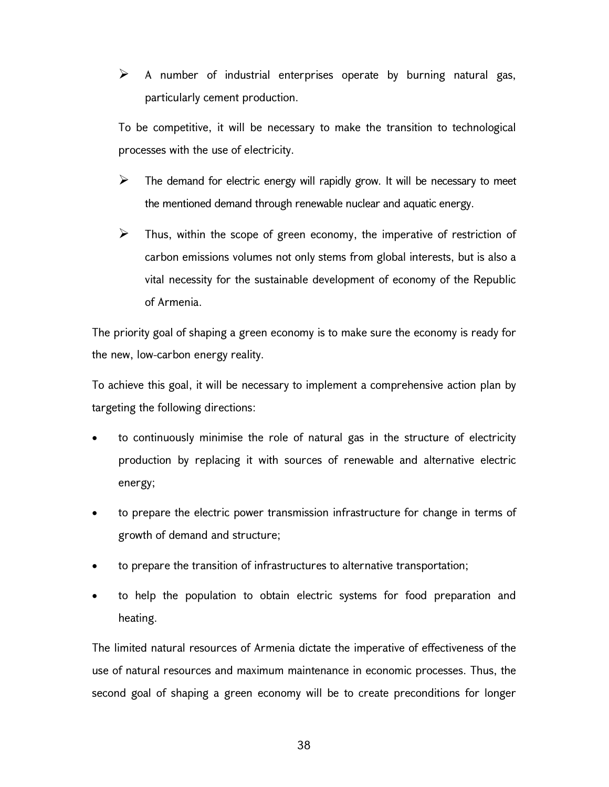$\triangleright$  A number of industrial enterprises operate by burning natural gas, particularly cement production.

To be competitive, it will be necessary to make the transition to technological processes with the use of electricity.

- $\triangleright$  The demand for electric energy will rapidly grow. It will be necessary to meet the mentioned demand through renewable nuclear and aquatic energy.
- $\triangleright$  Thus, within the scope of green economy, the imperative of restriction of carbon emissions volumes not only stems from global interests, but is also a vital necessity for the sustainable development of economy of the Republic of Armenia.

The priority goal of shaping a green economy is to make sure the economy is ready for the new, low-carbon energy reality.

To achieve this goal, it will be necessary to implement a comprehensive action plan by targeting the following directions:

- to continuously minimise the role of natural gas in the structure of electricity production by replacing it with sources of renewable and alternative electric energy;
- to prepare the electric power transmission infrastructure for change in terms of growth of demand and structure;
- to prepare the transition of infrastructures to alternative transportation;
- to help the population to obtain electric systems for food preparation and heating.

The limited natural resources of Armenia dictate the imperative of effectiveness of the use of natural resources and maximum maintenance in economic processes. Thus, the second goal of shaping a green economy will be to create preconditions for longer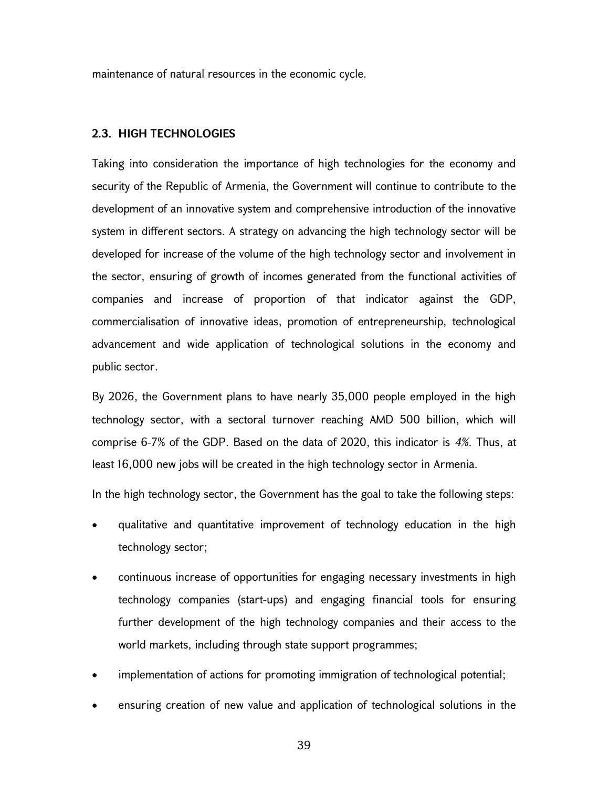maintenance of natural resources in the economic cycle.

#### 2.3. HIGH TECHNOLOGIES

Taking into consideration the importance of high technologies for the economy and security of the Republic of Armenia, the Government will continue to contribute to the development of an innovative system and comprehensive introduction of the innovative system in different sectors. A strategy on advancing the high technology sector will be developed for increase of the volume of the high technology sector and involvement in the sector, ensuring of growth of incomes generated from the functional activities of companies and increase of proportion of that indicator against the GDP, commercialisation of innovative ideas, promotion of entrepreneurship, technological advancement and wide application of technological solutions in the economy and public sector.

By 2026, the Government plans to have nearly 35,000 people employed in the high technology sector, with a sectoral turnover reaching AMD 500 billion, which will comprise 6-7% of the GDP. Based on the data of 2020, this indicator is 4%. Thus, at least 16,000 new jobs will be created in the high technology sector in Armenia.

In the high technology sector, the Government has the goal to take the following steps:

- qualitative and quantitative improvement of technology education in the high technology sector;
- continuous increase of opportunities for engaging necessary investments in high technology companies (start-ups) and engaging financial tools for ensuring further development of the high technology companies and their access to the world markets, including through state support programmes;
- implementation of actions for promoting immigration of technological potential;
- ensuring creation of new value and application of technological solutions in the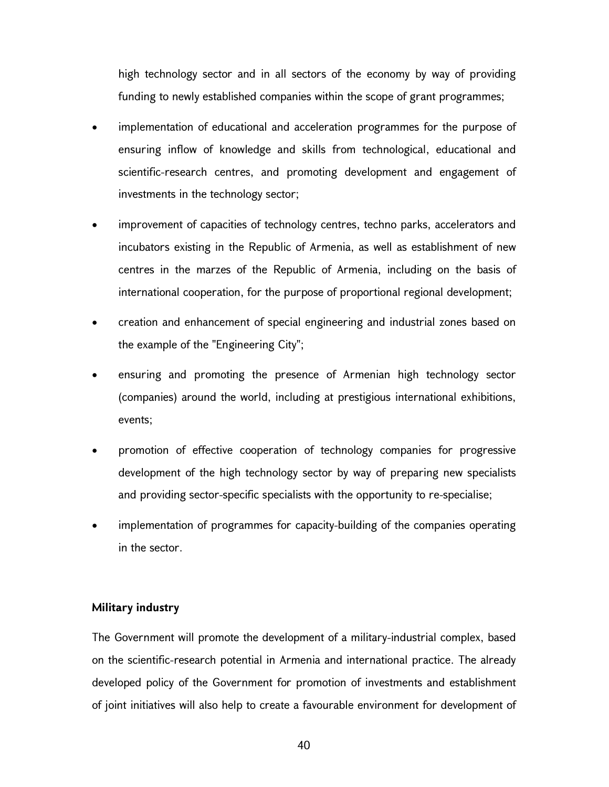high technology sector and in all sectors of the economy by way of providing funding to newly established companies within the scope of grant programmes;

- implementation of educational and acceleration programmes for the purpose of ensuring inflow of knowledge and skills from technological, educational and scientific-research centres, and promoting development and engagement of investments in the technology sector;
- improvement of capacities of technology centres, techno parks, accelerators and incubators existing in the Republic of Armenia, as well as establishment of new centres in the marzes of the Republic of Armenia, including on the basis of international cooperation, for the purpose of proportional regional development;
- creation and enhancement of special engineering and industrial zones based on the example of the "Engineering City";
- ensuring and promoting the presence of Armenian high technology sector (companies) around the world, including at prestigious international exhibitions, events;
- promotion of effective cooperation of technology companies for progressive development of the high technology sector by way of preparing new specialists and providing sector-specific specialists with the opportunity to re-specialise;
- implementation of programmes for capacity-building of the companies operating in the sector.

#### Military industry

The Government will promote the development of a military-industrial complex, based on the scientific-research potential in Armenia and international practice. The already developed policy of the Government for promotion of investments and establishment of joint initiatives will also help to create a favourable environment for development of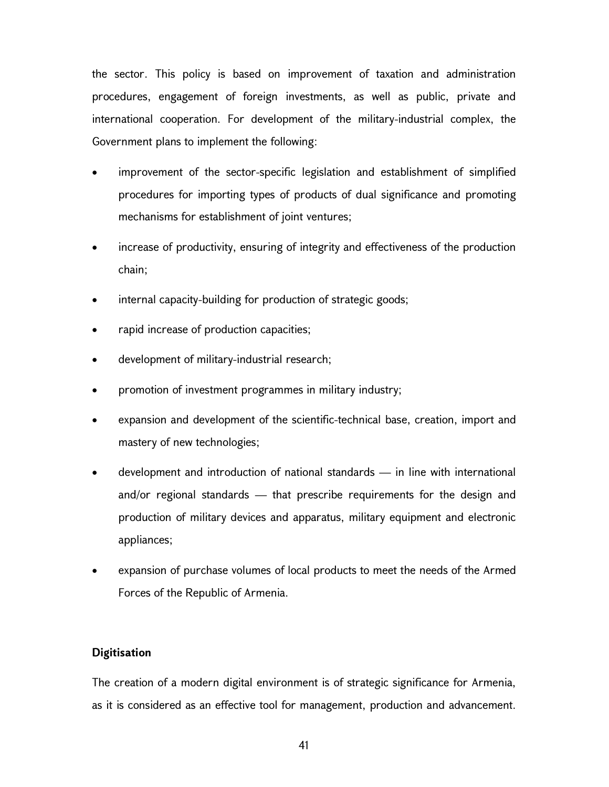the sector. This policy is based on improvement of taxation and administration procedures, engagement of foreign investments, as well as public, private and international cooperation. For development of the military-industrial complex, the Government plans to implement the following:

- improvement of the sector-specific legislation and establishment of simplified procedures for importing types of products of dual significance and promoting mechanisms for establishment of joint ventures;
- increase of productivity, ensuring of integrity and effectiveness of the production chain;
- internal capacity-building for production of strategic goods;
- rapid increase of production capacities;
- development of military-industrial research;
- promotion of investment programmes in military industry;
- expansion and development of the scientific-technical base, creation, import and mastery of new technologies;
- development and introduction of national standards in line with international and/or regional standards — that prescribe requirements for the design and production of military devices and apparatus, military equipment and electronic appliances;
- expansion of purchase volumes of local products to meet the needs of the Armed Forces of the Republic of Armenia.

# **Digitisation**

The creation of a modern digital environment is of strategic significance for Armenia, as it is considered as an effective tool for management, production and advancement.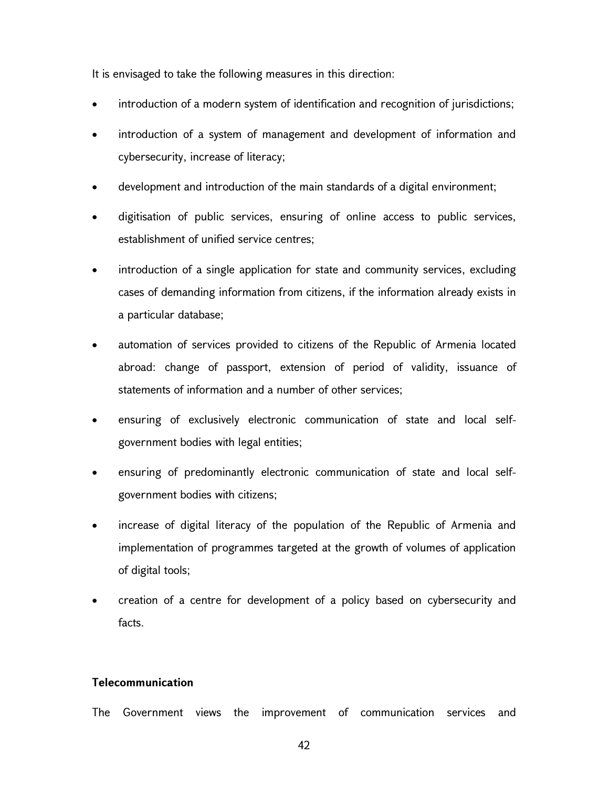It is envisaged to take the following measures in this direction:

- introduction of a modern system of identification and recognition of jurisdictions;
- introduction of a system of management and development of information and cybersecurity, increase of literacy;
- development and introduction of the main standards of a digital environment;
- digitisation of public services, ensuring of online access to public services, establishment of unified service centres;
- introduction of a single application for state and community services, excluding cases of demanding information from citizens, if the information already exists in a particular database;
- automation of services provided to citizens of the Republic of Armenia located abroad: change of passport, extension of period of validity, issuance of statements of information and a number of other services;
- ensuring of exclusively electronic communication of state and local selfgovernment bodies with legal entities;
- ensuring of predominantly electronic communication of state and local selfgovernment bodies with citizens;
- increase of digital literacy of the population of the Republic of Armenia and implementation of programmes targeted at the growth of volumes of application of digital tools;
- creation of a centre for development of a policy based on cybersecurity and facts.

## Telecommunication

The Government views the improvement of communication services and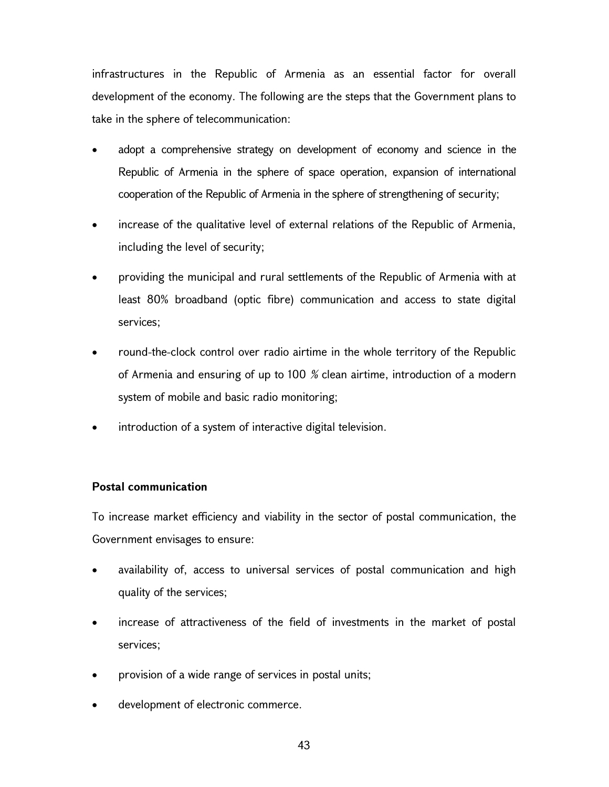infrastructures in the Republic of Armenia as an essential factor for overall development of the economy. The following are the steps that the Government plans to take in the sphere of telecommunication:

- adopt a comprehensive strategy on development of economy and science in the Republic of Armenia in the sphere of space operation, expansion of international cooperation of the Republic of Armenia in the sphere of strengthening of security;
- increase of the qualitative level of external relations of the Republic of Armenia, including the level of security;
- providing the municipal and rural settlements of the Republic of Armenia with at least 80% broadband (optic fibre) communication and access to state digital services;
- round-the-clock control over radio airtime in the whole territory of the Republic of Armenia and ensuring of up to 100 % clean airtime, introduction of a modern system of mobile and basic radio monitoring;
- introduction of a system of interactive digital television.

# Postal communication

To increase market efficiency and viability in the sector of postal communication, the Government envisages to ensure:

- availability of, access to universal services of postal communication and high quality of the services;
- increase of attractiveness of the field of investments in the market of postal services;
- provision of a wide range of services in postal units;
- development of electronic commerce.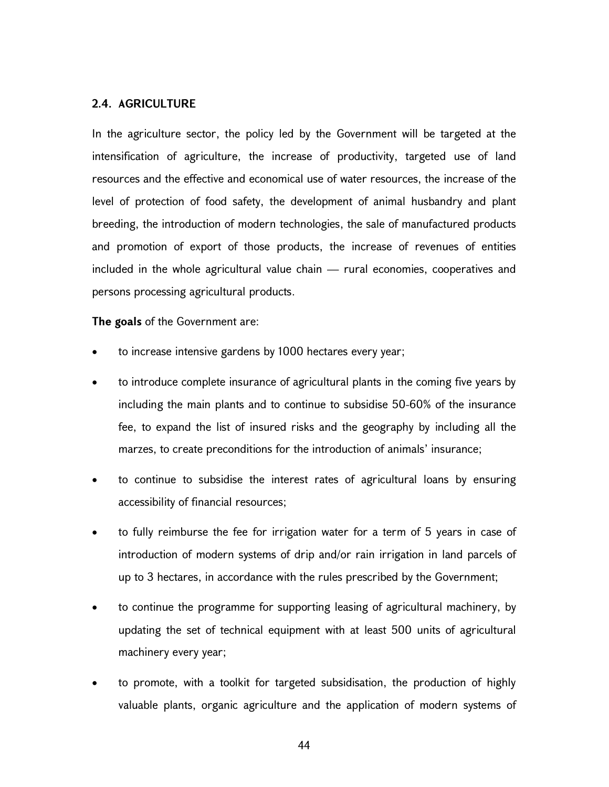#### 2.4. AGRICULTURE

In the agriculture sector, the policy led by the Government will be targeted at the intensification of agriculture, the increase of productivity, targeted use of land resources and the effective and economical use of water resources, the increase of the level of protection of food safety, the development of animal husbandry and plant breeding, the introduction of modern technologies, the sale of manufactured products and promotion of export of those products, the increase of revenues of entities included in the whole agricultural value chain — rural economies, cooperatives and persons processing agricultural products.

The goals of the Government are:

- to increase intensive gardens by 1000 hectares every year;
- to introduce complete insurance of agricultural plants in the coming five years by including the main plants and to continue to subsidise 50-60% of the insurance fee, to expand the list of insured risks and the geography by including all the marzes, to create preconditions for the introduction of animals' insurance;
- to continue to subsidise the interest rates of agricultural loans by ensuring accessibility of financial resources;
- to fully reimburse the fee for irrigation water for a term of 5 years in case of introduction of modern systems of drip and/or rain irrigation in land parcels of up to 3 hectares, in accordance with the rules prescribed by the Government;
- to continue the programme for supporting leasing of agricultural machinery, by updating the set of technical equipment with at least 500 units of agricultural machinery every year;
- to promote, with a toolkit for targeted subsidisation, the production of highly valuable plants, organic agriculture and the application of modern systems of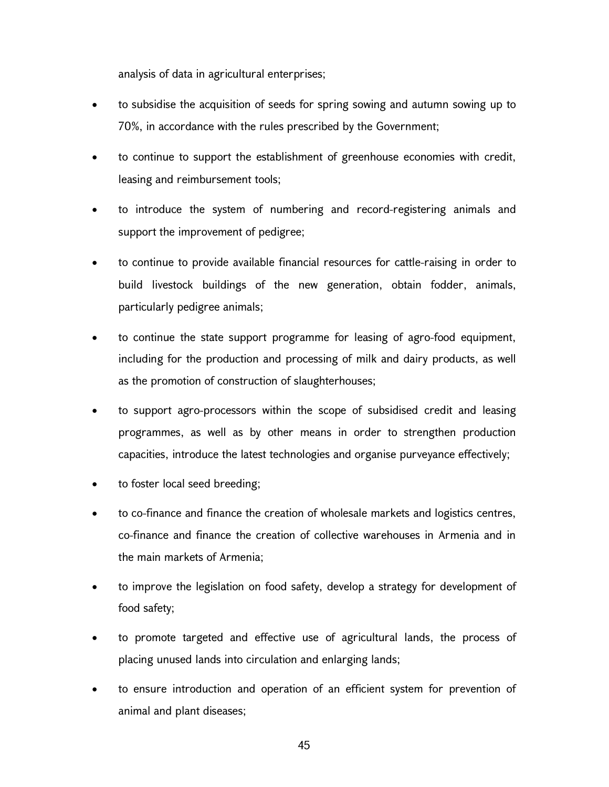analysis of data in agricultural enterprises;

- to subsidise the acquisition of seeds for spring sowing and autumn sowing up to 70%, in accordance with the rules prescribed by the Government;
- to continue to support the establishment of greenhouse economies with credit, leasing and reimbursement tools;
- to introduce the system of numbering and record-registering animals and support the improvement of pedigree;
- to continue to provide available financial resources for cattle-raising in order to build livestock buildings of the new generation, obtain fodder, animals, particularly pedigree animals;
- to continue the state support programme for leasing of agro-food equipment, including for the production and processing of milk and dairy products, as well as the promotion of construction of slaughterhouses;
- to support agro-processors within the scope of subsidised credit and leasing programmes, as well as by other means in order to strengthen production capacities, introduce the latest technologies and organise purveyance effectively;
- to foster local seed breeding;
- to co-finance and finance the creation of wholesale markets and logistics centres, co-finance and finance the creation of collective warehouses in Armenia and in the main markets of Armenia;
- to improve the legislation on food safety, develop a strategy for development of food safety;
- to promote targeted and effective use of agricultural lands, the process of placing unused lands into circulation and enlarging lands;
- to ensure introduction and operation of an efficient system for prevention of animal and plant diseases;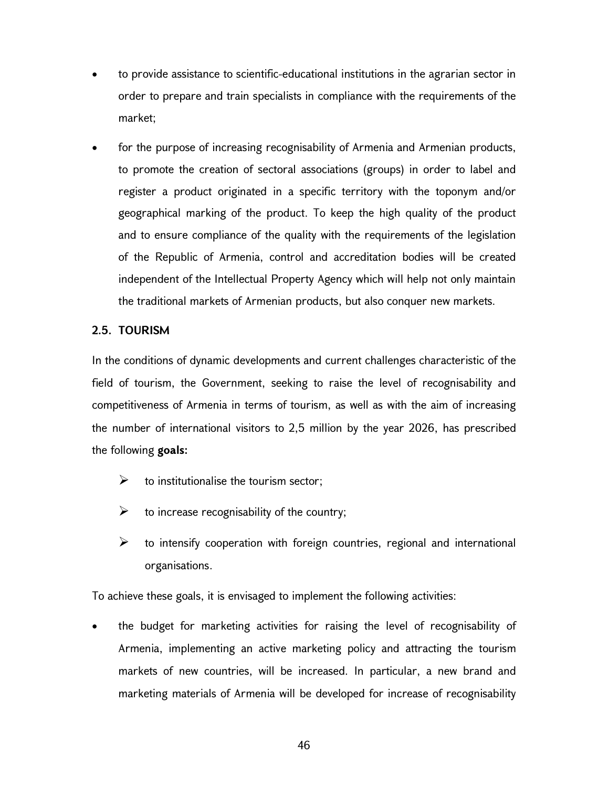- to provide assistance to scientific-educational institutions in the agrarian sector in order to prepare and train specialists in compliance with the requirements of the market;
- for the purpose of increasing recognisability of Armenia and Armenian products, to promote the creation of sectoral associations (groups) in order to label and register a product originated in a specific territory with the toponym and/or geographical marking of the product. To keep the high quality of the product and to ensure compliance of the quality with the requirements of the legislation of the Republic of Armenia, control and accreditation bodies will be created independent of the Intellectual Property Agency which will help not only maintain the traditional markets of Armenian products, but also conquer new markets.

# 2.5. TOURISM

In the conditions of dynamic developments and current challenges characteristic of the field of tourism, the Government, seeking to raise the level of recognisability and competitiveness of Armenia in terms of tourism, as well as with the aim of increasing the number of international visitors to 2,5 million by the year 2026, has prescribed the following goals:

- $\triangleright$  to institutionalise the tourism sector;
- $\triangleright$  to increase recognisability of the country;
- $\triangleright$  to intensify cooperation with foreign countries, regional and international organisations.

To achieve these goals, it is envisaged to implement the following activities:

 the budget for marketing activities for raising the level of recognisability of Armenia, implementing an active marketing policy and attracting the tourism markets of new countries, will be increased. In particular, a new brand and marketing materials of Armenia will be developed for increase of recognisability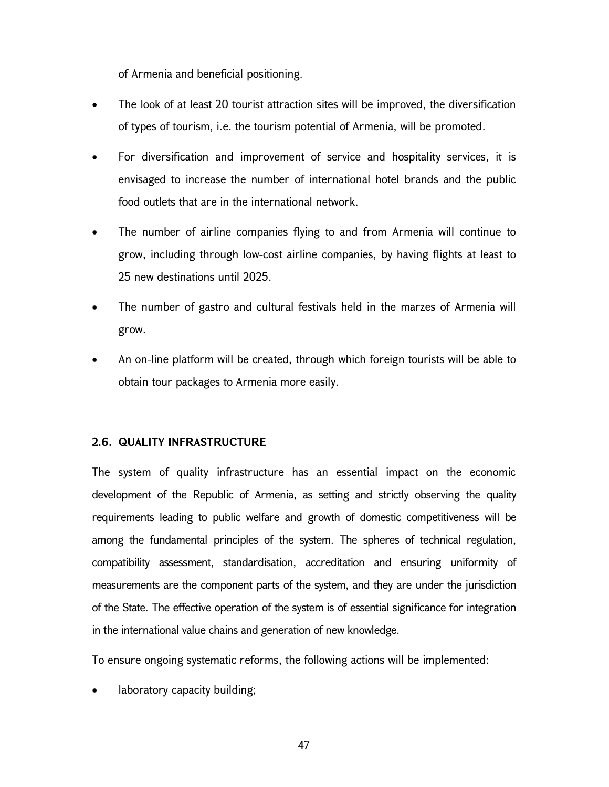of Armenia and beneficial positioning.

- The look of at least 20 tourist attraction sites will be improved, the diversification of types of tourism, i.e. the tourism potential of Armenia, will be promoted.
- For diversification and improvement of service and hospitality services, it is envisaged to increase the number of international hotel brands and the public food outlets that are in the international network.
- The number of airline companies flying to and from Armenia will continue to grow, including through low-cost airline companies, by having flights at least to 25 new destinations until 2025.
- The number of gastro and cultural festivals held in the marzes of Armenia will grow.
- An on-line platform will be created, through which foreign tourists will be able to obtain tour packages to Armenia more easily.

## 2.6. QUALITY INFRASTRUCTURE

The system of quality infrastructure has an essential impact on the economic development of the Republic of Armenia, as setting and strictly observing the quality requirements leading to public welfare and growth of domestic competitiveness will be among the fundamental principles of the system. The spheres of technical regulation, compatibility assessment, standardisation, accreditation and ensuring uniformity of measurements are the component parts of the system, and they are under the jurisdiction of the State. The effective operation of the system is of essential significance for integration in the international value chains and generation of new knowledge.

To ensure ongoing systematic reforms, the following actions will be implemented:

laboratory capacity building;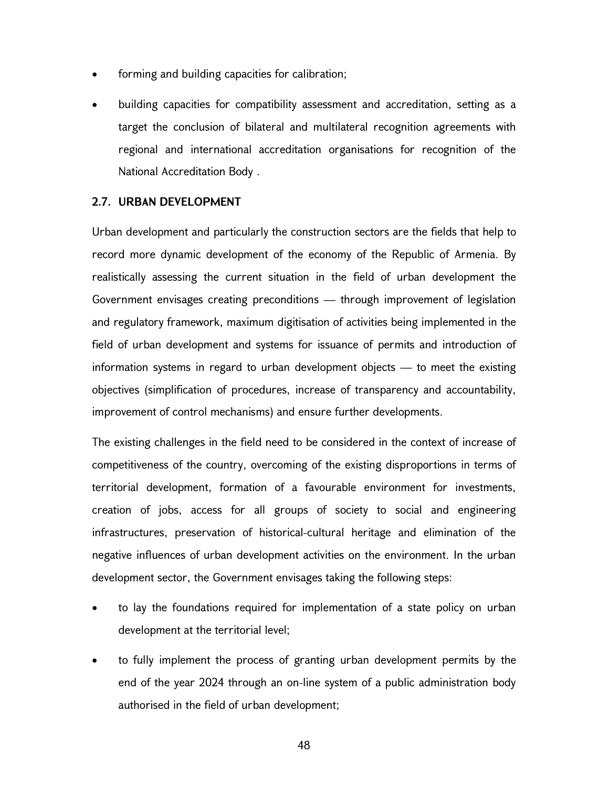- forming and building capacities for calibration;
- building capacities for compatibility assessment and accreditation, setting as a target the conclusion of bilateral and multilateral recognition agreements with regional and international accreditation organisations for recognition of the National Accreditation Body .

## 2.7. URBAN DEVELOPMENT

Urban development and particularly the construction sectors are the fields that help to record more dynamic development of the economy of the Republic of Armenia. By realistically assessing the current situation in the field of urban development the Government envisages creating preconditions — through improvement of legislation and regulatory framework, maximum digitisation of activities being implemented in the field of urban development and systems for issuance of permits and introduction of information systems in regard to urban development objects — to meet the existing objectives (simplification of procedures, increase of transparency and accountability, improvement of control mechanisms) and ensure further developments.

The existing challenges in the field need to be considered in the context of increase of competitiveness of the country, overcoming of the existing disproportions in terms of territorial development, formation of a favourable environment for investments, creation of jobs, access for all groups of society to social and engineering infrastructures, preservation of historical-cultural heritage and elimination of the negative influences of urban development activities on the environment. In the urban development sector, the Government envisages taking the following steps:

- to lay the foundations required for implementation of a state policy on urban development at the territorial level;
- to fully implement the process of granting urban development permits by the end of the year 2024 through an on-line system of a public administration body authorised in the field of urban development;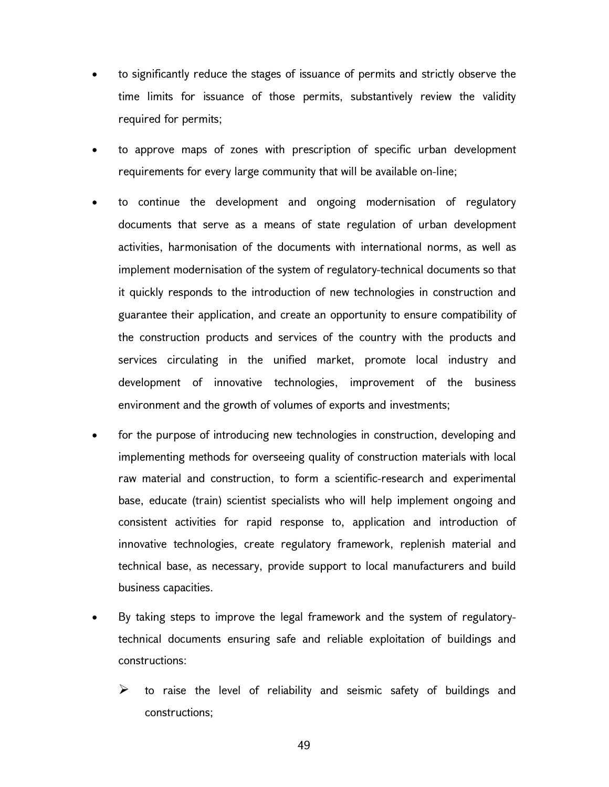- to significantly reduce the stages of issuance of permits and strictly observe the time limits for issuance of those permits, substantively review the validity required for permits;
- to approve maps of zones with prescription of specific urban development requirements for every large community that will be available on-line;
- to continue the development and ongoing modernisation of regulatory documents that serve as a means of state regulation of urban development activities, harmonisation of the documents with international norms, as well as implement modernisation of the system of regulatory-technical documents so that it quickly responds to the introduction of new technologies in construction and guarantee their application, and create an opportunity to ensure compatibility of the construction products and services of the country with the products and services circulating in the unified market, promote local industry and development of innovative technologies, improvement of the business environment and the growth of volumes of exports and investments;
- for the purpose of introducing new technologies in construction, developing and implementing methods for overseeing quality of construction materials with local raw material and construction, to form a scientific-research and experimental base, educate (train) scientist specialists who will help implement ongoing and consistent activities for rapid response to, application and introduction of innovative technologies, create regulatory framework, replenish material and technical base, as necessary, provide support to local manufacturers and build business capacities.
- By taking steps to improve the legal framework and the system of regulatorytechnical documents ensuring safe and reliable exploitation of buildings and constructions:
	- $\triangleright$  to raise the level of reliability and seismic safety of buildings and constructions;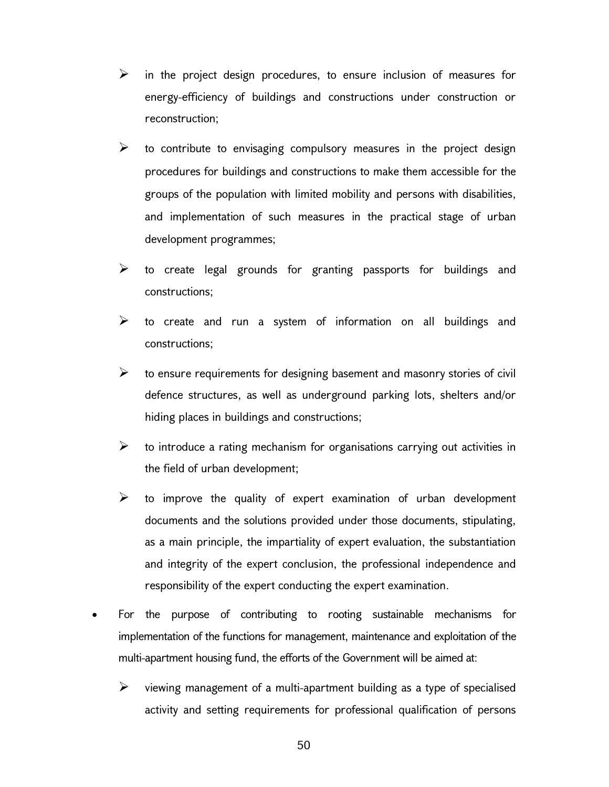- $\triangleright$  in the project design procedures, to ensure inclusion of measures for energy-efficiency of buildings and constructions under construction or reconstruction;
- $\triangleright$  to contribute to envisaging compulsory measures in the project design procedures for buildings and constructions to make them accessible for the groups of the population with limited mobility and persons with disabilities, and implementation of such measures in the practical stage of urban development programmes;
- $\triangleright$  to create legal grounds for granting passports for buildings and constructions;
- $\triangleright$  to create and run a system of information on all buildings and constructions;
- $\triangleright$  to ensure requirements for designing basement and masonry stories of civil defence structures, as well as underground parking lots, shelters and/or hiding places in buildings and constructions;
- $\triangleright$  to introduce a rating mechanism for organisations carrying out activities in the field of urban development;
- $\triangleright$  to improve the quality of expert examination of urban development documents and the solutions provided under those documents, stipulating, as a main principle, the impartiality of expert evaluation, the substantiation and integrity of the expert conclusion, the professional independence and responsibility of the expert conducting the expert examination.
- For the purpose of contributing to rooting sustainable mechanisms for implementation of the functions for management, maintenance and exploitation of the multi-apartment housing fund, the efforts of the Government will be aimed at:
	- $\triangleright$  viewing management of a multi-apartment building as a type of specialised activity and setting requirements for professional qualification of persons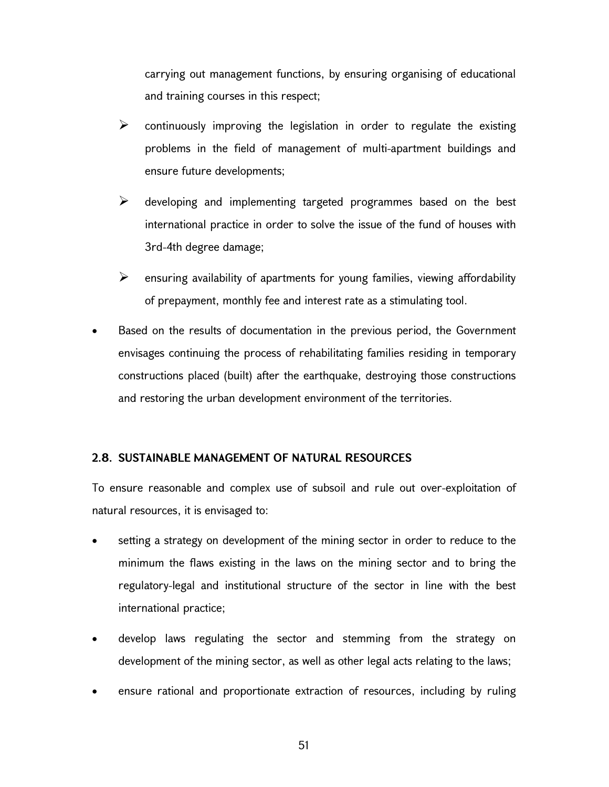carrying out management functions, by ensuring organising of educational and training courses in this respect;

- $\triangleright$  continuously improving the legislation in order to regulate the existing problems in the field of management of multi-apartment buildings and ensure future developments;
- $\triangleright$  developing and implementing targeted programmes based on the best international practice in order to solve the issue of the fund of houses with 3rd-4th degree damage;
- $\triangleright$  ensuring availability of apartments for young families, viewing affordability of prepayment, monthly fee and interest rate as a stimulating tool.
- Based on the results of documentation in the previous period, the Government envisages continuing the process of rehabilitating families residing in temporary constructions placed (built) after the earthquake, destroying those constructions and restoring the urban development environment of the territories.

## 2.8. SUSTAINABLE MANAGEMENT OF NATURAL RESOURCES

To ensure reasonable and complex use of subsoil and rule out over-exploitation of natural resources, it is envisaged to:

- setting a strategy on development of the mining sector in order to reduce to the minimum the flaws existing in the laws on the mining sector and to bring the regulatory-legal and institutional structure of the sector in line with the best international practice;
- develop laws regulating the sector and stemming from the strategy on development of the mining sector, as well as other legal acts relating to the laws;
- ensure rational and proportionate extraction of resources, including by ruling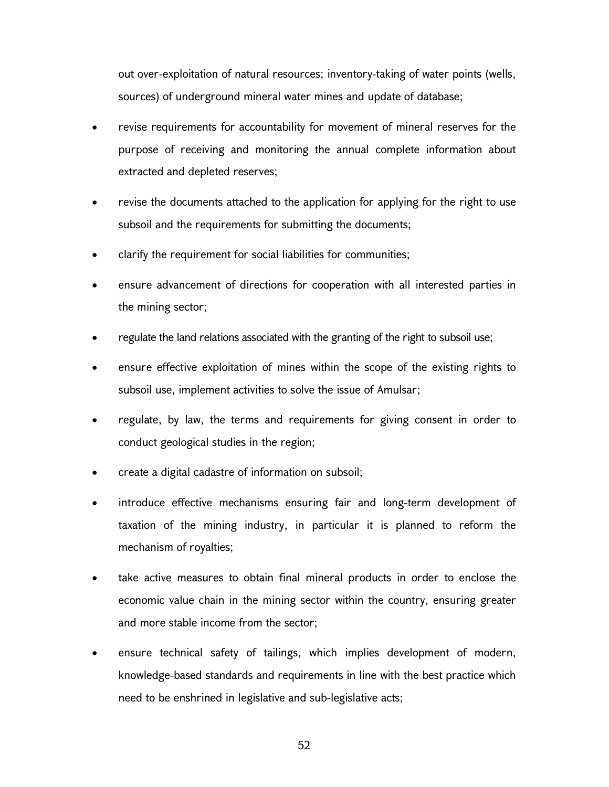out over-exploitation of natural resources; inventory-taking of water points (wells, sources) of underground mineral water mines and update of database;

- revise requirements for accountability for movement of mineral reserves for the purpose of receiving and monitoring the annual complete information about extracted and depleted reserves;
- revise the documents attached to the application for applying for the right to use subsoil and the requirements for submitting the documents;
- clarify the requirement for social liabilities for communities;
- ensure advancement of directions for cooperation with all interested parties in the mining sector;
- regulate the land relations associated with the granting of the right to subsoil use;
- ensure effective exploitation of mines within the scope of the existing rights to subsoil use, implement activities to solve the issue of Amulsar;
- regulate, by law, the terms and requirements for giving consent in order to conduct geological studies in the region;
- create a digital cadastre of information on subsoil;
- introduce effective mechanisms ensuring fair and long-term development of taxation of the mining industry, in particular it is planned to reform the mechanism of royalties;
- take active measures to obtain final mineral products in order to enclose the economic value chain in the mining sector within the country, ensuring greater and more stable income from the sector;
- ensure technical safety of tailings, which implies development of modern, knowledge-based standards and requirements in line with the best practice which need to be enshrined in legislative and sub-legislative acts;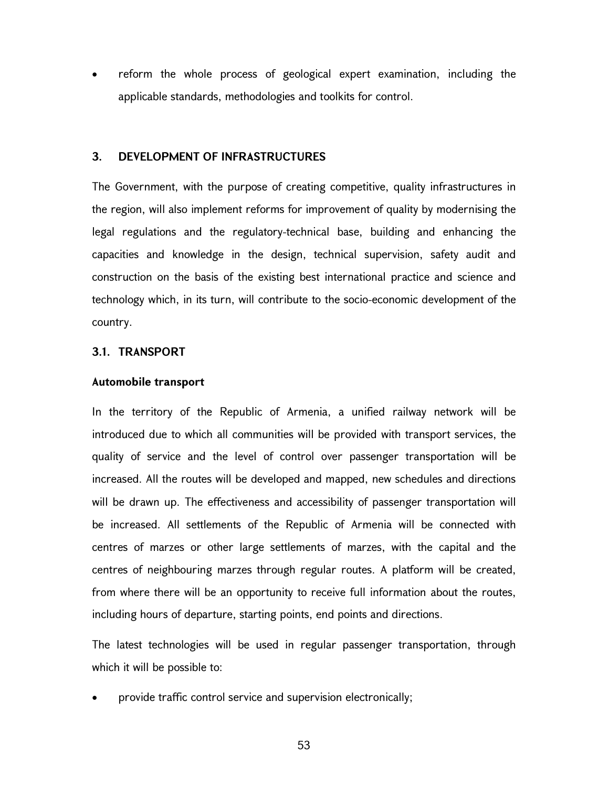reform the whole process of geological expert examination, including the applicable standards, methodologies and toolkits for control.

#### 3. DEVELOPMENT OF INFRASTRUCTURES

The Government, with the purpose of creating competitive, quality infrastructures in the region, will also implement reforms for improvement of quality by modernising the legal regulations and the regulatory-technical base, building and enhancing the capacities and knowledge in the design, technical supervision, safety audit and construction on the basis of the existing best international practice and science and technology which, in its turn, will contribute to the socio-economic development of the country.

#### 3.1. TRANSPORT

#### Automobile transport

In the territory of the Republic of Armenia, a unified railway network will be introduced due to which all communities will be provided with transport services, the quality of service and the level of control over passenger transportation will be increased. All the routes will be developed and mapped, new schedules and directions will be drawn up. The effectiveness and accessibility of passenger transportation will be increased. All settlements of the Republic of Armenia will be connected with centres of marzes or other large settlements of marzes, with the capital and the centres of neighbouring marzes through regular routes. A platform will be created, from where there will be an opportunity to receive full information about the routes, including hours of departure, starting points, end points and directions.

The latest technologies will be used in regular passenger transportation, through which it will be possible to:

provide traffic control service and supervision electronically;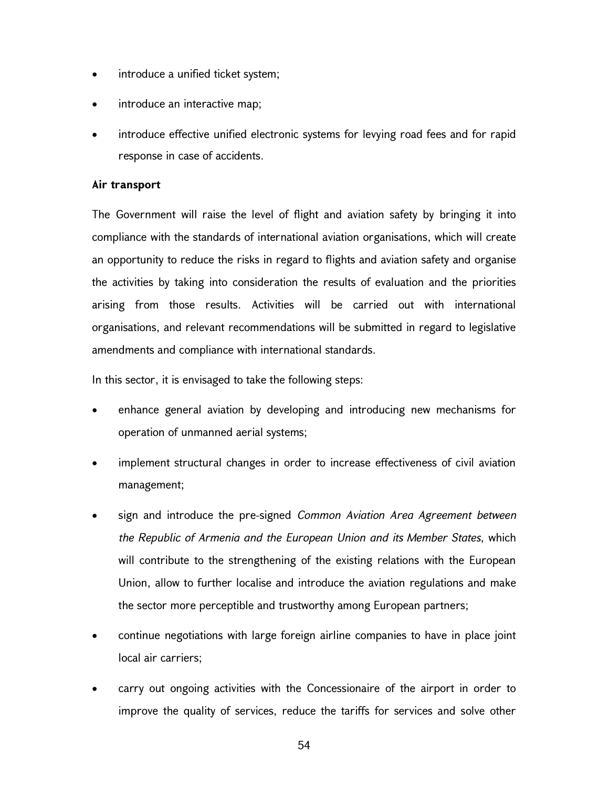- introduce a unified ticket system;
- introduce an interactive map;
- introduce effective unified electronic systems for levying road fees and for rapid response in case of accidents.

## Air transport

The Government will raise the level of flight and aviation safety by bringing it into compliance with the standards of international aviation organisations, which will create an opportunity to reduce the risks in regard to flights and aviation safety and organise the activities by taking into consideration the results of evaluation and the priorities arising from those results. Activities will be carried out with international organisations, and relevant recommendations will be submitted in regard to legislative amendments and compliance with international standards.

In this sector, it is envisaged to take the following steps:

- enhance general aviation by developing and introducing new mechanisms for operation of unmanned aerial systems;
- implement structural changes in order to increase effectiveness of civil aviation management;
- sign and introduce the pre-signed Common Aviation Area Agreement between the Republic of Armenia and the European Union and its Member States, which will contribute to the strengthening of the existing relations with the European Union, allow to further localise and introduce the aviation regulations and make the sector more perceptible and trustworthy among European partners;
- continue negotiations with large foreign airline companies to have in place joint local air carriers;
- carry out ongoing activities with the Concessionaire of the airport in order to improve the quality of services, reduce the tariffs for services and solve other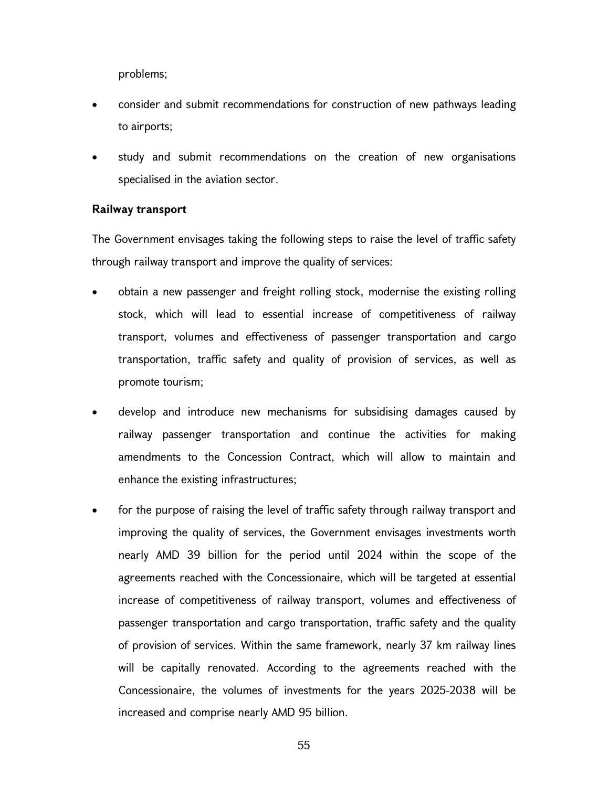problems;

- consider and submit recommendations for construction of new pathways leading to airports;
- study and submit recommendations on the creation of new organisations specialised in the aviation sector.

#### Railway transport

The Government envisages taking the following steps to raise the level of traffic safety through railway transport and improve the quality of services:

- obtain a new passenger and freight rolling stock, modernise the existing rolling stock, which will lead to essential increase of competitiveness of railway transport, volumes and effectiveness of passenger transportation and cargo transportation, traffic safety and quality of provision of services, as well as promote tourism;
- develop and introduce new mechanisms for subsidising damages caused by railway passenger transportation and continue the activities for making amendments to the Concession Contract, which will allow to maintain and enhance the existing infrastructures;
- for the purpose of raising the level of traffic safety through railway transport and improving the quality of services, the Government envisages investments worth nearly AMD 39 billion for the period until 2024 within the scope of the agreements reached with the Concessionaire, which will be targeted at essential increase of competitiveness of railway transport, volumes and effectiveness of passenger transportation and cargo transportation, traffic safety and the quality of provision of services. Within the same framework, nearly 37 km railway lines will be capitally renovated. According to the agreements reached with the Concessionaire, the volumes of investments for the years 2025-2038 will be increased and comprise nearly AMD 95 billion.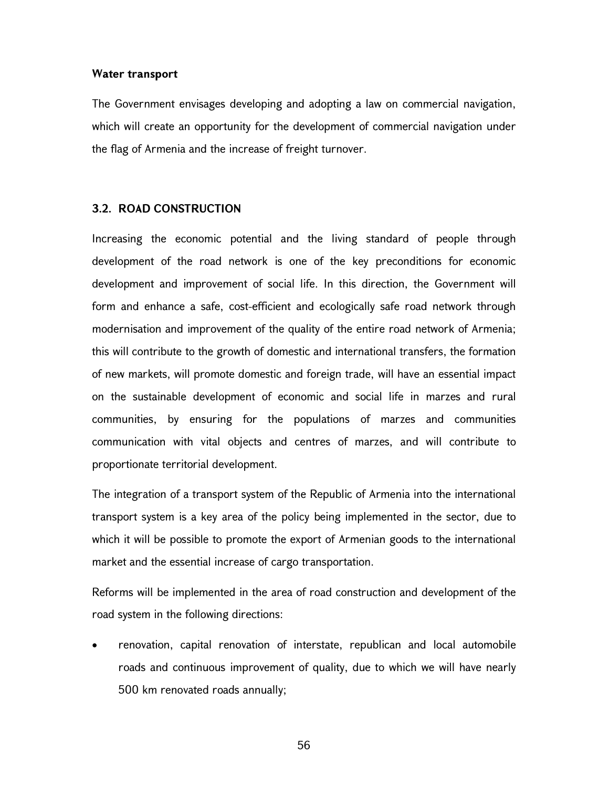#### Water transport

The Government envisages developing and adopting a law on commercial navigation, which will create an opportunity for the development of commercial navigation under the flag of Armenia and the increase of freight turnover.

#### 3.2. ROAD CONSTRUCTION

Increasing the economic potential and the living standard of people through development of the road network is one of the key preconditions for economic development and improvement of social life. In this direction, the Government will form and enhance a safe, cost-efficient and ecologically safe road network through modernisation and improvement of the quality of the entire road network of Armenia; this will contribute to the growth of domestic and international transfers, the formation of new markets, will promote domestic and foreign trade, will have an essential impact on the sustainable development of economic and social life in marzes and rural communities, by ensuring for the populations of marzes and communities communication with vital objects and centres of marzes, and will contribute to proportionate territorial development.

The integration of a transport system of the Republic of Armenia into the international transport system is a key area of the policy being implemented in the sector, due to which it will be possible to promote the export of Armenian goods to the international market and the essential increase of cargo transportation.

Reforms will be implemented in the area of road construction and development of the road system in the following directions:

 renovation, capital renovation of interstate, republican and local automobile roads and continuous improvement of quality, due to which we will have nearly 500 km renovated roads annually;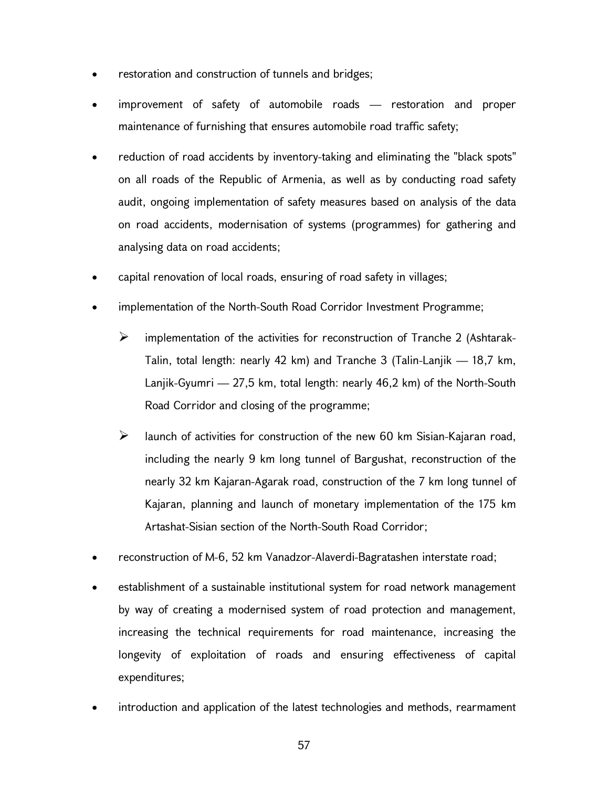- restoration and construction of tunnels and bridges;
- improvement of safety of automobile roads restoration and proper maintenance of furnishing that ensures automobile road traffic safety;
- reduction of road accidents by inventory-taking and eliminating the "black spots" on all roads of the Republic of Armenia, as well as by conducting road safety audit, ongoing implementation of safety measures based on analysis of the data on road accidents, modernisation of systems (programmes) for gathering and analysing data on road accidents;
- capital renovation of local roads, ensuring of road safety in villages;
- implementation of the North-South Road Corridor Investment Programme;
	- $\triangleright$  implementation of the activities for reconstruction of Tranche 2 (Ashtarak-Talin, total length: nearly 42 km) and Tranche 3 (Talin-Lanjik — 18,7 km, Lanjik-Gyumri — 27,5 km, total length: nearly 46,2 km) of the North-South Road Corridor and closing of the programme;
	- $\triangleright$  launch of activities for construction of the new 60 km Sisian-Kajaran road, including the nearly 9 km long tunnel of Bargushat, reconstruction of the nearly 32 km Kajaran-Agarak road, construction of the 7 km long tunnel of Kajaran, planning and launch of monetary implementation of the 175 km Artashat-Sisian section of the North-South Road Corridor;
- reconstruction of M-6, 52 km Vanadzor-Alaverdi-Bagratashen interstate road;
- establishment of a sustainable institutional system for road network management by way of creating a modernised system of road protection and management, increasing the technical requirements for road maintenance, increasing the longevity of exploitation of roads and ensuring effectiveness of capital expenditures;
- introduction and application of the latest technologies and methods, rearmament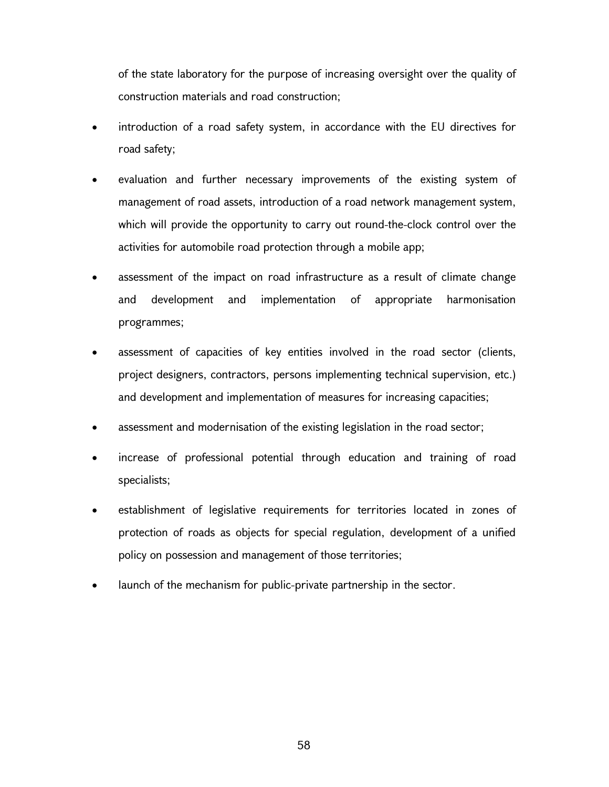of the state laboratory for the purpose of increasing oversight over the quality of construction materials and road construction;

- introduction of a road safety system, in accordance with the EU directives for road safety;
- evaluation and further necessary improvements of the existing system of management of road assets, introduction of a road network management system, which will provide the opportunity to carry out round-the-clock control over the activities for automobile road protection through a mobile app;
- assessment of the impact on road infrastructure as a result of climate change and development and implementation of appropriate harmonisation programmes;
- assessment of capacities of key entities involved in the road sector (clients, project designers, contractors, persons implementing technical supervision, etc.) and development and implementation of measures for increasing capacities;
- assessment and modernisation of the existing legislation in the road sector;
- increase of professional potential through education and training of road specialists;
- establishment of legislative requirements for territories located in zones of protection of roads as objects for special regulation, development of a unified policy on possession and management of those territories;
- launch of the mechanism for public-private partnership in the sector.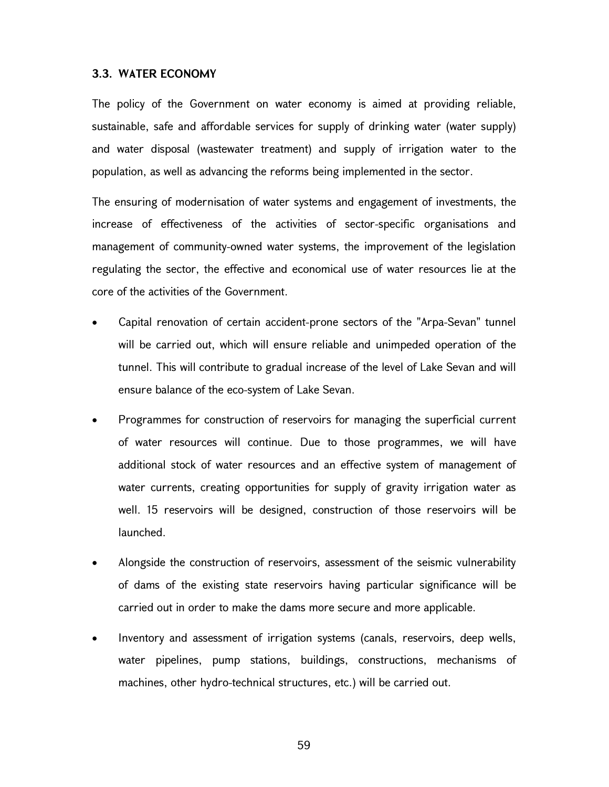#### 3.3. WATER ECONOMY

The policy of the Government on water economy is aimed at providing reliable, sustainable, safe and affordable services for supply of drinking water (water supply) and water disposal (wastewater treatment) and supply of irrigation water to the population, as well as advancing the reforms being implemented in the sector.

The ensuring of modernisation of water systems and engagement of investments, the increase of effectiveness of the activities of sector-specific organisations and management of community-owned water systems, the improvement of the legislation regulating the sector, the effective and economical use of water resources lie at the core of the activities of the Government.

- Capital renovation of certain accident-prone sectors of the "Arpa-Sevan" tunnel will be carried out, which will ensure reliable and unimpeded operation of the tunnel. This will contribute to gradual increase of the level of Lake Sevan and will ensure balance of the eco-system of Lake Sevan.
- Programmes for construction of reservoirs for managing the superficial current of water resources will continue. Due to those programmes, we will have additional stock of water resources and an effective system of management of water currents, creating opportunities for supply of gravity irrigation water as well. 15 reservoirs will be designed, construction of those reservoirs will be launched.
- Alongside the construction of reservoirs, assessment of the seismic vulnerability of dams of the existing state reservoirs having particular significance will be carried out in order to make the dams more secure and more applicable.
- Inventory and assessment of irrigation systems (canals, reservoirs, deep wells, water pipelines, pump stations, buildings, constructions, mechanisms of machines, other hydro-technical structures, etc.) will be carried out.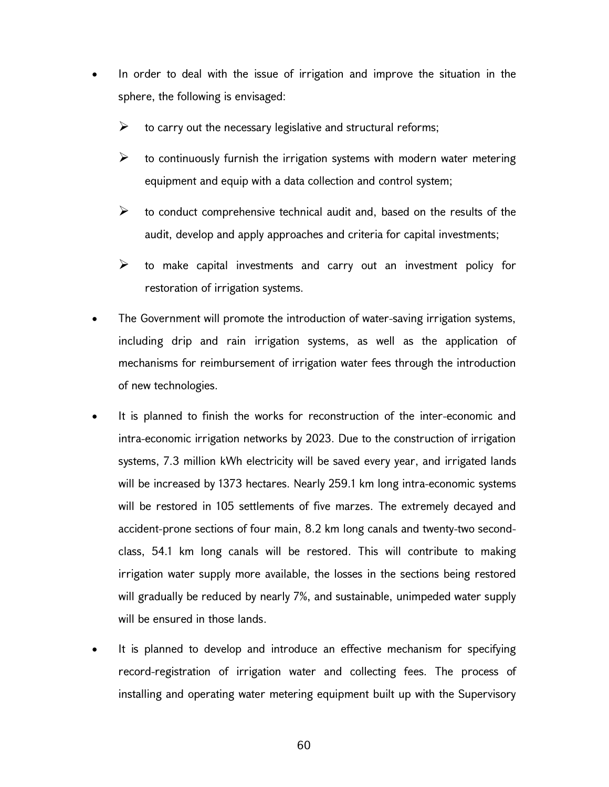- In order to deal with the issue of irrigation and improve the situation in the sphere, the following is envisaged:
	- $\triangleright$  to carry out the necessary legislative and structural reforms;
	- $\triangleright$  to continuously furnish the irrigation systems with modern water metering equipment and equip with a data collection and control system;
	- $\triangleright$  to conduct comprehensive technical audit and, based on the results of the audit, develop and apply approaches and criteria for capital investments;
	- $\triangleright$  to make capital investments and carry out an investment policy for restoration of irrigation systems.
- The Government will promote the introduction of water-saving irrigation systems, including drip and rain irrigation systems, as well as the application of mechanisms for reimbursement of irrigation water fees through the introduction of new technologies.
- It is planned to finish the works for reconstruction of the inter-economic and intra-economic irrigation networks by 2023. Due to the construction of irrigation systems, 7.3 million kWh electricity will be saved every year, and irrigated lands will be increased by 1373 hectares. Nearly 259.1 km long intra-economic systems will be restored in 105 settlements of five marzes. The extremely decayed and accident-prone sections of four main, 8.2 km long canals and twenty-two secondclass, 54.1 km long canals will be restored. This will contribute to making irrigation water supply more available, the losses in the sections being restored will gradually be reduced by nearly 7%, and sustainable, unimpeded water supply will be ensured in those lands.
- It is planned to develop and introduce an effective mechanism for specifying record-registration of irrigation water and collecting fees. The process of installing and operating water metering equipment built up with the Supervisory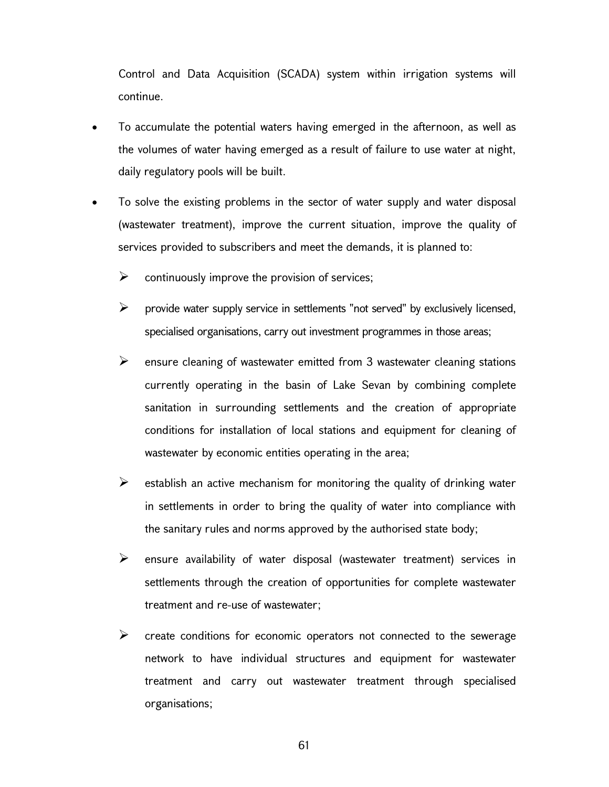Control and Data Acquisition (SCADA) system within irrigation systems will continue.

- To accumulate the potential waters having emerged in the afternoon, as well as the volumes of water having emerged as a result of failure to use water at night, daily regulatory pools will be built.
- To solve the existing problems in the sector of water supply and water disposal (wastewater treatment), improve the current situation, improve the quality of services provided to subscribers and meet the demands, it is planned to:
	- $\triangleright$  continuously improve the provision of services;
	- $\triangleright$  provide water supply service in settlements "not served" by exclusively licensed, specialised organisations, carry out investment programmes in those areas;
	- $\triangleright$  ensure cleaning of wastewater emitted from 3 wastewater cleaning stations currently operating in the basin of Lake Sevan by combining complete sanitation in surrounding settlements and the creation of appropriate conditions for installation of local stations and equipment for cleaning of wastewater by economic entities operating in the area;
	- $\triangleright$  establish an active mechanism for monitoring the quality of drinking water in settlements in order to bring the quality of water into compliance with the sanitary rules and norms approved by the authorised state body;
	- $\triangleright$  ensure availability of water disposal (wastewater treatment) services in settlements through the creation of opportunities for complete wastewater treatment and re-use of wastewater;
	- $\triangleright$  create conditions for economic operators not connected to the sewerage network to have individual structures and equipment for wastewater treatment and carry out wastewater treatment through specialised organisations;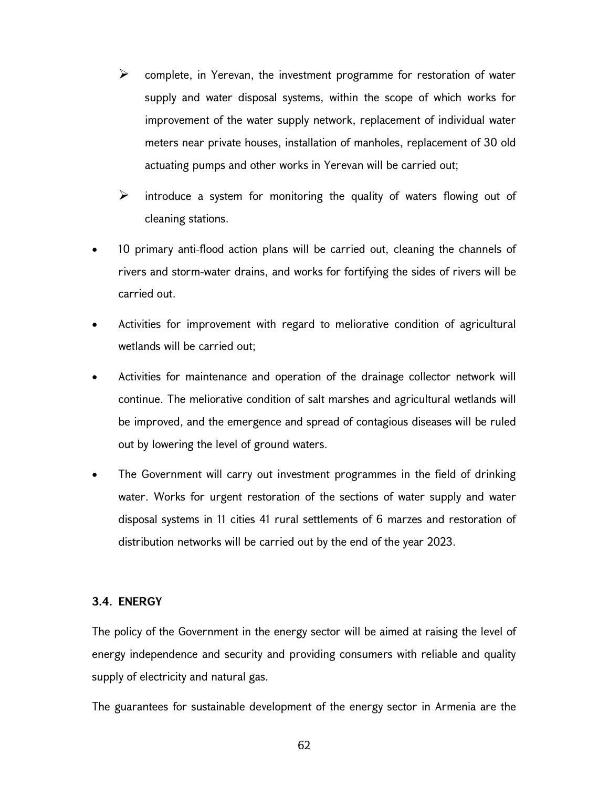- $\triangleright$  complete, in Yerevan, the investment programme for restoration of water supply and water disposal systems, within the scope of which works for improvement of the water supply network, replacement of individual water meters near private houses, installation of manholes, replacement of 30 old actuating pumps and other works in Yerevan will be carried out;
- $\triangleright$  introduce a system for monitoring the quality of waters flowing out of cleaning stations.
- 10 primary anti-flood action plans will be carried out, cleaning the channels of rivers and storm-water drains, and works for fortifying the sides of rivers will be carried out.
- Activities for improvement with regard to meliorative condition of agricultural wetlands will be carried out;
- Activities for maintenance and operation of the drainage collector network will continue. The meliorative condition of salt marshes and agricultural wetlands will be improved, and the emergence and spread of contagious diseases will be ruled out by lowering the level of ground waters.
- The Government will carry out investment programmes in the field of drinking water. Works for urgent restoration of the sections of water supply and water disposal systems in 11 cities 41 rural settlements of 6 marzes and restoration of distribution networks will be carried out by the end of the year 2023.

## 3.4. ENERGY

The policy of the Government in the energy sector will be aimed at raising the level of energy independence and security and providing consumers with reliable and quality supply of electricity and natural gas.

The guarantees for sustainable development of the energy sector in Armenia are the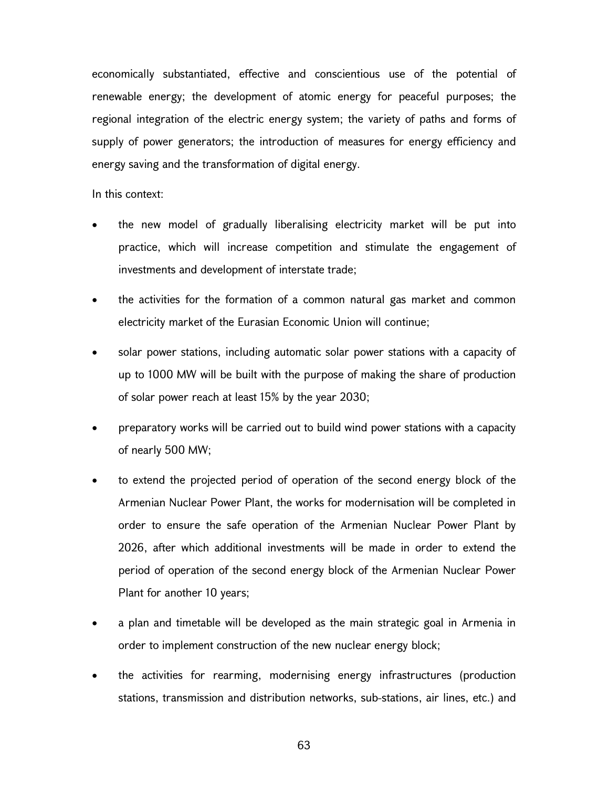economically substantiated, effective and conscientious use of the potential of renewable energy; the development of atomic energy for peaceful purposes; the regional integration of the electric energy system; the variety of paths and forms of supply of power generators; the introduction of measures for energy efficiency and energy saving and the transformation of digital energy.

In this context:

- the new model of gradually liberalising electricity market will be put into practice, which will increase competition and stimulate the engagement of investments and development of interstate trade;
- the activities for the formation of a common natural gas market and common electricity market of the Eurasian Economic Union will continue;
- solar power stations, including automatic solar power stations with a capacity of up to 1000 MW will be built with the purpose of making the share of production of solar power reach at least 15% by the year 2030;
- preparatory works will be carried out to build wind power stations with a capacity of nearly 500 MW;
- to extend the projected period of operation of the second energy block of the Armenian Nuclear Power Plant, the works for modernisation will be completed in order to ensure the safe operation of the Armenian Nuclear Power Plant by 2026, after which additional investments will be made in order to extend the period of operation of the second energy block of the Armenian Nuclear Power Plant for another 10 years;
- a plan and timetable will be developed as the main strategic goal in Armenia in order to implement construction of the new nuclear energy block;
- the activities for rearming, modernising energy infrastructures (production stations, transmission and distribution networks, sub-stations, air lines, etc.) and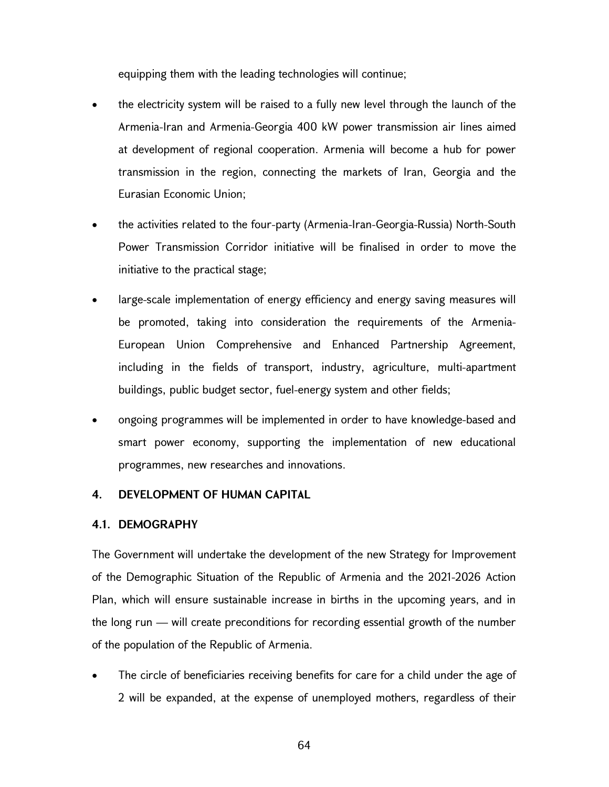equipping them with the leading technologies will continue;

- the electricity system will be raised to a fully new level through the launch of the Armenia-Iran and Armenia-Georgia 400 kW power transmission air lines aimed at development of regional cooperation. Armenia will become a hub for power transmission in the region, connecting the markets of Iran, Georgia and the Eurasian Economic Union;
- the activities related to the four-party (Armenia-Iran-Georgia-Russia) North-South Power Transmission Corridor initiative will be finalised in order to move the initiative to the practical stage;
- large-scale implementation of energy efficiency and energy saving measures will be promoted, taking into consideration the requirements of the Armenia-European Union Comprehensive and Enhanced Partnership Agreement, including in the fields of transport, industry, agriculture, multi-apartment buildings, public budget sector, fuel-energy system and other fields;
- ongoing programmes will be implemented in order to have knowledge-based and smart power economy, supporting the implementation of new educational programmes, new researches and innovations.

## 4. DEVELOPMENT OF HUMAN CAPITAL

## 4.1. DEMOGRAPHY

The Government will undertake the development of the new Strategy for Improvement of the Demographic Situation of the Republic of Armenia and the 2021-2026 Action Plan, which will ensure sustainable increase in births in the upcoming years, and in the long run — will create preconditions for recording essential growth of the number of the population of the Republic of Armenia.

 The circle of beneficiaries receiving benefits for care for a child under the age of 2 will be expanded, at the expense of unemployed mothers, regardless of their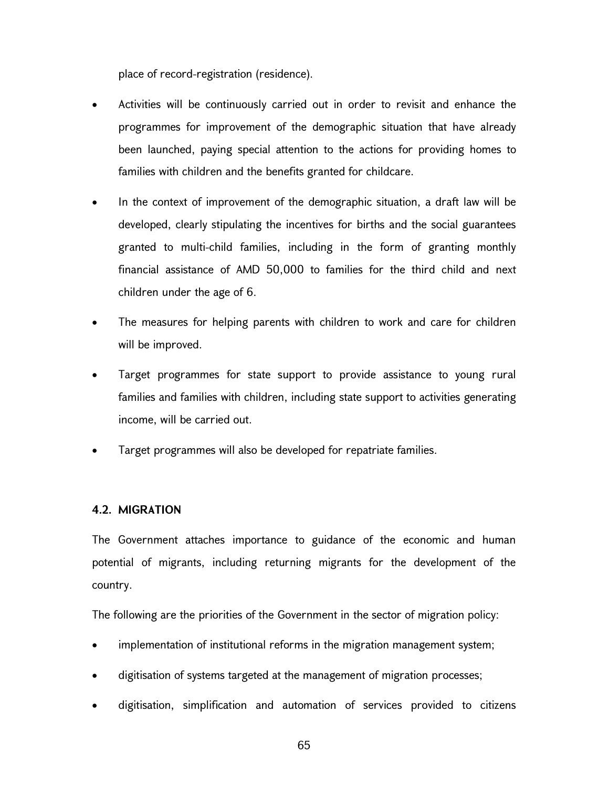place of record-registration (residence).

- Activities will be continuously carried out in order to revisit and enhance the programmes for improvement of the demographic situation that have already been launched, paying special attention to the actions for providing homes to families with children and the benefits granted for childcare.
- In the context of improvement of the demographic situation, a draft law will be developed, clearly stipulating the incentives for births and the social guarantees granted to multi-child families, including in the form of granting monthly financial assistance of AMD 50,000 to families for the third child and next children under the age of 6.
- The measures for helping parents with children to work and care for children will be improved.
- Target programmes for state support to provide assistance to young rural families and families with children, including state support to activities generating income, will be carried out.
- Target programmes will also be developed for repatriate families.

# 4.2. MIGRATION

The Government attaches importance to guidance of the economic and human potential of migrants, including returning migrants for the development of the country.

The following are the priorities of the Government in the sector of migration policy:

- implementation of institutional reforms in the migration management system;
- digitisation of systems targeted at the management of migration processes;
- digitisation, simplification and automation of services provided to citizens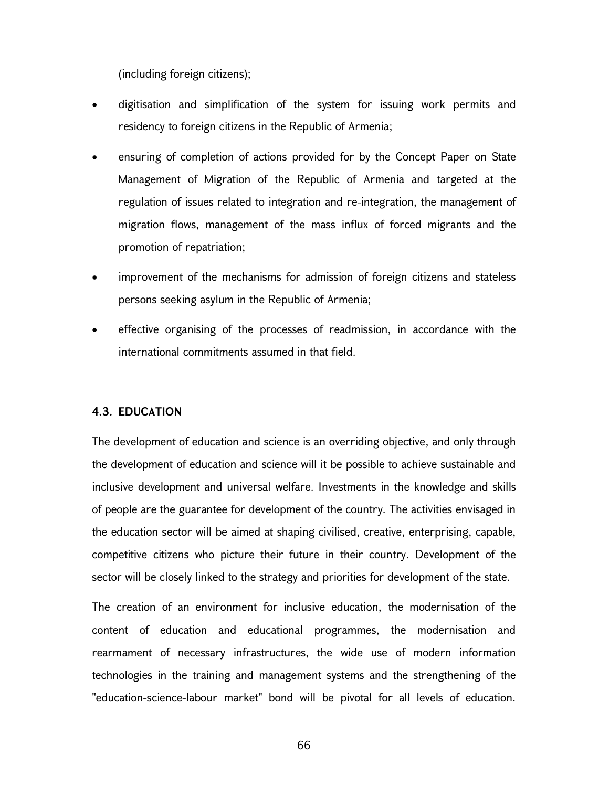(including foreign citizens);

- digitisation and simplification of the system for issuing work permits and residency to foreign citizens in the Republic of Armenia;
- ensuring of completion of actions provided for by the Concept Paper on State Management of Migration of the Republic of Armenia and targeted at the regulation of issues related to integration and re-integration, the management of migration flows, management of the mass influx of forced migrants and the promotion of repatriation;
- improvement of the mechanisms for admission of foreign citizens and stateless persons seeking asylum in the Republic of Armenia;
- effective organising of the processes of readmission, in accordance with the international commitments assumed in that field.

#### 4.3. EDUCATION

The development of education and science is an overriding objective, and only through the development of education and science will it be possible to achieve sustainable and inclusive development and universal welfare. Investments in the knowledge and skills of people are the guarantee for development of the country. The activities envisaged in the education sector will be aimed at shaping civilised, creative, enterprising, capable, competitive citizens who picture their future in their country. Development of the sector will be closely linked to the strategy and priorities for development of the state.

The creation of an environment for inclusive education, the modernisation of the content of education and educational programmes, the modernisation and rearmament of necessary infrastructures, the wide use of modern information technologies in the training and management systems and the strengthening of the "education-science-labour market" bond will be pivotal for all levels of education.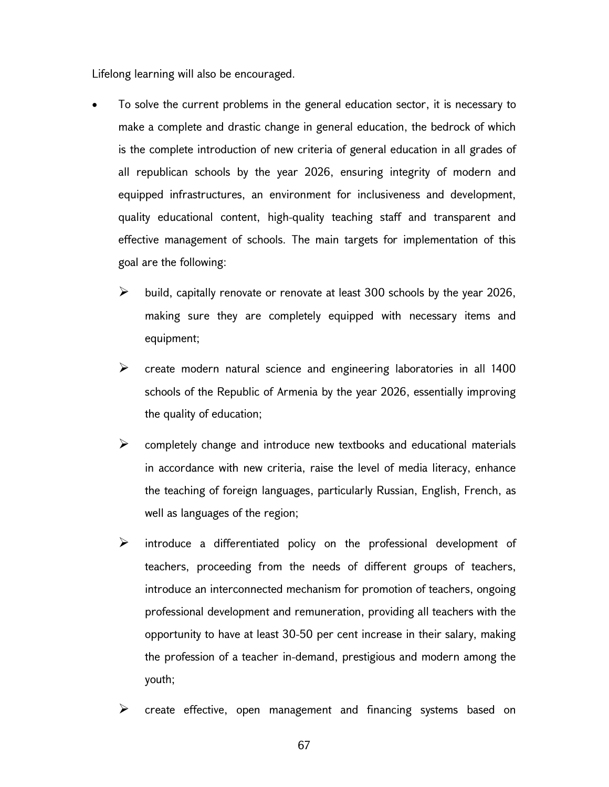Lifelong learning will also be encouraged.

- To solve the current problems in the general education sector, it is necessary to make a complete and drastic change in general education, the bedrock of which is the complete introduction of new criteria of general education in all grades of all republican schools by the year 2026, ensuring integrity of modern and equipped infrastructures, an environment for inclusiveness and development, quality educational content, high-quality teaching staff and transparent and effective management of schools. The main targets for implementation of this goal are the following:
	- $\triangleright$  build, capitally renovate or renovate at least 300 schools by the year 2026, making sure they are completely equipped with necessary items and equipment;
	- $\triangleright$  create modern natural science and engineering laboratories in all 1400 schools of the Republic of Armenia by the year 2026, essentially improving the quality of education;
	- $\triangleright$  completely change and introduce new textbooks and educational materials in accordance with new criteria, raise the level of media literacy, enhance the teaching of foreign languages, particularly Russian, English, French, as well as languages of the region;
	- $\triangleright$  introduce a differentiated policy on the professional development of teachers, proceeding from the needs of different groups of teachers, introduce an interconnected mechanism for promotion of teachers, ongoing professional development and remuneration, providing all teachers with the opportunity to have at least 30-50 per cent increase in their salary, making the profession of a teacher in-demand, prestigious and modern among the youth;
	- create effective, open management and financing systems based on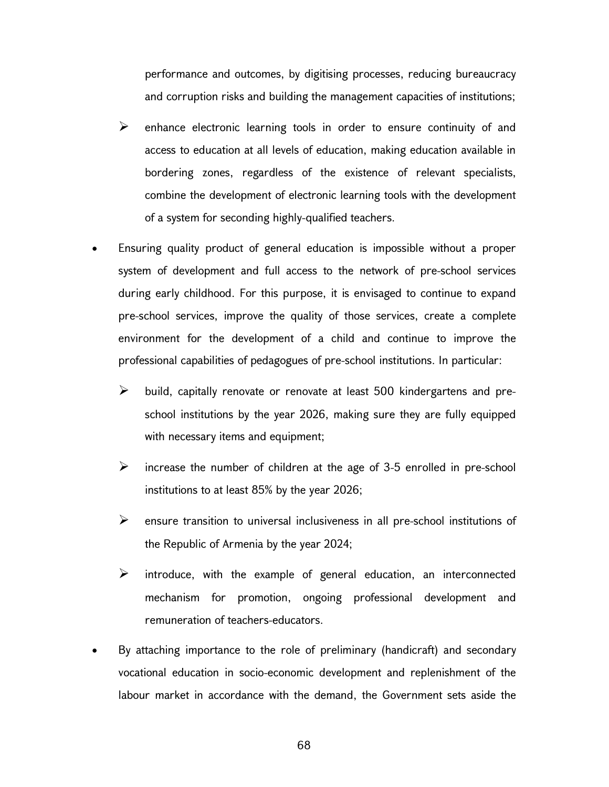performance and outcomes, by digitising processes, reducing bureaucracy and corruption risks and building the management capacities of institutions;

- $\triangleright$  enhance electronic learning tools in order to ensure continuity of and access to education at all levels of education, making education available in bordering zones, regardless of the existence of relevant specialists, combine the development of electronic learning tools with the development of a system for seconding highly-qualified teachers.
- Ensuring quality product of general education is impossible without a proper system of development and full access to the network of pre-school services during early childhood. For this purpose, it is envisaged to continue to expand pre-school services, improve the quality of those services, create a complete environment for the development of a child and continue to improve the professional capabilities of pedagogues of pre-school institutions. In particular:
	- $\triangleright$  build, capitally renovate or renovate at least 500 kindergartens and preschool institutions by the year 2026, making sure they are fully equipped with necessary items and equipment;
	- $\triangleright$  increase the number of children at the age of 3-5 enrolled in pre-school institutions to at least 85% by the year 2026;
	- $\triangleright$  ensure transition to universal inclusiveness in all pre-school institutions of the Republic of Armenia by the year 2024;
	- $\triangleright$  introduce, with the example of general education, an interconnected mechanism for promotion, ongoing professional development and remuneration of teachers-educators.
- By attaching importance to the role of preliminary (handicraft) and secondary vocational education in socio-economic development and replenishment of the labour market in accordance with the demand, the Government sets aside the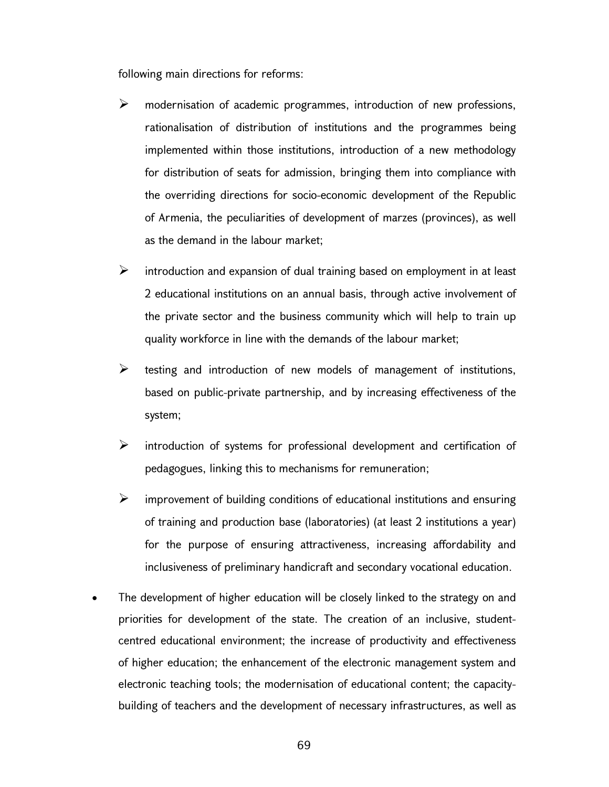following main directions for reforms:

- modernisation of academic programmes, introduction of new professions, rationalisation of distribution of institutions and the programmes being implemented within those institutions, introduction of a new methodology for distribution of seats for admission, bringing them into compliance with the overriding directions for socio-economic development of the Republic of Armenia, the peculiarities of development of marzes (provinces), as well as the demand in the labour market;
- $\triangleright$  introduction and expansion of dual training based on employment in at least 2 educational institutions on an annual basis, through active involvement of the private sector and the business community which will help to train up quality workforce in line with the demands of the labour market;
- $\triangleright$  testing and introduction of new models of management of institutions, based on public-private partnership, and by increasing effectiveness of the system;
- $\triangleright$  introduction of systems for professional development and certification of pedagogues, linking this to mechanisms for remuneration;
- $\triangleright$  improvement of building conditions of educational institutions and ensuring of training and production base (laboratories) (at least 2 institutions a year) for the purpose of ensuring attractiveness, increasing affordability and inclusiveness of preliminary handicraft and secondary vocational education.
- The development of higher education will be closely linked to the strategy on and priorities for development of the state. The creation of an inclusive, studentcentred educational environment; the increase of productivity and effectiveness of higher education; the enhancement of the electronic management system and electronic teaching tools; the modernisation of educational content; the capacitybuilding of teachers and the development of necessary infrastructures, as well as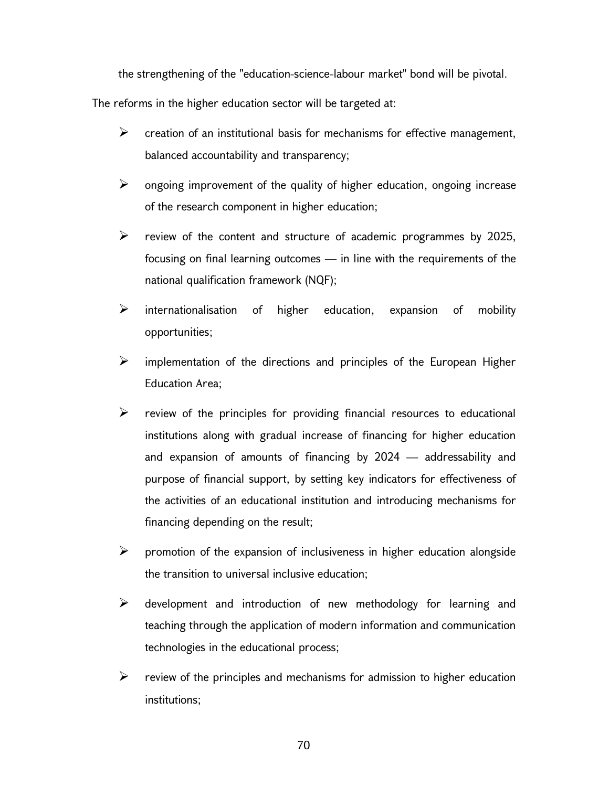the strengthening of the "education-science-labour market" bond will be pivotal.

The reforms in the higher education sector will be targeted at:

- $\triangleright$  creation of an institutional basis for mechanisms for effective management, balanced accountability and transparency;
- $\triangleright$  ongoing improvement of the quality of higher education, ongoing increase of the research component in higher education;
- $\triangleright$  review of the content and structure of academic programmes by 2025, focusing on final learning outcomes — in line with the requirements of the national qualification framework (NQF);
- $\triangleright$  internationalisation of higher education, expansion of mobility opportunities;
- $\triangleright$  implementation of the directions and principles of the European Higher Education Area;
- $\triangleright$  review of the principles for providing financial resources to educational institutions along with gradual increase of financing for higher education and expansion of amounts of financing by 2024 — addressability and purpose of financial support, by setting key indicators for effectiveness of the activities of an educational institution and introducing mechanisms for financing depending on the result;
- $\triangleright$  promotion of the expansion of inclusiveness in higher education alongside the transition to universal inclusive education;
- $\triangleright$  development and introduction of new methodology for learning and teaching through the application of modern information and communication technologies in the educational process;
- $\triangleright$  review of the principles and mechanisms for admission to higher education institutions;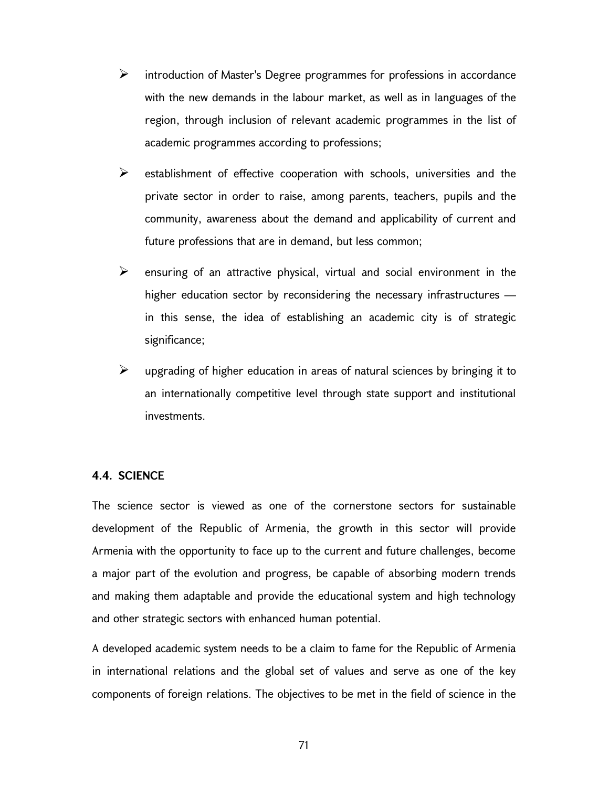- $\triangleright$  introduction of Master's Degree programmes for professions in accordance with the new demands in the labour market, as well as in languages of the region, through inclusion of relevant academic programmes in the list of academic programmes according to professions;
- $\triangleright$  establishment of effective cooperation with schools, universities and the private sector in order to raise, among parents, teachers, pupils and the community, awareness about the demand and applicability of current and future professions that are in demand, but less common;
- $\triangleright$  ensuring of an attractive physical, virtual and social environment in the higher education sector by reconsidering the necessary infrastructures in this sense, the idea of establishing an academic city is of strategic significance;
- $\triangleright$  upgrading of higher education in areas of natural sciences by bringing it to an internationally competitive level through state support and institutional investments.

#### 4.4. SCIENCE

The science sector is viewed as one of the cornerstone sectors for sustainable development of the Republic of Armenia, the growth in this sector will provide Armenia with the opportunity to face up to the current and future challenges, become a major part of the evolution and progress, be capable of absorbing modern trends and making them adaptable and provide the educational system and high technology and other strategic sectors with enhanced human potential.

A developed academic system needs to be a claim to fame for the Republic of Armenia in international relations and the global set of values and serve as one of the key components of foreign relations. The objectives to be met in the field of science in the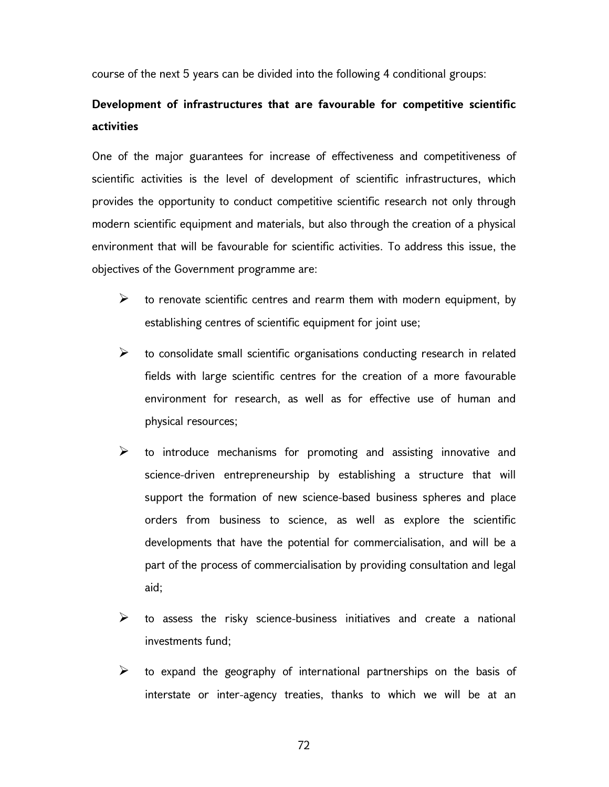course of the next 5 years can be divided into the following 4 conditional groups:

# Development of infrastructures that are favourable for competitive scientific activities

One of the major guarantees for increase of effectiveness and competitiveness of scientific activities is the level of development of scientific infrastructures, which provides the opportunity to conduct competitive scientific research not only through modern scientific equipment and materials, but also through the creation of a physical environment that will be favourable for scientific activities. To address this issue, the objectives of the Government programme are:

- $\triangleright$  to renovate scientific centres and rearm them with modern equipment, by establishing centres of scientific equipment for joint use;
- $\triangleright$  to consolidate small scientific organisations conducting research in related fields with large scientific centres for the creation of a more favourable environment for research, as well as for effective use of human and physical resources;
- $\triangleright$  to introduce mechanisms for promoting and assisting innovative and science-driven entrepreneurship by establishing a structure that will support the formation of new science-based business spheres and place orders from business to science, as well as explore the scientific developments that have the potential for commercialisation, and will be a part of the process of commercialisation by providing consultation and legal aid;
- $\triangleright$  to assess the risky science-business initiatives and create a national investments fund;
- $\triangleright$  to expand the geography of international partnerships on the basis of interstate or inter-agency treaties, thanks to which we will be at an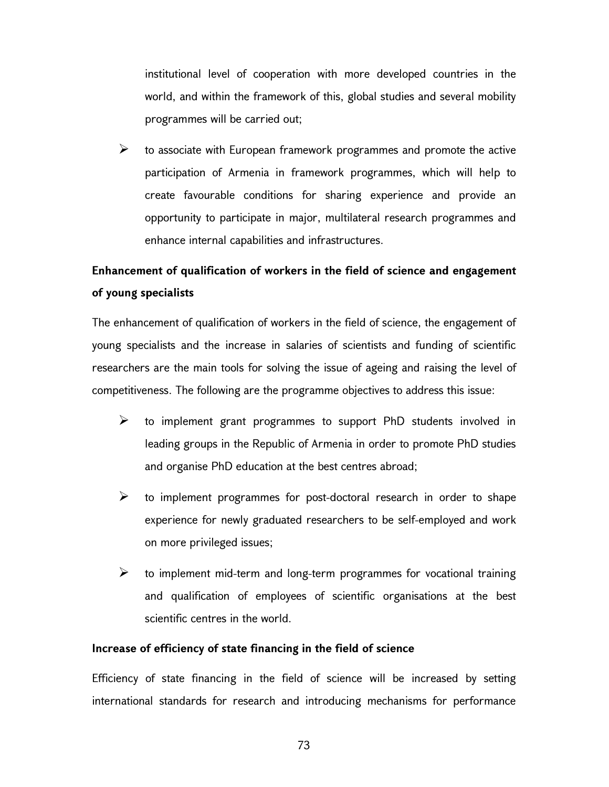institutional level of cooperation with more developed countries in the world, and within the framework of this, global studies and several mobility programmes will be carried out;

 $\triangleright$  to associate with European framework programmes and promote the active participation of Armenia in framework programmes, which will help to create favourable conditions for sharing experience and provide an opportunity to participate in major, multilateral research programmes and enhance internal capabilities and infrastructures.

# Enhancement of qualification of workers in the field of science and engagement of young specialists

The enhancement of qualification of workers in the field of science, the engagement of young specialists and the increase in salaries of scientists and funding of scientific researchers are the main tools for solving the issue of ageing and raising the level of competitiveness. The following are the programme objectives to address this issue:

- $\triangleright$  to implement grant programmes to support PhD students involved in leading groups in the Republic of Armenia in order to promote PhD studies and organise PhD education at the best centres abroad;
- $\triangleright$  to implement programmes for post-doctoral research in order to shape experience for newly graduated researchers to be self-employed and work on more privileged issues;
- $\triangleright$  to implement mid-term and long-term programmes for vocational training and qualification of employees of scientific organisations at the best scientific centres in the world.

# Increase of efficiency of state financing in the field of science

Efficiency of state financing in the field of science will be increased by setting international standards for research and introducing mechanisms for performance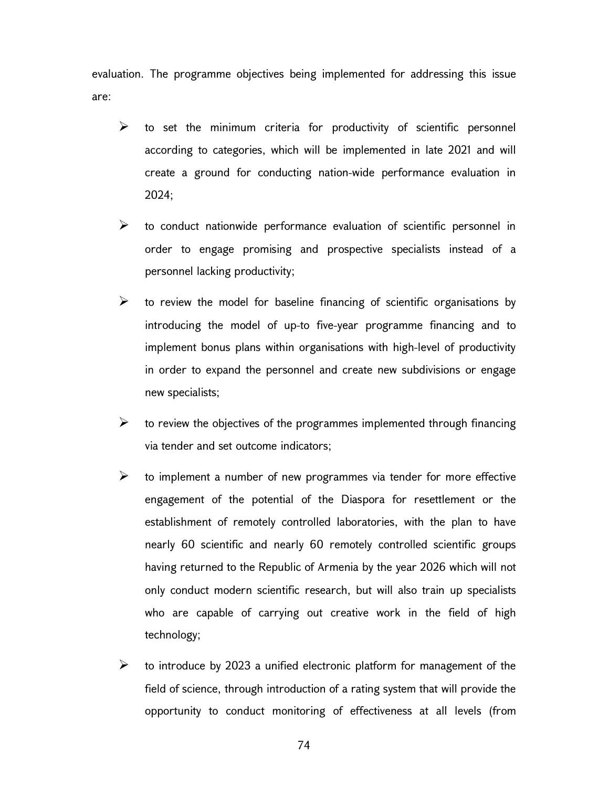evaluation. The programme objectives being implemented for addressing this issue are:

- $\triangleright$  to set the minimum criteria for productivity of scientific personnel according to categories, which will be implemented in late 2021 and will create a ground for conducting nation-wide performance evaluation in 2024;
- $\triangleright$  to conduct nationwide performance evaluation of scientific personnel in order to engage promising and prospective specialists instead of a personnel lacking productivity;
- $\triangleright$  to review the model for baseline financing of scientific organisations by introducing the model of up-to five-year programme financing and to implement bonus plans within organisations with high-level of productivity in order to expand the personnel and create new subdivisions or engage new specialists;
- $\triangleright$  to review the objectives of the programmes implemented through financing via tender and set outcome indicators;
- $\triangleright$  to implement a number of new programmes via tender for more effective engagement of the potential of the Diaspora for resettlement or the establishment of remotely controlled laboratories, with the plan to have nearly 60 scientific and nearly 60 remotely controlled scientific groups having returned to the Republic of Armenia by the year 2026 which will not only conduct modern scientific research, but will also train up specialists who are capable of carrying out creative work in the field of high technology;
- $\triangleright$  to introduce by 2023 a unified electronic platform for management of the field of science, through introduction of a rating system that will provide the opportunity to conduct monitoring of effectiveness at all levels (from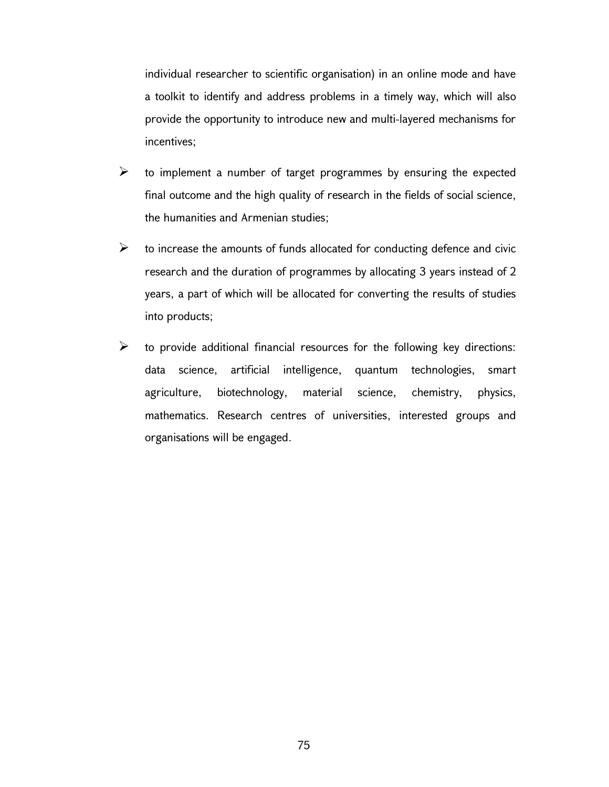individual researcher to scientific organisation) in an online mode and have a toolkit to identify and address problems in a timely way, which will also provide the opportunity to introduce new and multi-layered mechanisms for incentives;

- $\triangleright$  to implement a number of target programmes by ensuring the expected final outcome and the high quality of research in the fields of social science, the humanities and Armenian studies;
- $\triangleright$  to increase the amounts of funds allocated for conducting defence and civic research and the duration of programmes by allocating 3 years instead of 2 years, a part of which will be allocated for converting the results of studies into products;
- $\triangleright$  to provide additional financial resources for the following key directions: data science, artificial intelligence, quantum technologies, smart agriculture, biotechnology, material science, chemistry, physics, mathematics. Research centres of universities, interested groups and organisations will be engaged.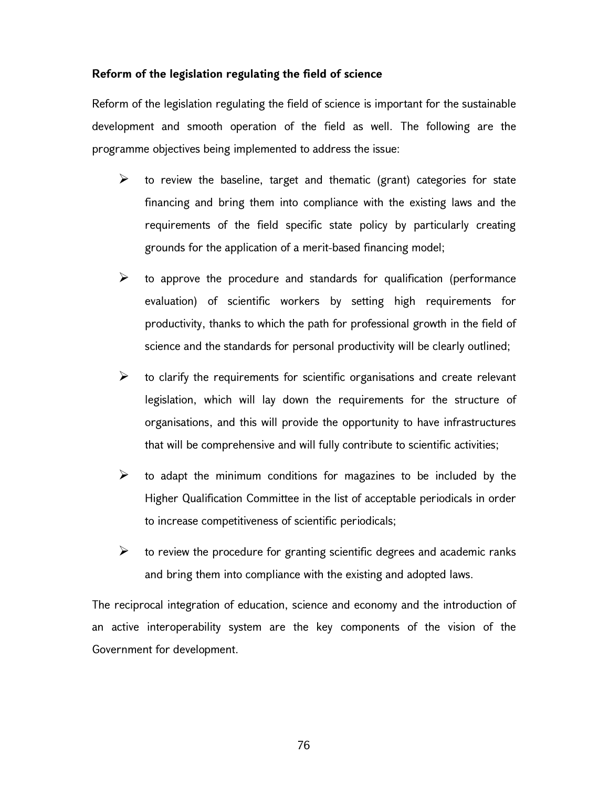# Reform of the legislation regulating the field of science

Reform of the legislation regulating the field of science is important for the sustainable development and smooth operation of the field as well. The following are the programme objectives being implemented to address the issue:

- $\triangleright$  to review the baseline, target and thematic (grant) categories for state financing and bring them into compliance with the existing laws and the requirements of the field specific state policy by particularly creating grounds for the application of a merit-based financing model;
- $\triangleright$  to approve the procedure and standards for qualification (performance evaluation) of scientific workers by setting high requirements for productivity, thanks to which the path for professional growth in the field of science and the standards for personal productivity will be clearly outlined;
- $\triangleright$  to clarify the requirements for scientific organisations and create relevant legislation, which will lay down the requirements for the structure of organisations, and this will provide the opportunity to have infrastructures that will be comprehensive and will fully contribute to scientific activities;
- $\triangleright$  to adapt the minimum conditions for magazines to be included by the Higher Qualification Committee in the list of acceptable periodicals in order to increase competitiveness of scientific periodicals;
- $\triangleright$  to review the procedure for granting scientific degrees and academic ranks and bring them into compliance with the existing and adopted laws.

The reciprocal integration of education, science and economy and the introduction of an active interoperability system are the key components of the vision of the Government for development.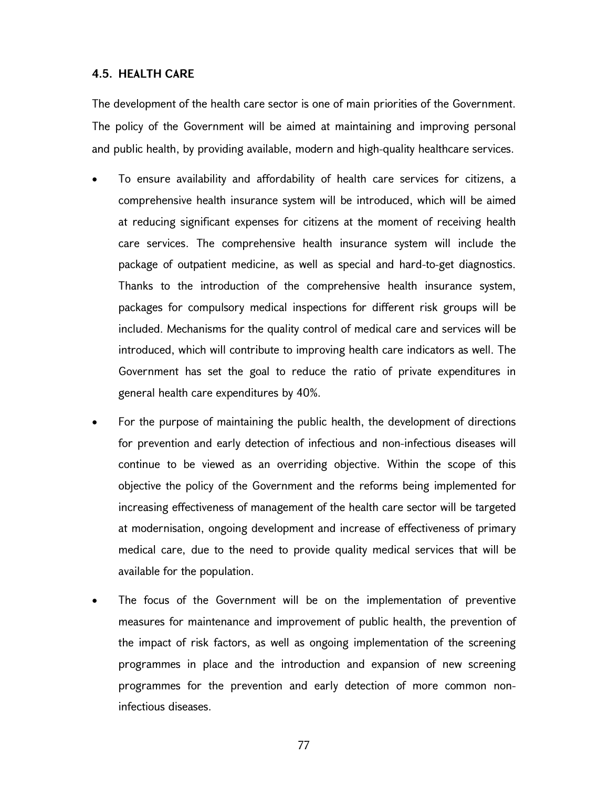### 4.5. HEALTH CARE

The development of the health care sector is one of main priorities of the Government. The policy of the Government will be aimed at maintaining and improving personal and public health, by providing available, modern and high-quality healthcare services.

- To ensure availability and affordability of health care services for citizens, a comprehensive health insurance system will be introduced, which will be aimed at reducing significant expenses for citizens at the moment of receiving health care services. The comprehensive health insurance system will include the package of outpatient medicine, as well as special and hard-to-get diagnostics. Thanks to the introduction of the comprehensive health insurance system, packages for compulsory medical inspections for different risk groups will be included. Mechanisms for the quality control of medical care and services will be introduced, which will contribute to improving health care indicators as well. The Government has set the goal to reduce the ratio of private expenditures in general health care expenditures by 40%.
- For the purpose of maintaining the public health, the development of directions for prevention and early detection of infectious and non-infectious diseases will continue to be viewed as an overriding objective. Within the scope of this objective the policy of the Government and the reforms being implemented for increasing effectiveness of management of the health care sector will be targeted at modernisation, ongoing development and increase of effectiveness of primary medical care, due to the need to provide quality medical services that will be available for the population.
- The focus of the Government will be on the implementation of preventive measures for maintenance and improvement of public health, the prevention of the impact of risk factors, as well as ongoing implementation of the screening programmes in place and the introduction and expansion of new screening programmes for the prevention and early detection of more common noninfectious diseases.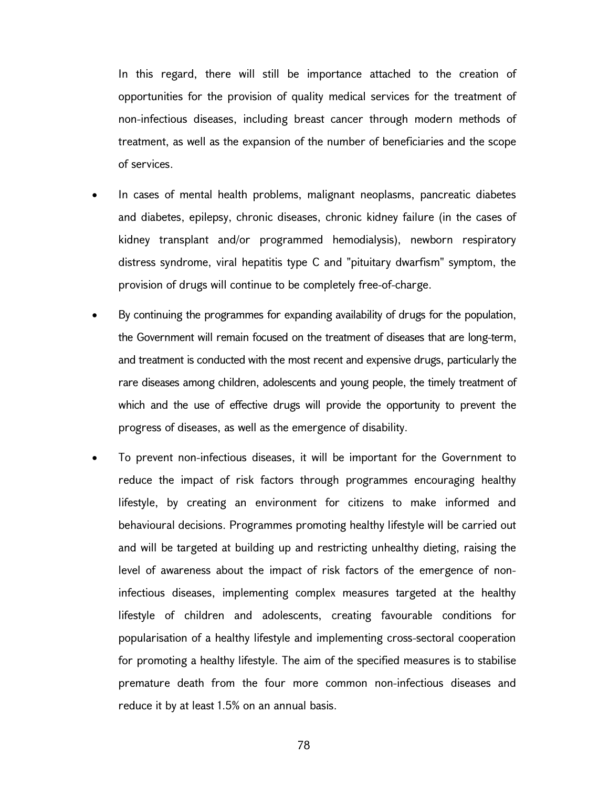In this regard, there will still be importance attached to the creation of opportunities for the provision of quality medical services for the treatment of non-infectious diseases, including breast cancer through modern methods of treatment, as well as the expansion of the number of beneficiaries and the scope of services.

- In cases of mental health problems, malignant neoplasms, pancreatic diabetes and diabetes, epilepsy, chronic diseases, chronic kidney failure (in the cases of kidney transplant and/or programmed hemodialysis), newborn respiratory distress syndrome, viral hepatitis type C and "pituitary dwarfism" symptom, the provision of drugs will continue to be completely free-of-charge.
- By continuing the programmes for expanding availability of drugs for the population, the Government will remain focused on the treatment of diseases that are long-term, and treatment is conducted with the most recent and expensive drugs, particularly the rare diseases among children, adolescents and young people, the timely treatment of which and the use of effective drugs will provide the opportunity to prevent the progress of diseases, as well as the emergence of disability.
- To prevent non-infectious diseases, it will be important for the Government to reduce the impact of risk factors through programmes encouraging healthy lifestyle, by creating an environment for citizens to make informed and behavioural decisions. Programmes promoting healthy lifestyle will be carried out and will be targeted at building up and restricting unhealthy dieting, raising the level of awareness about the impact of risk factors of the emergence of noninfectious diseases, implementing complex measures targeted at the healthy lifestyle of children and adolescents, creating favourable conditions for popularisation of a healthy lifestyle and implementing cross-sectoral cooperation for promoting a healthy lifestyle. The aim of the specified measures is to stabilise premature death from the four more common non-infectious diseases and reduce it by at least 1.5% on an annual basis.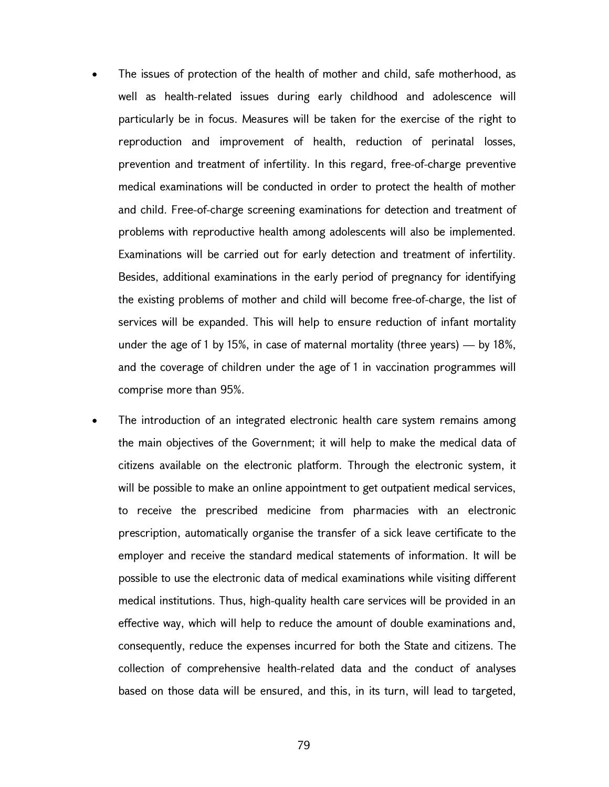- The issues of protection of the health of mother and child, safe motherhood, as well as health-related issues during early childhood and adolescence will particularly be in focus. Measures will be taken for the exercise of the right to reproduction and improvement of health, reduction of perinatal losses, prevention and treatment of infertility. In this regard, free-of-charge preventive medical examinations will be conducted in order to protect the health of mother and child. Free-of-charge screening examinations for detection and treatment of problems with reproductive health among adolescents will also be implemented. Examinations will be carried out for early detection and treatment of infertility. Besides, additional examinations in the early period of pregnancy for identifying the existing problems of mother and child will become free-of-charge, the list of services will be expanded. This will help to ensure reduction of infant mortality under the age of 1 by 15%, in case of maternal mortality (three years)  $-$  by 18%, and the coverage of children under the age of 1 in vaccination programmes will comprise more than 95%.
- The introduction of an integrated electronic health care system remains among the main objectives of the Government; it will help to make the medical data of citizens available on the electronic platform. Through the electronic system, it will be possible to make an online appointment to get outpatient medical services, to receive the prescribed medicine from pharmacies with an electronic prescription, automatically organise the transfer of a sick leave certificate to the employer and receive the standard medical statements of information. It will be possible to use the electronic data of medical examinations while visiting different medical institutions. Thus, high-quality health care services will be provided in an effective way, which will help to reduce the amount of double examinations and, consequently, reduce the expenses incurred for both the State and citizens. The collection of comprehensive health-related data and the conduct of analyses based on those data will be ensured, and this, in its turn, will lead to targeted,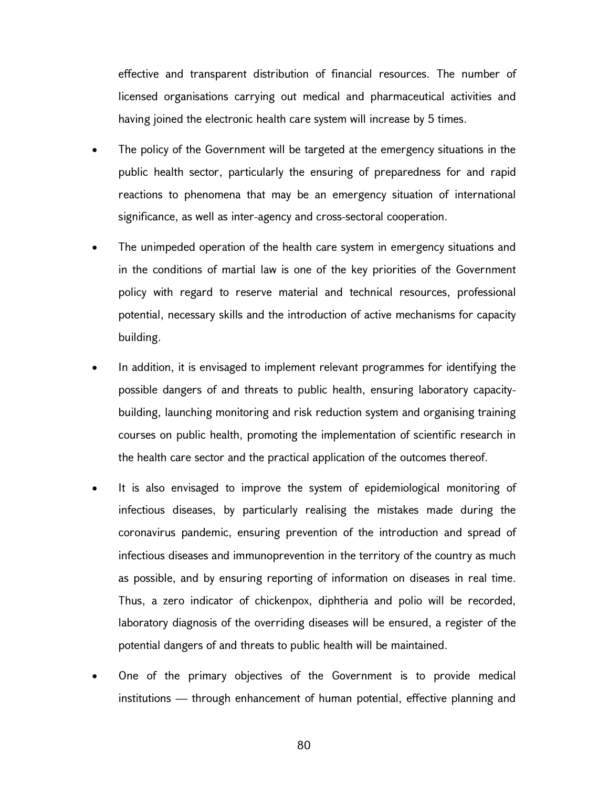effective and transparent distribution of financial resources. The number of licensed organisations carrying out medical and pharmaceutical activities and having joined the electronic health care system will increase by 5 times.

- The policy of the Government will be targeted at the emergency situations in the public health sector, particularly the ensuring of preparedness for and rapid reactions to phenomena that may be an emergency situation of international significance, as well as inter-agency and cross-sectoral cooperation.
- The unimpeded operation of the health care system in emergency situations and in the conditions of martial law is one of the key priorities of the Government policy with regard to reserve material and technical resources, professional potential, necessary skills and the introduction of active mechanisms for capacity building.
- In addition, it is envisaged to implement relevant programmes for identifying the possible dangers of and threats to public health, ensuring laboratory capacitybuilding, launching monitoring and risk reduction system and organising training courses on public health, promoting the implementation of scientific research in the health care sector and the practical application of the outcomes thereof.
- It is also envisaged to improve the system of epidemiological monitoring of infectious diseases, by particularly realising the mistakes made during the coronavirus pandemic, ensuring prevention of the introduction and spread of infectious diseases and immunoprevention in the territory of the country as much as possible, and by ensuring reporting of information on diseases in real time. Thus, a zero indicator of chickenpox, diphtheria and polio will be recorded, laboratory diagnosis of the overriding diseases will be ensured, a register of the potential dangers of and threats to public health will be maintained.
- One of the primary objectives of the Government is to provide medical institutions — through enhancement of human potential, effective planning and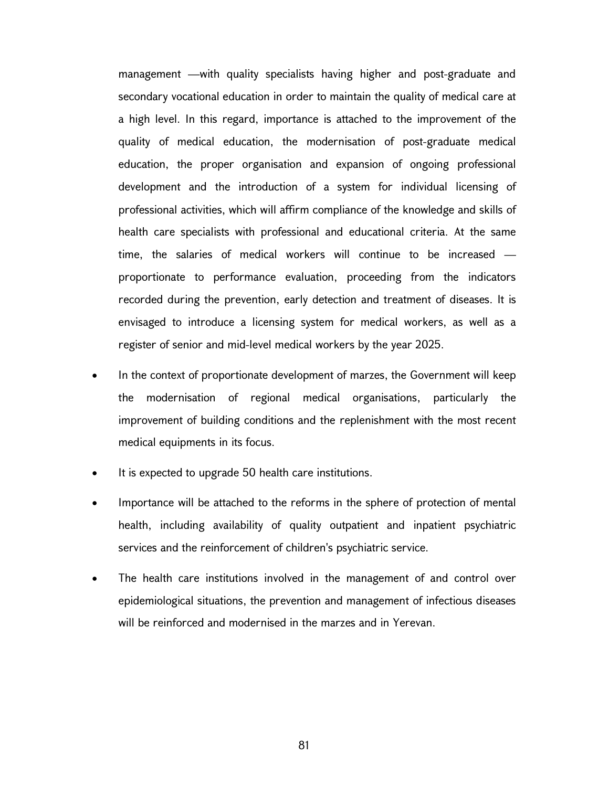management —with quality specialists having higher and post-graduate and secondary vocational education in order to maintain the quality of medical care at a high level. In this regard, importance is attached to the improvement of the quality of medical education, the modernisation of post-graduate medical education, the proper organisation and expansion of ongoing professional development and the introduction of a system for individual licensing of professional activities, which will affirm compliance of the knowledge and skills of health care specialists with professional and educational criteria. At the same time, the salaries of medical workers will continue to be increased proportionate to performance evaluation, proceeding from the indicators recorded during the prevention, early detection and treatment of diseases. It is envisaged to introduce a licensing system for medical workers, as well as a register of senior and mid-level medical workers by the year 2025.

- In the context of proportionate development of marzes, the Government will keep the modernisation of regional medical organisations, particularly the improvement of building conditions and the replenishment with the most recent medical equipments in its focus.
- It is expected to upgrade 50 health care institutions.
- Importance will be attached to the reforms in the sphere of protection of mental health, including availability of quality outpatient and inpatient psychiatric services and the reinforcement of children's psychiatric service.
- The health care institutions involved in the management of and control over epidemiological situations, the prevention and management of infectious diseases will be reinforced and modernised in the marzes and in Yerevan.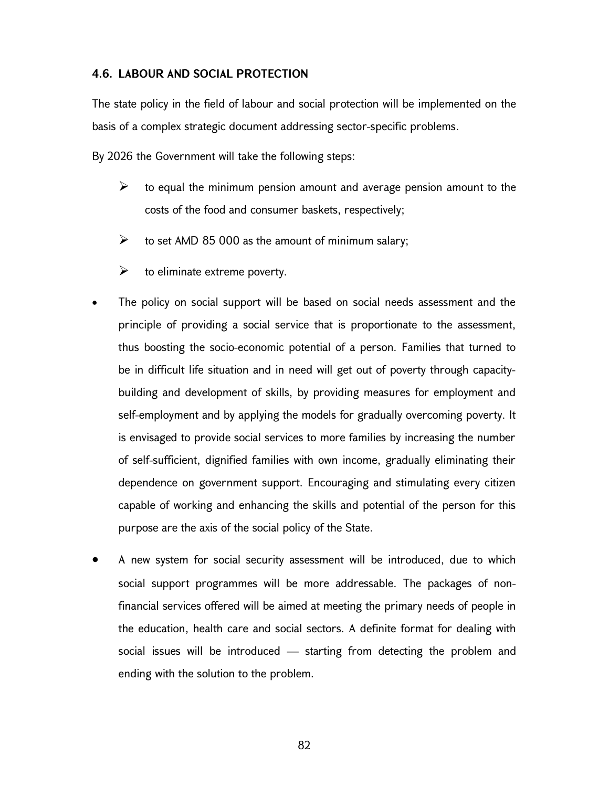### 4.6. LABOUR AND SOCIAL PROTECTION

The state policy in the field of labour and social protection will be implemented on the basis of a complex strategic document addressing sector-specific problems.

By 2026 the Government will take the following steps:

- $\triangleright$  to equal the minimum pension amount and average pension amount to the costs of the food and consumer baskets, respectively;
- $\triangleright$  to set AMD 85 000 as the amount of minimum salary;
- $\triangleright$  to eliminate extreme poverty.
- The policy on social support will be based on social needs assessment and the principle of providing a social service that is proportionate to the assessment, thus boosting the socio-economic potential of a person. Families that turned to be in difficult life situation and in need will get out of poverty through capacitybuilding and development of skills, by providing measures for employment and self-employment and by applying the models for gradually overcoming poverty. It is envisaged to provide social services to more families by increasing the number of self-sufficient, dignified families with own income, gradually eliminating their dependence on government support. Encouraging and stimulating every citizen capable of working and enhancing the skills and potential of the person for this purpose are the axis of the social policy of the State.
- A new system for social security assessment will be introduced, due to which social support programmes will be more addressable. The packages of nonfinancial services offered will be aimed at meeting the primary needs of people in the education, health care and social sectors. A definite format for dealing with social issues will be introduced — starting from detecting the problem and ending with the solution to the problem.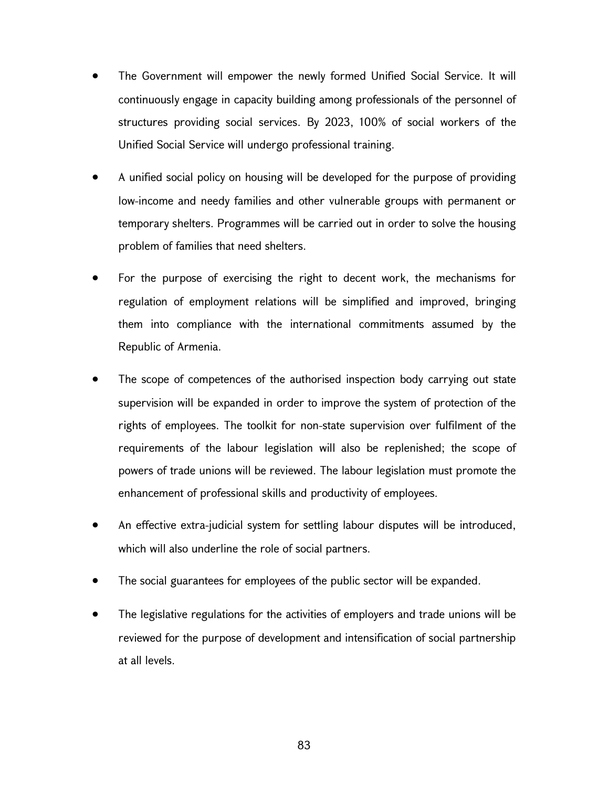- The Government will empower the newly formed Unified Social Service. It will continuously engage in capacity building among professionals of the personnel of structures providing social services. By 2023, 100% of social workers of the Unified Social Service will undergo professional training.
- A unified social policy on housing will be developed for the purpose of providing low-income and needy families and other vulnerable groups with permanent or temporary shelters. Programmes will be carried out in order to solve the housing problem of families that need shelters.
- For the purpose of exercising the right to decent work, the mechanisms for regulation of employment relations will be simplified and improved, bringing them into compliance with the international commitments assumed by the Republic of Armenia.
- The scope of competences of the authorised inspection body carrying out state supervision will be expanded in order to improve the system of protection of the rights of employees. The toolkit for non-state supervision over fulfilment of the requirements of the labour legislation will also be replenished; the scope of powers of trade unions will be reviewed. The labour legislation must promote the enhancement of professional skills and productivity of employees.
- An effective extra-judicial system for settling labour disputes will be introduced, which will also underline the role of social partners.
- The social guarantees for employees of the public sector will be expanded.
- The legislative regulations for the activities of employers and trade unions will be reviewed for the purpose of development and intensification of social partnership at all levels.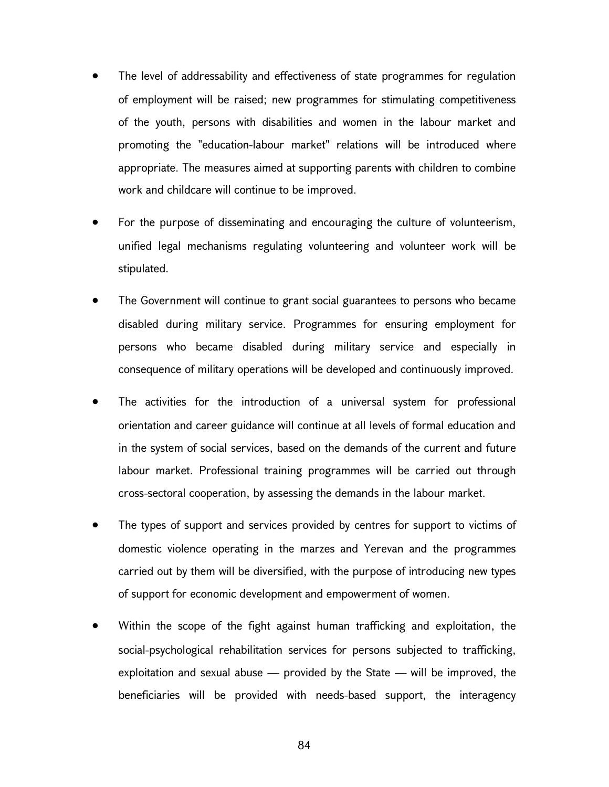- The level of addressability and effectiveness of state programmes for regulation of employment will be raised; new programmes for stimulating competitiveness of the youth, persons with disabilities and women in the labour market and promoting the "education-labour market" relations will be introduced where appropriate. The measures aimed at supporting parents with children to combine work and childcare will continue to be improved.
- For the purpose of disseminating and encouraging the culture of volunteerism, unified legal mechanisms regulating volunteering and volunteer work will be stipulated.
- The Government will continue to grant social guarantees to persons who became disabled during military service. Programmes for ensuring employment for persons who became disabled during military service and especially in consequence of military operations will be developed and continuously improved.
- The activities for the introduction of a universal system for professional orientation and career guidance will continue at all levels of formal education and in the system of social services, based on the demands of the current and future labour market. Professional training programmes will be carried out through cross-sectoral cooperation, by assessing the demands in the labour market.
- The types of support and services provided by centres for support to victims of domestic violence operating in the marzes and Yerevan and the programmes carried out by them will be diversified, with the purpose of introducing new types of support for economic development and empowerment of women.
- Within the scope of the fight against human trafficking and exploitation, the social-psychological rehabilitation services for persons subjected to trafficking, exploitation and sexual abuse — provided by the State — will be improved, the beneficiaries will be provided with needs-based support, the interagency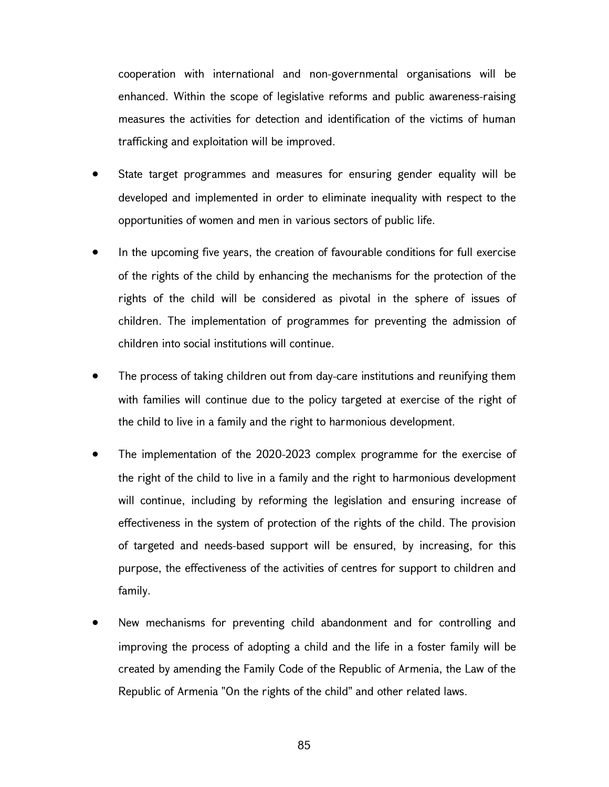cooperation with international and non-governmental organisations will be enhanced. Within the scope of legislative reforms and public awareness-raising measures the activities for detection and identification of the victims of human trafficking and exploitation will be improved.

- State target programmes and measures for ensuring gender equality will be developed and implemented in order to eliminate inequality with respect to the opportunities of women and men in various sectors of public life.
- In the upcoming five years, the creation of favourable conditions for full exercise of the rights of the child by enhancing the mechanisms for the protection of the rights of the child will be considered as pivotal in the sphere of issues of children. The implementation of programmes for preventing the admission of children into social institutions will continue.
- The process of taking children out from day-care institutions and reunifying them with families will continue due to the policy targeted at exercise of the right of the child to live in a family and the right to harmonious development.
- The implementation of the 2020-2023 complex programme for the exercise of the right of the child to live in a family and the right to harmonious development will continue, including by reforming the legislation and ensuring increase of effectiveness in the system of protection of the rights of the child. The provision of targeted and needs-based support will be ensured, by increasing, for this purpose, the effectiveness of the activities of centres for support to children and family.
- New mechanisms for preventing child abandonment and for controlling and improving the process of adopting a child and the life in a foster family will be created by amending the Family Code of the Republic of Armenia, the Law of the Republic of Armenia "On the rights of the child" and other related laws.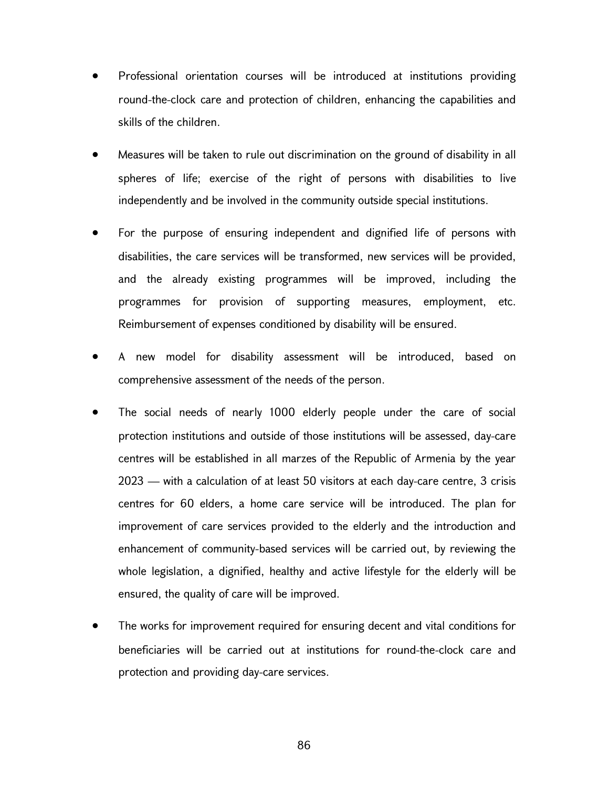- Professional orientation courses will be introduced at institutions providing round-the-clock care and protection of children, enhancing the capabilities and skills of the children.
- Measures will be taken to rule out discrimination on the ground of disability in all spheres of life; exercise of the right of persons with disabilities to live independently and be involved in the community outside special institutions.
- For the purpose of ensuring independent and dignified life of persons with disabilities, the care services will be transformed, new services will be provided, and the already existing programmes will be improved, including the programmes for provision of supporting measures, employment, etc. Reimbursement of expenses conditioned by disability will be ensured.
- A new model for disability assessment will be introduced, based on comprehensive assessment of the needs of the person.
- The social needs of nearly 1000 elderly people under the care of social protection institutions and outside of those institutions will be assessed, day-care centres will be established in all marzes of the Republic of Armenia by the year 2023 — with a calculation of at least 50 visitors at each day-care centre, 3 crisis centres for 60 elders, a home care service will be introduced. The plan for improvement of care services provided to the elderly and the introduction and enhancement of community-based services will be carried out, by reviewing the whole legislation, a dignified, healthy and active lifestyle for the elderly will be ensured, the quality of care will be improved.
- The works for improvement required for ensuring decent and vital conditions for beneficiaries will be carried out at institutions for round-the-clock care and protection and providing day-care services.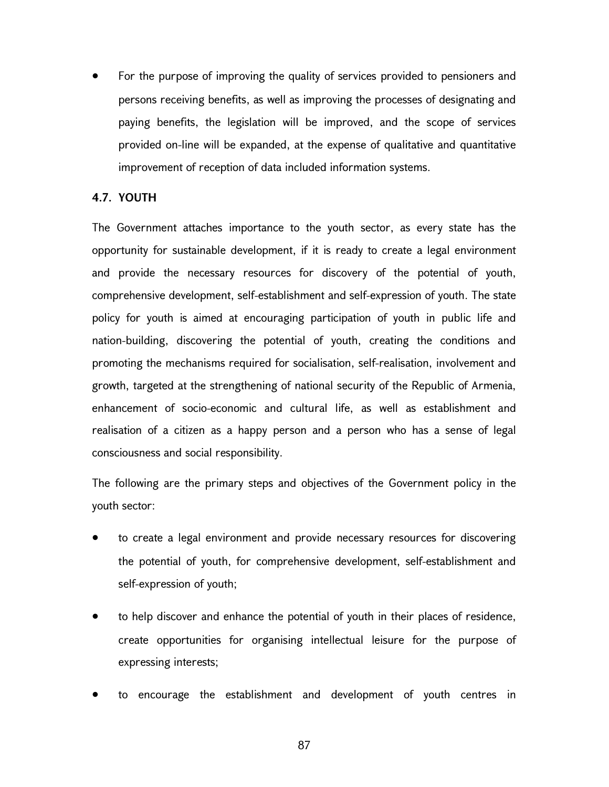For the purpose of improving the quality of services provided to pensioners and persons receiving benefits, as well as improving the processes of designating and paying benefits, the legislation will be improved, and the scope of services provided on-line will be expanded, at the expense of qualitative and quantitative improvement of reception of data included information systems.

# 4.7. YOUTH

The Government attaches importance to the youth sector, as every state has the opportunity for sustainable development, if it is ready to create a legal environment and provide the necessary resources for discovery of the potential of youth, comprehensive development, self-establishment and self-expression of youth. The state policy for youth is aimed at encouraging participation of youth in public life and nation-building, discovering the potential of youth, creating the conditions and promoting the mechanisms required for socialisation, self-realisation, involvement and growth, targeted at the strengthening of national security of the Republic of Armenia, enhancement of socio-economic and cultural life, as well as establishment and realisation of a citizen as a happy person and a person who has a sense of legal consciousness and social responsibility.

The following are the primary steps and objectives of the Government policy in the youth sector:

- to create a legal environment and provide necessary resources for discovering the potential of youth, for comprehensive development, self-establishment and self-expression of youth;
- to help discover and enhance the potential of youth in their places of residence, create opportunities for organising intellectual leisure for the purpose of expressing interests;
- to encourage the establishment and development of youth centres in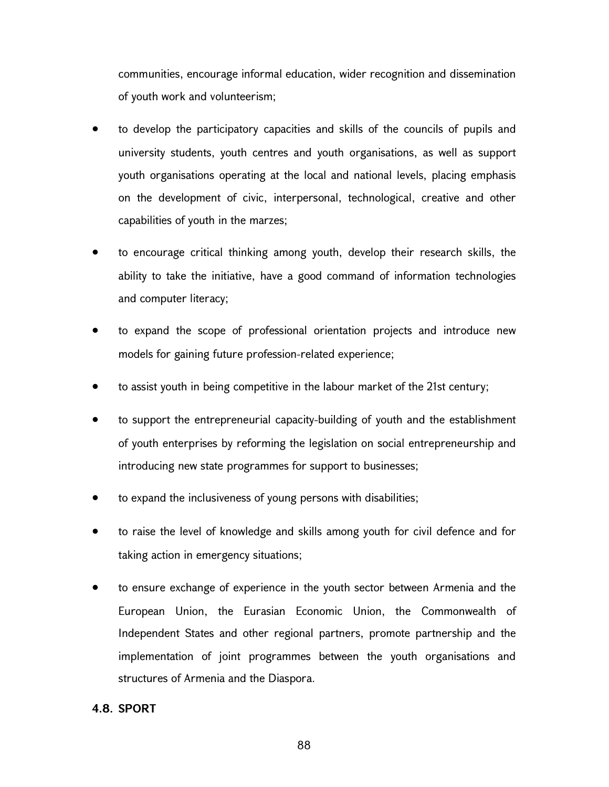communities, encourage informal education, wider recognition and dissemination of youth work and volunteerism;

- to develop the participatory capacities and skills of the councils of pupils and university students, youth centres and youth organisations, as well as support youth organisations operating at the local and national levels, placing emphasis on the development of civic, interpersonal, technological, creative and other capabilities of youth in the marzes;
- to encourage critical thinking among youth, develop their research skills, the ability to take the initiative, have a good command of information technologies and computer literacy;
- to expand the scope of professional orientation projects and introduce new models for gaining future profession-related experience;
- to assist youth in being competitive in the labour market of the 21st century;
- to support the entrepreneurial capacity-building of youth and the establishment of youth enterprises by reforming the legislation on social entrepreneurship and introducing new state programmes for support to businesses;
- to expand the inclusiveness of young persons with disabilities;
- to raise the level of knowledge and skills among youth for civil defence and for taking action in emergency situations;
- to ensure exchange of experience in the youth sector between Armenia and the European Union, the Eurasian Economic Union, the Commonwealth of Independent States and other regional partners, promote partnership and the implementation of joint programmes between the youth organisations and structures of Armenia and the Diaspora.

# 4.8. SPORT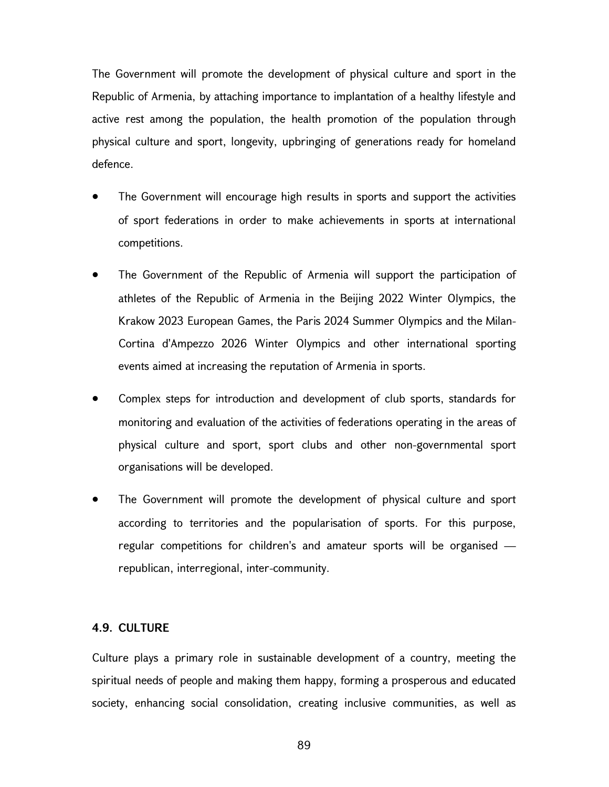The Government will promote the development of physical culture and sport in the Republic of Armenia, by attaching importance to implantation of a healthy lifestyle and active rest among the population, the health promotion of the population through physical culture and sport, longevity, upbringing of generations ready for homeland defence.

- The Government will encourage high results in sports and support the activities of sport federations in order to make achievements in sports at international competitions.
- The Government of the Republic of Armenia will support the participation of athletes of the Republic of Armenia in the Beijing 2022 Winter Olympics, the Krakow 2023 European Games, the Paris 2024 Summer Olympics and the Milan-Cortina d'Ampezzo 2026 Winter Olympics and other international sporting events aimed at increasing the reputation of Armenia in sports.
- Complex steps for introduction and development of club sports, standards for monitoring and evaluation of the activities of federations operating in the areas of physical culture and sport, sport clubs and other non-governmental sport organisations will be developed.
- The Government will promote the development of physical culture and sport according to territories and the popularisation of sports. For this purpose, regular competitions for children's and amateur sports will be organised republican, interregional, inter-community.

# 4.9. CULTURE

Culture plays a primary role in sustainable development of a country, meeting the spiritual needs of people and making them happy, forming a prosperous and educated society, enhancing social consolidation, creating inclusive communities, as well as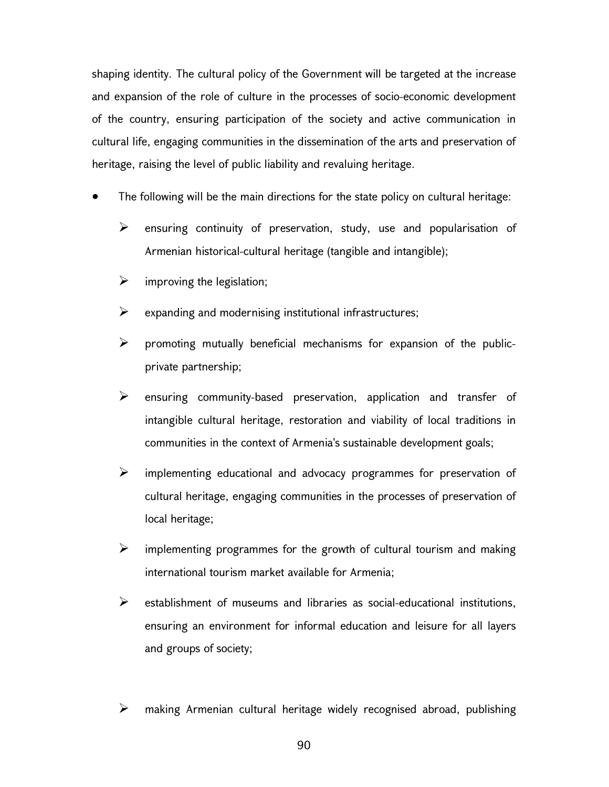shaping identity. The cultural policy of the Government will be targeted at the increase and expansion of the role of culture in the processes of socio-economic development of the country, ensuring participation of the society and active communication in cultural life, engaging communities in the dissemination of the arts and preservation of heritage, raising the level of public liability and revaluing heritage.

- The following will be the main directions for the state policy on cultural heritage:
	- $\triangleright$  ensuring continuity of preservation, study, use and popularisation of Armenian historical-cultural heritage (tangible and intangible);
	- $\triangleright$  improving the legislation;
	- $\triangleright$  expanding and modernising institutional infrastructures;
	- $\triangleright$  promoting mutually beneficial mechanisms for expansion of the publicprivate partnership;
	- $\triangleright$  ensuring community-based preservation, application and transfer of intangible cultural heritage, restoration and viability of local traditions in communities in the context of Armenia's sustainable development goals;
	- $\triangleright$  implementing educational and advocacy programmes for preservation of cultural heritage, engaging communities in the processes of preservation of local heritage;
	- $\triangleright$  implementing programmes for the growth of cultural tourism and making international tourism market available for Armenia;
	- $\triangleright$  establishment of museums and libraries as social-educational institutions, ensuring an environment for informal education and leisure for all layers and groups of society;
	- $\triangleright$  making Armenian cultural heritage widely recognised abroad, publishing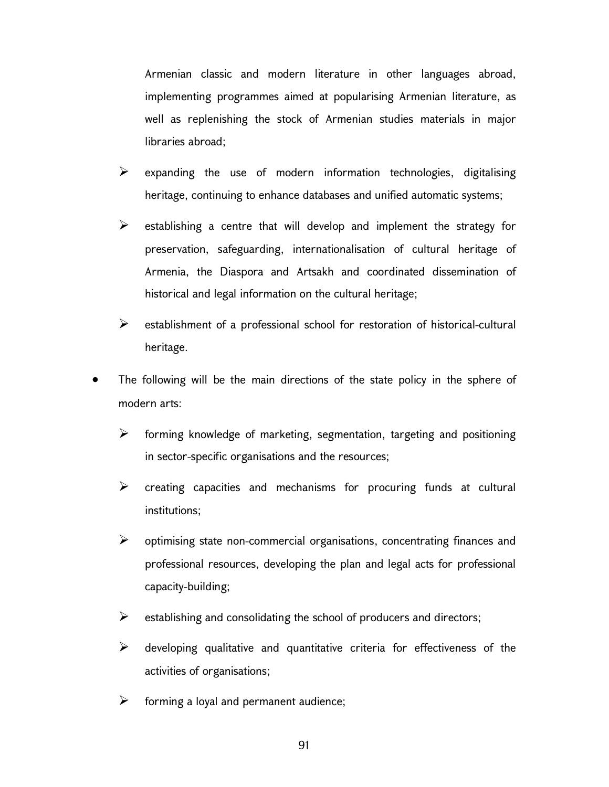Armenian classic and modern literature in other languages abroad, implementing programmes aimed at popularising Armenian literature, as well as replenishing the stock of Armenian studies materials in major libraries abroad;

- $\triangleright$  expanding the use of modern information technologies, digitalising heritage, continuing to enhance databases and unified automatic systems;
- $\triangleright$  establishing a centre that will develop and implement the strategy for preservation, safeguarding, internationalisation of cultural heritage of Armenia, the Diaspora and Artsakh and coordinated dissemination of historical and legal information on the cultural heritage;
- $\triangleright$  establishment of a professional school for restoration of historical-cultural heritage.
- The following will be the main directions of the state policy in the sphere of modern arts:
	- $\triangleright$  forming knowledge of marketing, segmentation, targeting and positioning in sector-specific organisations and the resources;
	- $\triangleright$  creating capacities and mechanisms for procuring funds at cultural institutions;
	- $\triangleright$  optimising state non-commercial organisations, concentrating finances and professional resources, developing the plan and legal acts for professional capacity-building;
	- $\triangleright$  establishing and consolidating the school of producers and directors;
	- $\triangleright$  developing qualitative and quantitative criteria for effectiveness of the activities of organisations;
	- $\triangleright$  forming a loyal and permanent audience;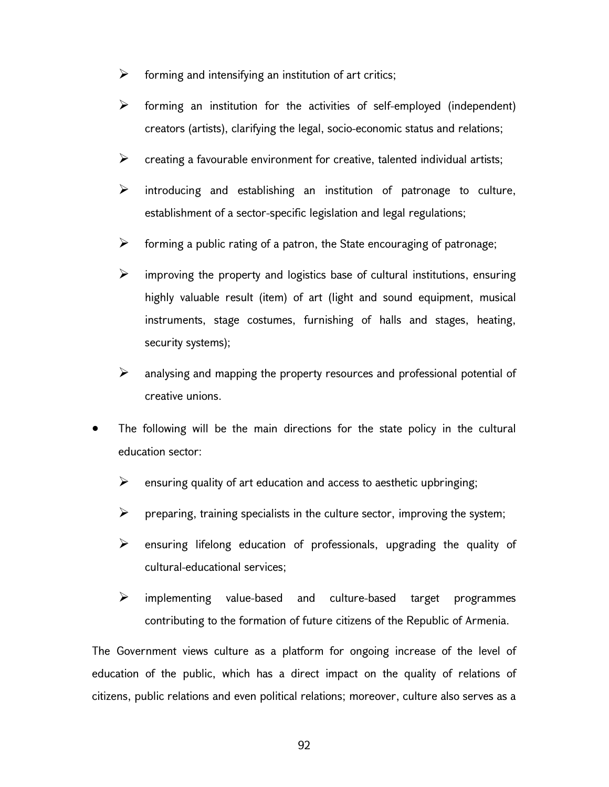- $\triangleright$  forming and intensifying an institution of art critics;
- $\triangleright$  forming an institution for the activities of self-employed (independent) creators (artists), clarifying the legal, socio-economic status and relations;
- $\triangleright$  creating a favourable environment for creative, talented individual artists;
- $\triangleright$  introducing and establishing an institution of patronage to culture, establishment of a sector-specific legislation and legal regulations;
- $\triangleright$  forming a public rating of a patron, the State encouraging of patronage;
- $\triangleright$  improving the property and logistics base of cultural institutions, ensuring highly valuable result (item) of art (light and sound equipment, musical instruments, stage costumes, furnishing of halls and stages, heating, security systems);
- $\triangleright$  analysing and mapping the property resources and professional potential of creative unions.
- The following will be the main directions for the state policy in the cultural education sector:
	- $\triangleright$  ensuring quality of art education and access to aesthetic upbringing;
	- $\triangleright$  preparing, training specialists in the culture sector, improving the system;
	- $\triangleright$  ensuring lifelong education of professionals, upgrading the quality of cultural-educational services;
	- $\triangleright$  implementing value-based and culture-based target programmes contributing to the formation of future citizens of the Republic of Armenia.

The Government views culture as a platform for ongoing increase of the level of education of the public, which has a direct impact on the quality of relations of citizens, public relations and even political relations; moreover, culture also serves as a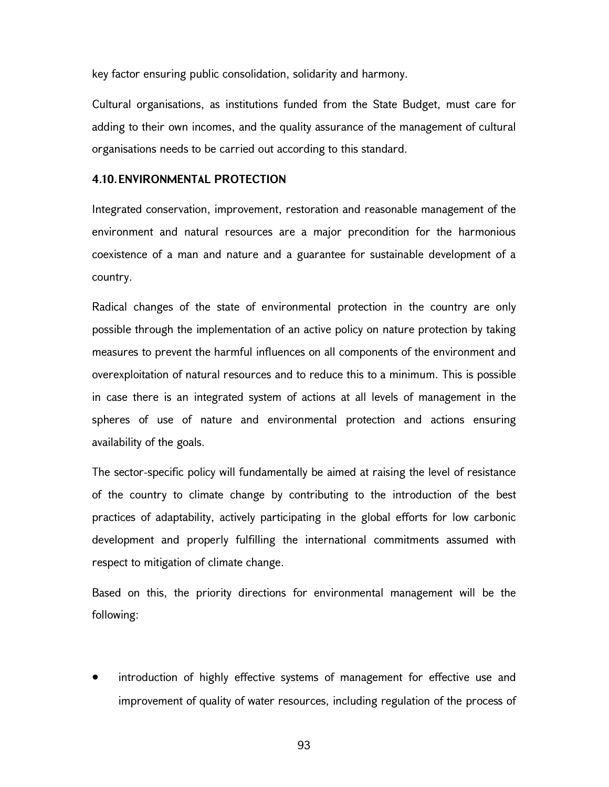key factor ensuring public consolidation, solidarity and harmony.

Cultural organisations, as institutions funded from the State Budget, must care for adding to their own incomes, and the quality assurance of the management of cultural organisations needs to be carried out according to this standard.

#### 4.10. ENVIRONMENTAL PROTECTION

Integrated conservation, improvement, restoration and reasonable management of the environment and natural resources are a major precondition for the harmonious coexistence of a man and nature and a guarantee for sustainable development of a country.

Radical changes of the state of environmental protection in the country are only possible through the implementation of an active policy on nature protection by taking measures to prevent the harmful influences on all components of the environment and overexploitation of natural resources and to reduce this to a minimum. This is possible in case there is an integrated system of actions at all levels of management in the spheres of use of nature and environmental protection and actions ensuring availability of the goals.

The sector-specific policy will fundamentally be aimed at raising the level of resistance of the country to climate change by contributing to the introduction of the best practices of adaptability, actively participating in the global efforts for low carbonic development and properly fulfilling the international commitments assumed with respect to mitigation of climate change.

Based on this, the priority directions for environmental management will be the following:

 introduction of highly effective systems of management for effective use and improvement of quality of water resources, including regulation of the process of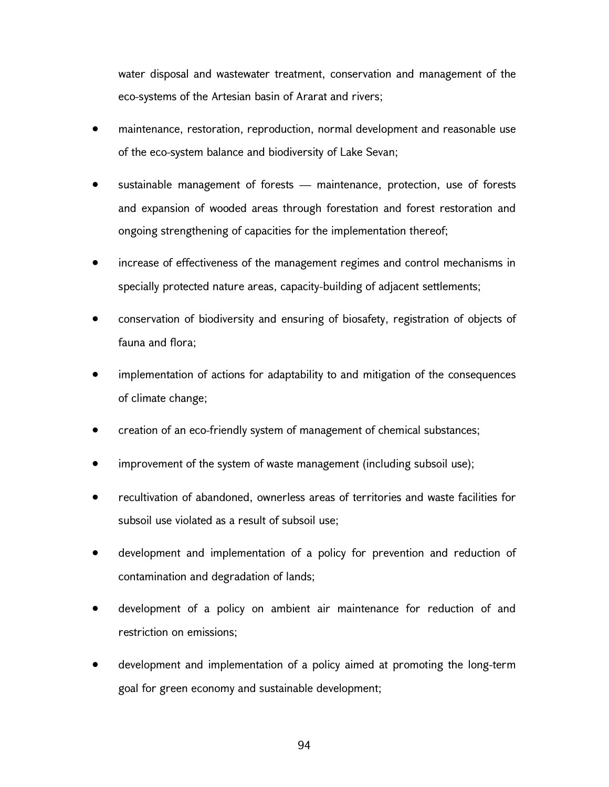water disposal and wastewater treatment, conservation and management of the eco-systems of the Artesian basin of Ararat and rivers;

- maintenance, restoration, reproduction, normal development and reasonable use of the eco-system balance and biodiversity of Lake Sevan;
- sustainable management of forests maintenance, protection, use of forests and expansion of wooded areas through forestation and forest restoration and ongoing strengthening of capacities for the implementation thereof;
- increase of effectiveness of the management regimes and control mechanisms in specially protected nature areas, capacity-building of adjacent settlements;
- conservation of biodiversity and ensuring of biosafety, registration of objects of fauna and flora;
- implementation of actions for adaptability to and mitigation of the consequences of climate change;
- creation of an eco-friendly system of management of chemical substances;
- improvement of the system of waste management (including subsoil use);
- recultivation of abandoned, ownerless areas of territories and waste facilities for subsoil use violated as a result of subsoil use;
- development and implementation of a policy for prevention and reduction of contamination and degradation of lands;
- development of a policy on ambient air maintenance for reduction of and restriction on emissions;
- development and implementation of a policy aimed at promoting the long-term goal for green economy and sustainable development;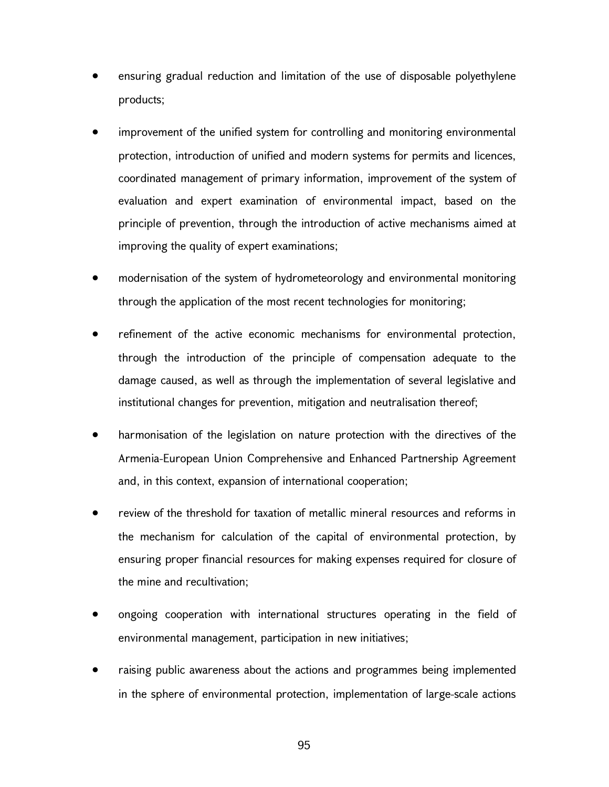- ensuring gradual reduction and limitation of the use of disposable polyethylene products;
- improvement of the unified system for controlling and monitoring environmental protection, introduction of unified and modern systems for permits and licences, coordinated management of primary information, improvement of the system of evaluation and expert examination of environmental impact, based on the principle of prevention, through the introduction of active mechanisms aimed at improving the quality of expert examinations;
- modernisation of the system of hydrometeorology and environmental monitoring through the application of the most recent technologies for monitoring;
- refinement of the active economic mechanisms for environmental protection, through the introduction of the principle of compensation adequate to the damage caused, as well as through the implementation of several legislative and institutional changes for prevention, mitigation and neutralisation thereof;
- harmonisation of the legislation on nature protection with the directives of the Armenia-European Union Comprehensive and Enhanced Partnership Agreement and, in this context, expansion of international cooperation;
- review of the threshold for taxation of metallic mineral resources and reforms in the mechanism for calculation of the capital of environmental protection, by ensuring proper financial resources for making expenses required for closure of the mine and recultivation;
- ongoing cooperation with international structures operating in the field of environmental management, participation in new initiatives;
- raising public awareness about the actions and programmes being implemented in the sphere of environmental protection, implementation of large-scale actions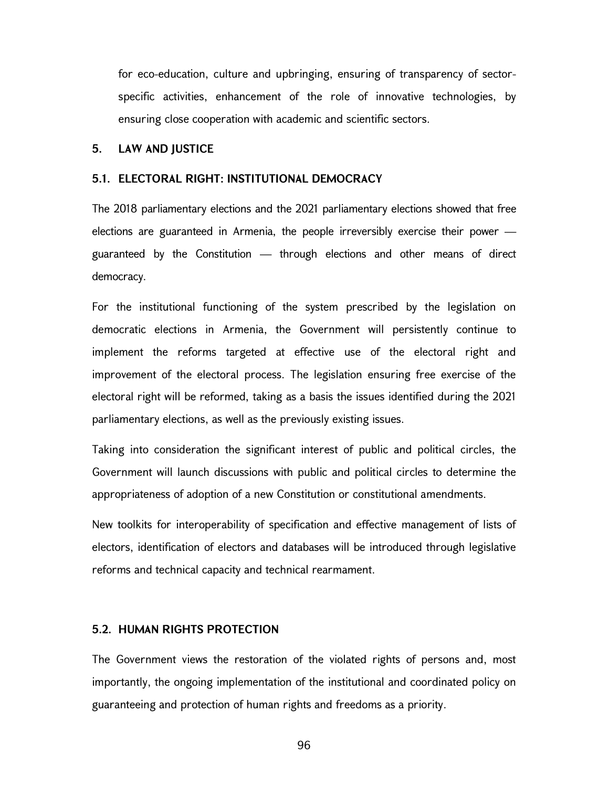for eco-education, culture and upbringing, ensuring of transparency of sectorspecific activities, enhancement of the role of innovative technologies, by ensuring close cooperation with academic and scientific sectors.

#### 5. LAW AND JUSTICE

#### 5.1. ELECTORAL RIGHT: INSTITUTIONAL DEMOCRACY

The 2018 parliamentary elections and the 2021 parliamentary elections showed that free elections are guaranteed in Armenia, the people irreversibly exercise their power guaranteed by the Constitution — through elections and other means of direct democracy.

For the institutional functioning of the system prescribed by the legislation on democratic elections in Armenia, the Government will persistently continue to implement the reforms targeted at effective use of the electoral right and improvement of the electoral process. The legislation ensuring free exercise of the electoral right will be reformed, taking as a basis the issues identified during the 2021 parliamentary elections, as well as the previously existing issues.

Taking into consideration the significant interest of public and political circles, the Government will launch discussions with public and political circles to determine the appropriateness of adoption of a new Constitution or constitutional amendments.

New toolkits for interoperability of specification and effective management of lists of electors, identification of electors and databases will be introduced through legislative reforms and technical capacity and technical rearmament.

### 5.2. HUMAN RIGHTS PROTECTION

The Government views the restoration of the violated rights of persons and, most importantly, the ongoing implementation of the institutional and coordinated policy on guaranteeing and protection of human rights and freedoms as a priority.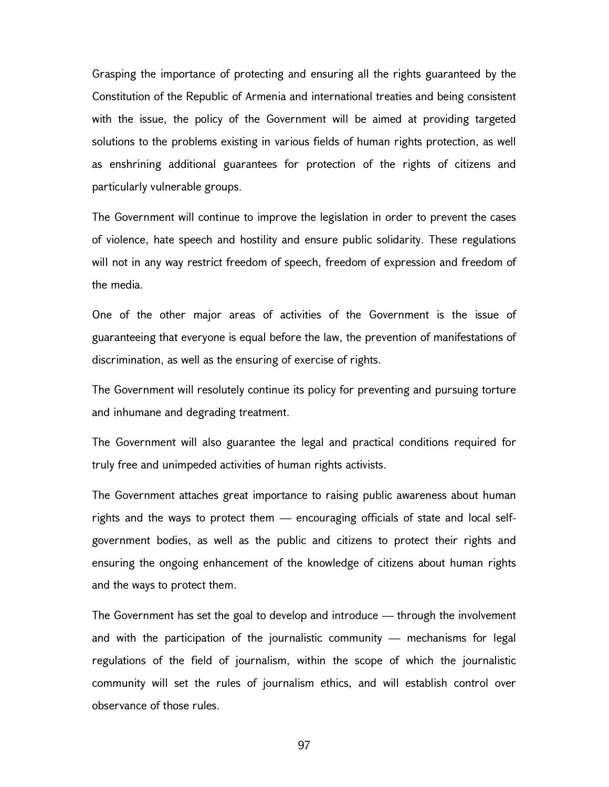Grasping the importance of protecting and ensuring all the rights guaranteed by the Constitution of the Republic of Armenia and international treaties and being consistent with the issue, the policy of the Government will be aimed at providing targeted solutions to the problems existing in various fields of human rights protection, as well as enshrining additional guarantees for protection of the rights of citizens and particularly vulnerable groups.

The Government will continue to improve the legislation in order to prevent the cases of violence, hate speech and hostility and ensure public solidarity. These regulations will not in any way restrict freedom of speech, freedom of expression and freedom of the media.

One of the other major areas of activities of the Government is the issue of guaranteeing that everyone is equal before the law, the prevention of manifestations of discrimination, as well as the ensuring of exercise of rights.

The Government will resolutely continue its policy for preventing and pursuing torture and inhumane and degrading treatment.

The Government will also guarantee the legal and practical conditions required for truly free and unimpeded activities of human rights activists.

The Government attaches great importance to raising public awareness about human rights and the ways to protect them — encouraging officials of state and local selfgovernment bodies, as well as the public and citizens to protect their rights and ensuring the ongoing enhancement of the knowledge of citizens about human rights and the ways to protect them.

The Government has set the goal to develop and introduce — through the involvement and with the participation of the journalistic community — mechanisms for legal regulations of the field of journalism, within the scope of which the journalistic community will set the rules of journalism ethics, and will establish control over observance of those rules.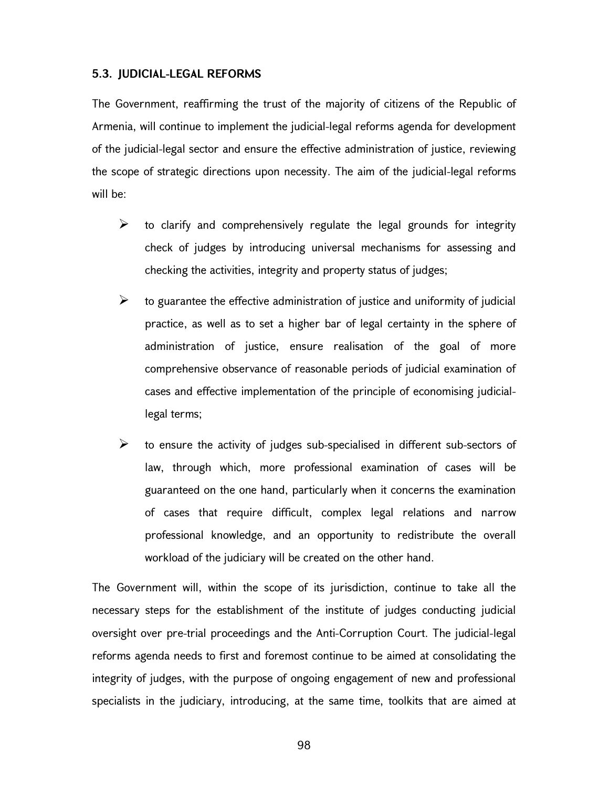#### 5.3. JUDICIAL-LEGAL REFORMS

The Government, reaffirming the trust of the majority of citizens of the Republic of Armenia, will continue to implement the judicial-legal reforms agenda for development of the judicial-legal sector and ensure the effective administration of justice, reviewing the scope of strategic directions upon necessity. The aim of the judicial-legal reforms will be:

- $\triangleright$  to clarify and comprehensively regulate the legal grounds for integrity check of judges by introducing universal mechanisms for assessing and checking the activities, integrity and property status of judges;
- $\triangleright$  to guarantee the effective administration of justice and uniformity of judicial practice, as well as to set a higher bar of legal certainty in the sphere of administration of justice, ensure realisation of the goal of more comprehensive observance of reasonable periods of judicial examination of cases and effective implementation of the principle of economising judiciallegal terms;
- $\triangleright$  to ensure the activity of judges sub-specialised in different sub-sectors of law, through which, more professional examination of cases will be guaranteed on the one hand, particularly when it concerns the examination of cases that require difficult, complex legal relations and narrow professional knowledge, and an opportunity to redistribute the overall workload of the judiciary will be created on the other hand.

The Government will, within the scope of its jurisdiction, continue to take all the necessary steps for the establishment of the institute of judges conducting judicial oversight over pre-trial proceedings and the Anti-Corruption Court. The judicial-legal reforms agenda needs to first and foremost continue to be aimed at consolidating the integrity of judges, with the purpose of ongoing engagement of new and professional specialists in the judiciary, introducing, at the same time, toolkits that are aimed at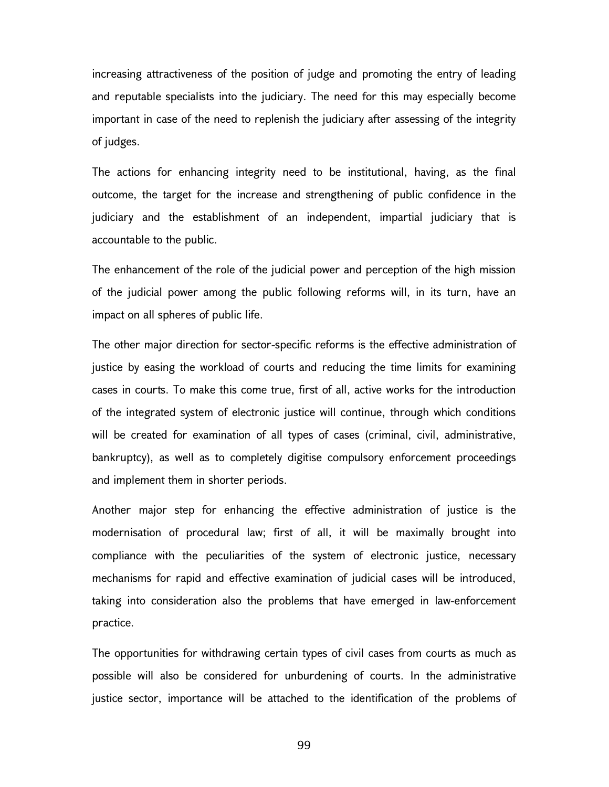increasing attractiveness of the position of judge and promoting the entry of leading and reputable specialists into the judiciary. The need for this may especially become important in case of the need to replenish the judiciary after assessing of the integrity of judges.

The actions for enhancing integrity need to be institutional, having, as the final outcome, the target for the increase and strengthening of public confidence in the judiciary and the establishment of an independent, impartial judiciary that is accountable to the public.

The enhancement of the role of the judicial power and perception of the high mission of the judicial power among the public following reforms will, in its turn, have an impact on all spheres of public life.

The other major direction for sector-specific reforms is the effective administration of justice by easing the workload of courts and reducing the time limits for examining cases in courts. To make this come true, first of all, active works for the introduction of the integrated system of electronic justice will continue, through which conditions will be created for examination of all types of cases (criminal, civil, administrative, bankruptcy), as well as to completely digitise compulsory enforcement proceedings and implement them in shorter periods.

Another major step for enhancing the effective administration of justice is the modernisation of procedural law; first of all, it will be maximally brought into compliance with the peculiarities of the system of electronic justice, necessary mechanisms for rapid and effective examination of judicial cases will be introduced, taking into consideration also the problems that have emerged in law-enforcement practice.

The opportunities for withdrawing certain types of civil cases from courts as much as possible will also be considered for unburdening of courts. In the administrative justice sector, importance will be attached to the identification of the problems of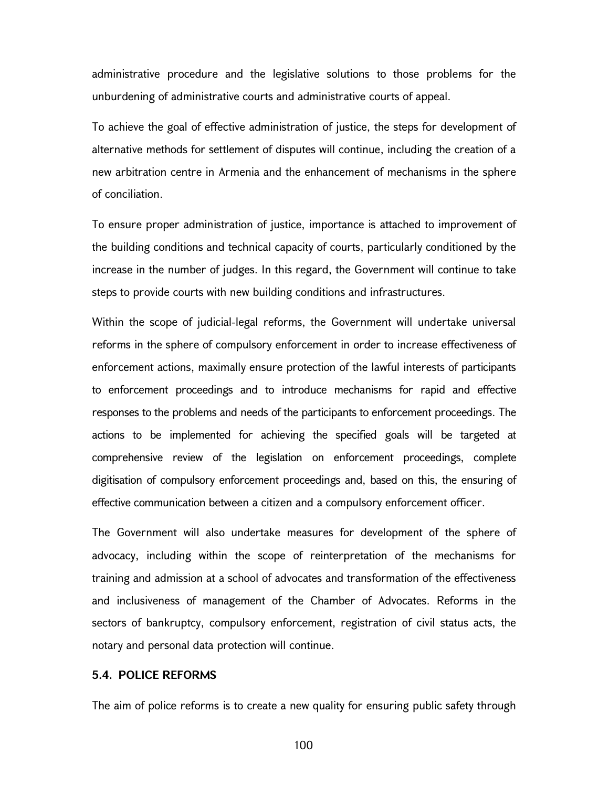administrative procedure and the legislative solutions to those problems for the unburdening of administrative courts and administrative courts of appeal.

To achieve the goal of effective administration of justice, the steps for development of alternative methods for settlement of disputes will continue, including the creation of a new arbitration centre in Armenia and the enhancement of mechanisms in the sphere of conciliation.

To ensure proper administration of justice, importance is attached to improvement of the building conditions and technical capacity of courts, particularly conditioned by the increase in the number of judges. In this regard, the Government will continue to take steps to provide courts with new building conditions and infrastructures.

Within the scope of judicial-legal reforms, the Government will undertake universal reforms in the sphere of compulsory enforcement in order to increase effectiveness of enforcement actions, maximally ensure protection of the lawful interests of participants to enforcement proceedings and to introduce mechanisms for rapid and effective responses to the problems and needs of the participants to enforcement proceedings. The actions to be implemented for achieving the specified goals will be targeted at comprehensive review of the legislation on enforcement proceedings, complete digitisation of compulsory enforcement proceedings and, based on this, the ensuring of effective communication between a citizen and a compulsory enforcement officer.

The Government will also undertake measures for development of the sphere of advocacy, including within the scope of reinterpretation of the mechanisms for training and admission at a school of advocates and transformation of the effectiveness and inclusiveness of management of the Chamber of Advocates. Reforms in the sectors of bankruptcy, compulsory enforcement, registration of civil status acts, the notary and personal data protection will continue.

# 5.4. POLICE REFORMS

The aim of police reforms is to create a new quality for ensuring public safety through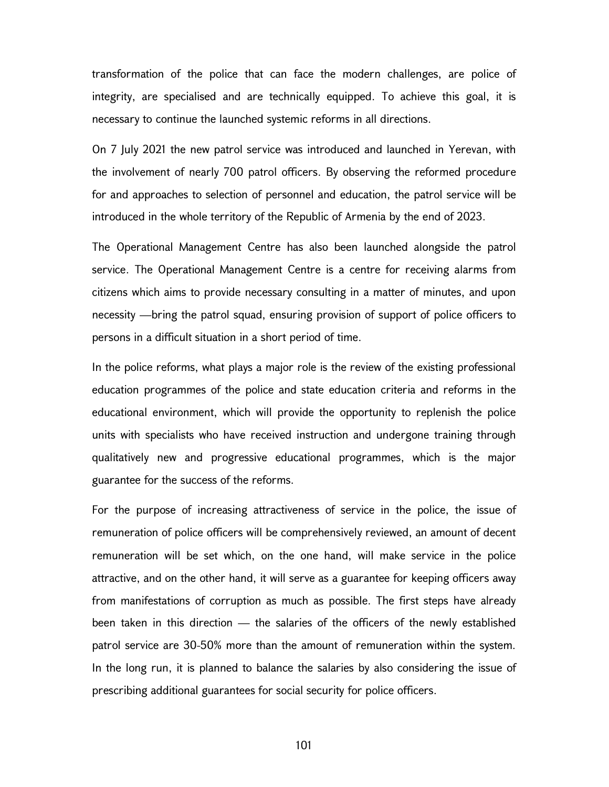transformation of the police that can face the modern challenges, are police of integrity, are specialised and are technically equipped. To achieve this goal, it is necessary to continue the launched systemic reforms in all directions.

On 7 July 2021 the new patrol service was introduced and launched in Yerevan, with the involvement of nearly 700 patrol officers. By observing the reformed procedure for and approaches to selection of personnel and education, the patrol service will be introduced in the whole territory of the Republic of Armenia by the end of 2023.

The Operational Management Centre has also been launched alongside the patrol service. The Operational Management Centre is a centre for receiving alarms from citizens which aims to provide necessary consulting in a matter of minutes, and upon necessity —bring the patrol squad, ensuring provision of support of police officers to persons in a difficult situation in a short period of time.

In the police reforms, what plays a major role is the review of the existing professional education programmes of the police and state education criteria and reforms in the educational environment, which will provide the opportunity to replenish the police units with specialists who have received instruction and undergone training through qualitatively new and progressive educational programmes, which is the major guarantee for the success of the reforms.

For the purpose of increasing attractiveness of service in the police, the issue of remuneration of police officers will be comprehensively reviewed, an amount of decent remuneration will be set which, on the one hand, will make service in the police attractive, and on the other hand, it will serve as a guarantee for keeping officers away from manifestations of corruption as much as possible. The first steps have already been taken in this direction — the salaries of the officers of the newly established patrol service are 30-50% more than the amount of remuneration within the system. In the long run, it is planned to balance the salaries by also considering the issue of prescribing additional guarantees for social security for police officers.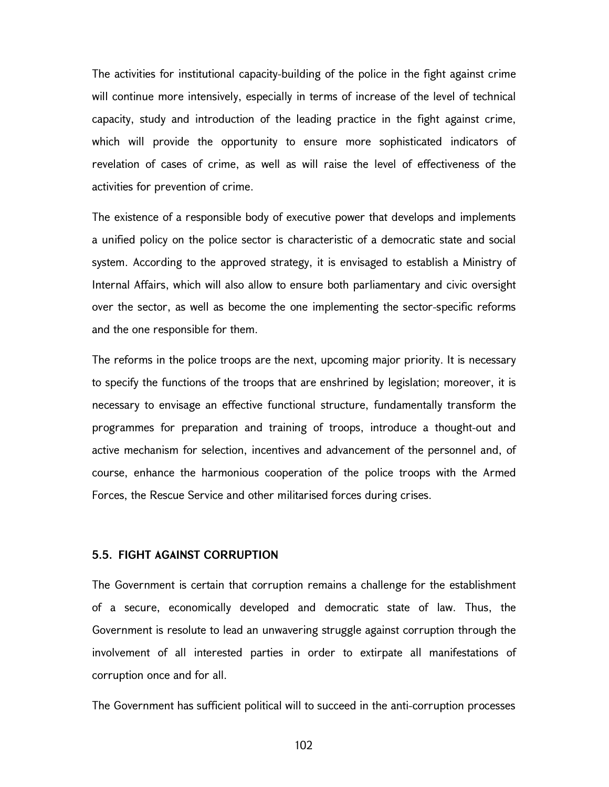The activities for institutional capacity-building of the police in the fight against crime will continue more intensively, especially in terms of increase of the level of technical capacity, study and introduction of the leading practice in the fight against crime, which will provide the opportunity to ensure more sophisticated indicators of revelation of cases of crime, as well as will raise the level of effectiveness of the activities for prevention of crime.

The existence of a responsible body of executive power that develops and implements a unified policy on the police sector is characteristic of a democratic state and social system. According to the approved strategy, it is envisaged to establish a Ministry of Internal Affairs, which will also allow to ensure both parliamentary and civic oversight over the sector, as well as become the one implementing the sector-specific reforms and the one responsible for them.

The reforms in the police troops are the next, upcoming major priority. It is necessary to specify the functions of the troops that are enshrined by legislation; moreover, it is necessary to envisage an effective functional structure, fundamentally transform the programmes for preparation and training of troops, introduce a thought-out and active mechanism for selection, incentives and advancement of the personnel and, of course, enhance the harmonious cooperation of the police troops with the Armed Forces, the Rescue Service and other militarised forces during crises.

#### 5.5. FIGHT AGAINST CORRUPTION

The Government is certain that corruption remains a challenge for the establishment of a secure, economically developed and democratic state of law. Thus, the Government is resolute to lead an unwavering struggle against corruption through the involvement of all interested parties in order to extirpate all manifestations of corruption once and for all.

The Government has sufficient political will to succeed in the anti-corruption processes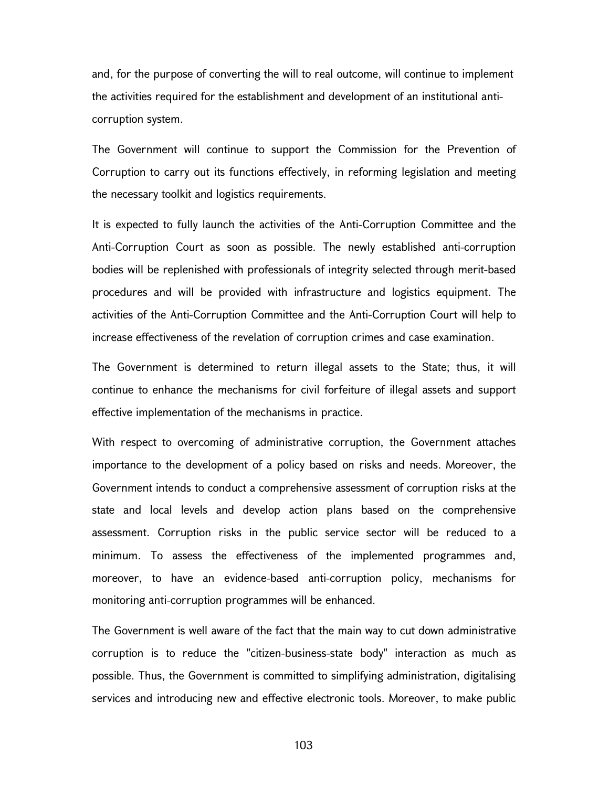and, for the purpose of converting the will to real outcome, will continue to implement the activities required for the establishment and development of an institutional anticorruption system.

The Government will continue to support the Commission for the Prevention of Corruption to carry out its functions effectively, in reforming legislation and meeting the necessary toolkit and logistics requirements.

It is expected to fully launch the activities of the Anti-Corruption Committee and the Anti-Corruption Court as soon as possible. The newly established anti-corruption bodies will be replenished with professionals of integrity selected through merit-based procedures and will be provided with infrastructure and logistics equipment. The activities of the Anti-Corruption Committee and the Anti-Corruption Court will help to increase effectiveness of the revelation of corruption crimes and case examination.

The Government is determined to return illegal assets to the State; thus, it will continue to enhance the mechanisms for civil forfeiture of illegal assets and support effective implementation of the mechanisms in practice.

With respect to overcoming of administrative corruption, the Government attaches importance to the development of a policy based on risks and needs. Moreover, the Government intends to conduct a comprehensive assessment of corruption risks at the state and local levels and develop action plans based on the comprehensive assessment. Corruption risks in the public service sector will be reduced to a minimum. To assess the effectiveness of the implemented programmes and, moreover, to have an evidence-based anti-corruption policy, mechanisms for monitoring anti-corruption programmes will be enhanced.

The Government is well aware of the fact that the main way to cut down administrative corruption is to reduce the "citizen-business-state body" interaction as much as possible. Thus, the Government is committed to simplifying administration, digitalising services and introducing new and effective electronic tools. Moreover, to make public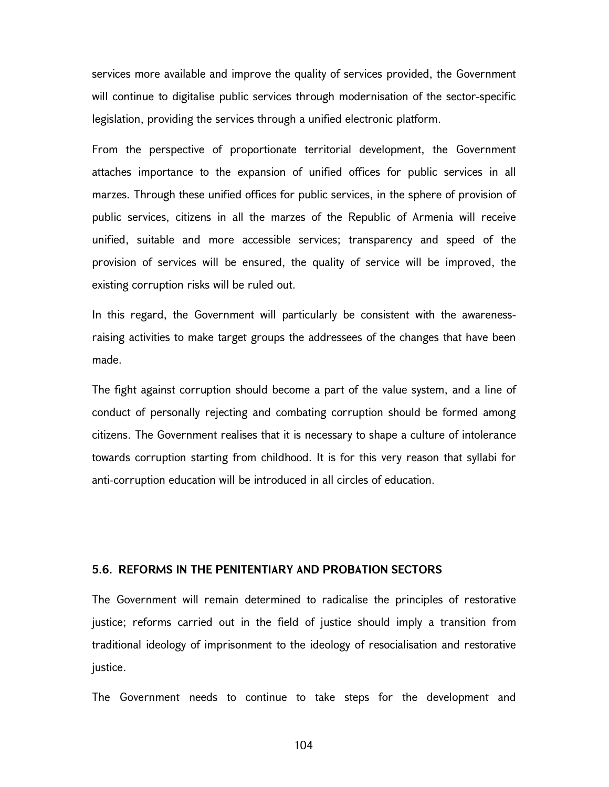services more available and improve the quality of services provided, the Government will continue to digitalise public services through modernisation of the sector-specific legislation, providing the services through a unified electronic platform.

From the perspective of proportionate territorial development, the Government attaches importance to the expansion of unified offices for public services in all marzes. Through these unified offices for public services, in the sphere of provision of public services, citizens in all the marzes of the Republic of Armenia will receive unified, suitable and more accessible services; transparency and speed of the provision of services will be ensured, the quality of service will be improved, the existing corruption risks will be ruled out.

In this regard, the Government will particularly be consistent with the awarenessraising activities to make target groups the addressees of the changes that have been made.

The fight against corruption should become a part of the value system, and a line of conduct of personally rejecting and combating corruption should be formed among citizens. The Government realises that it is necessary to shape a culture of intolerance towards corruption starting from childhood. It is for this very reason that syllabi for anti-corruption education will be introduced in all circles of education.

# 5.6. REFORMS IN THE PENITENTIARY AND PROBATION SECTORS

The Government will remain determined to radicalise the principles of restorative justice; reforms carried out in the field of justice should imply a transition from traditional ideology of imprisonment to the ideology of resocialisation and restorative justice.

The Government needs to continue to take steps for the development and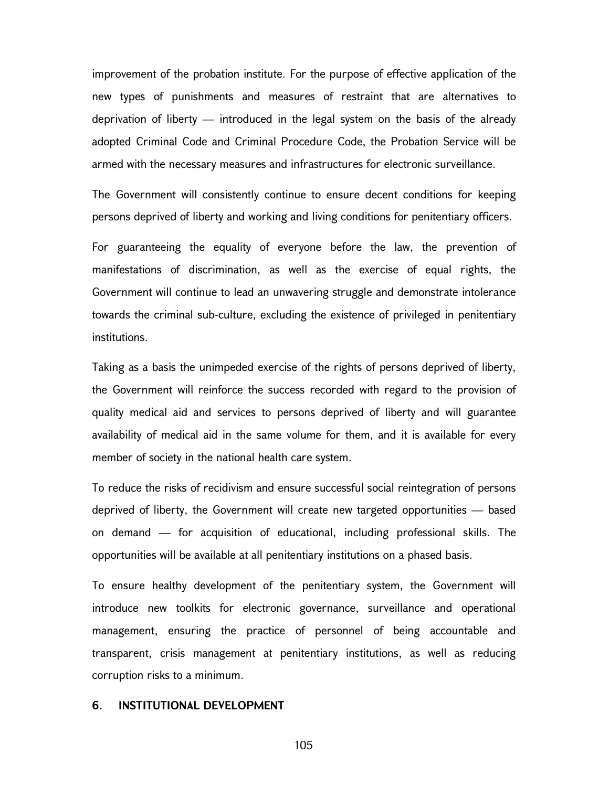improvement of the probation institute. For the purpose of effective application of the new types of punishments and measures of restraint that are alternatives to deprivation of liberty — introduced in the legal system on the basis of the already adopted Criminal Code and Criminal Procedure Code, the Probation Service will be armed with the necessary measures and infrastructures for electronic surveillance.

The Government will consistently continue to ensure decent conditions for keeping persons deprived of liberty and working and living conditions for penitentiary officers.

For guaranteeing the equality of everyone before the law, the prevention of manifestations of discrimination, as well as the exercise of equal rights, the Government will continue to lead an unwavering struggle and demonstrate intolerance towards the criminal sub-culture, excluding the existence of privileged in penitentiary institutions.

Taking as a basis the unimpeded exercise of the rights of persons deprived of liberty, the Government will reinforce the success recorded with regard to the provision of quality medical aid and services to persons deprived of liberty and will guarantee availability of medical aid in the same volume for them, and it is available for every member of society in the national health care system.

To reduce the risks of recidivism and ensure successful social reintegration of persons deprived of liberty, the Government will create new targeted opportunities — based on demand — for acquisition of educational, including professional skills. The opportunities will be available at all penitentiary institutions on a phased basis.

To ensure healthy development of the penitentiary system, the Government will introduce new toolkits for electronic governance, surveillance and operational management, ensuring the practice of personnel of being accountable and transparent, crisis management at penitentiary institutions, as well as reducing corruption risks to a minimum.

#### 6. INSTITUTIONAL DEVELOPMENT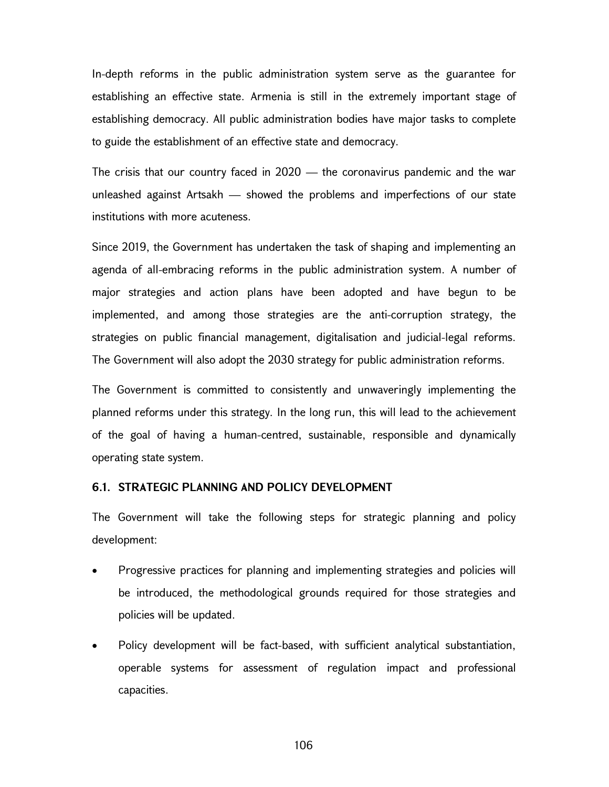In-depth reforms in the public administration system serve as the guarantee for establishing an effective state. Armenia is still in the extremely important stage of establishing democracy. All public administration bodies have major tasks to complete to guide the establishment of an effective state and democracy.

The crisis that our country faced in 2020 — the coronavirus pandemic and the war unleashed against Artsakh — showed the problems and imperfections of our state institutions with more acuteness.

Since 2019, the Government has undertaken the task of shaping and implementing an agenda of all-embracing reforms in the public administration system. A number of major strategies and action plans have been adopted and have begun to be implemented, and among those strategies are the anti-corruption strategy, the strategies on public financial management, digitalisation and judicial-legal reforms. The Government will also adopt the 2030 strategy for public administration reforms.

The Government is committed to consistently and unwaveringly implementing the planned reforms under this strategy. In the long run, this will lead to the achievement of the goal of having a human-centred, sustainable, responsible and dynamically operating state system.

### 6.1. STRATEGIC PLANNING AND POLICY DEVELOPMENT

The Government will take the following steps for strategic planning and policy development:

- Progressive practices for planning and implementing strategies and policies will be introduced, the methodological grounds required for those strategies and policies will be updated.
- Policy development will be fact-based, with sufficient analytical substantiation, operable systems for assessment of regulation impact and professional capacities.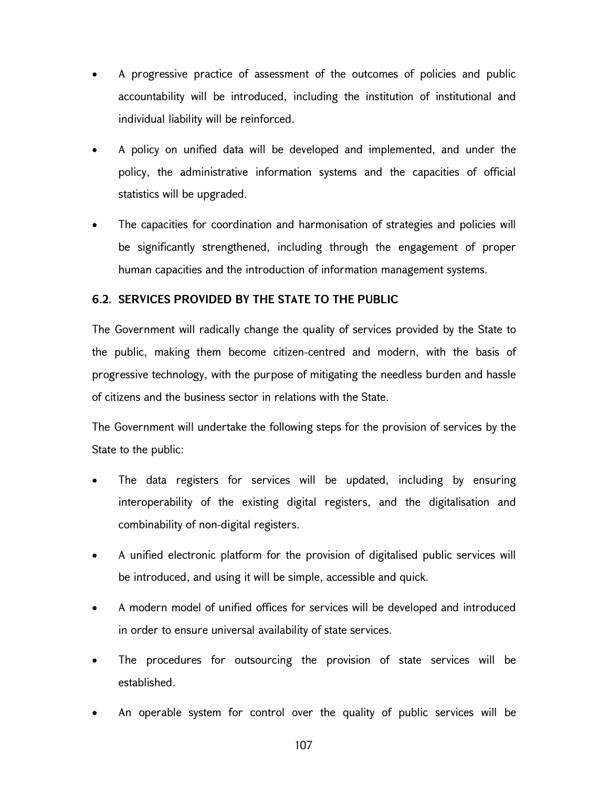- A progressive practice of assessment of the outcomes of policies and public accountability will be introduced, including the institution of institutional and individual liability will be reinforced.
- A policy on unified data will be developed and implemented, and under the policy, the administrative information systems and the capacities of official statistics will be upgraded.
- The capacities for coordination and harmonisation of strategies and policies will be significantly strengthened, including through the engagement of proper human capacities and the introduction of information management systems.

# 6.2. SERVICES PROVIDED BY THE STATE TO THE PUBLIC

The Government will radically change the quality of services provided by the State to the public, making them become citizen-centred and modern, with the basis of progressive technology, with the purpose of mitigating the needless burden and hassle of citizens and the business sector in relations with the State.

The Government will undertake the following steps for the provision of services by the State to the public:

- The data registers for services will be updated, including by ensuring interoperability of the existing digital registers, and the digitalisation and combinability of non-digital registers.
- A unified electronic platform for the provision of digitalised public services will be introduced, and using it will be simple, accessible and quick.
- A modern model of unified offices for services will be developed and introduced in order to ensure universal availability of state services.
- The procedures for outsourcing the provision of state services will be established.
- An operable system for control over the quality of public services will be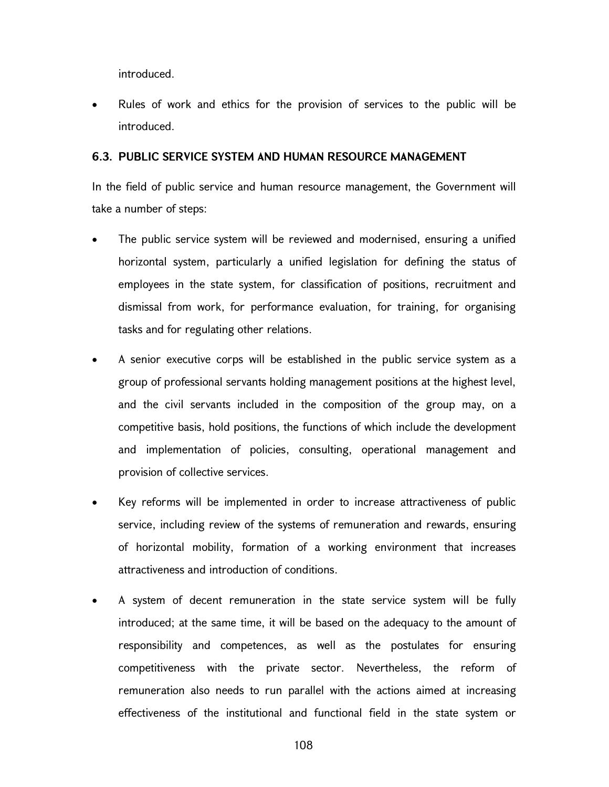introduced.

 Rules of work and ethics for the provision of services to the public will be introduced.

#### 6.3. PUBLIC SERVICE SYSTEM AND HUMAN RESOURCE MANAGEMENT

In the field of public service and human resource management, the Government will take a number of steps:

- The public service system will be reviewed and modernised, ensuring a unified horizontal system, particularly a unified legislation for defining the status of employees in the state system, for classification of positions, recruitment and dismissal from work, for performance evaluation, for training, for organising tasks and for regulating other relations.
- A senior executive corps will be established in the public service system as a group of professional servants holding management positions at the highest level, and the civil servants included in the composition of the group may, on a competitive basis, hold positions, the functions of which include the development and implementation of policies, consulting, operational management and provision of collective services.
- Key reforms will be implemented in order to increase attractiveness of public service, including review of the systems of remuneration and rewards, ensuring of horizontal mobility, formation of a working environment that increases attractiveness and introduction of conditions.
- A system of decent remuneration in the state service system will be fully introduced; at the same time, it will be based on the adequacy to the amount of responsibility and competences, as well as the postulates for ensuring competitiveness with the private sector. Nevertheless, the reform of remuneration also needs to run parallel with the actions aimed at increasing effectiveness of the institutional and functional field in the state system or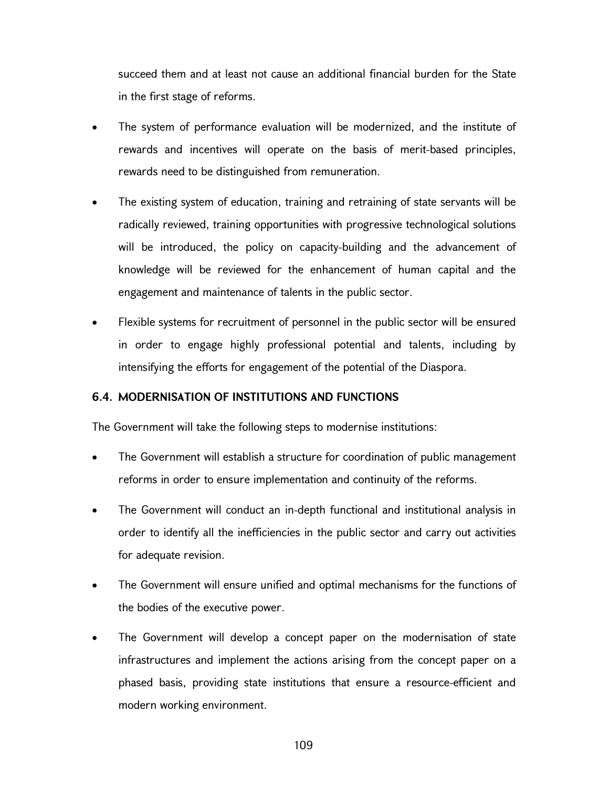succeed them and at least not cause an additional financial burden for the State in the first stage of reforms.

- The system of performance evaluation will be modernized, and the institute of rewards and incentives will operate on the basis of merit-based principles, rewards need to be distinguished from remuneration.
- The existing system of education, training and retraining of state servants will be radically reviewed, training opportunities with progressive technological solutions will be introduced, the policy on capacity-building and the advancement of knowledge will be reviewed for the enhancement of human capital and the engagement and maintenance of talents in the public sector.
- Flexible systems for recruitment of personnel in the public sector will be ensured in order to engage highly professional potential and talents, including by intensifying the efforts for engagement of the potential of the Diaspora.

# 6.4. MODERNISATION OF INSTITUTIONS AND FUNCTIONS

The Government will take the following steps to modernise institutions:

- The Government will establish a structure for coordination of public management reforms in order to ensure implementation and continuity of the reforms.
- The Government will conduct an in-depth functional and institutional analysis in order to identify all the inefficiencies in the public sector and carry out activities for adequate revision.
- The Government will ensure unified and optimal mechanisms for the functions of the bodies of the executive power.
- The Government will develop a concept paper on the modernisation of state infrastructures and implement the actions arising from the concept paper on a phased basis, providing state institutions that ensure a resource-efficient and modern working environment.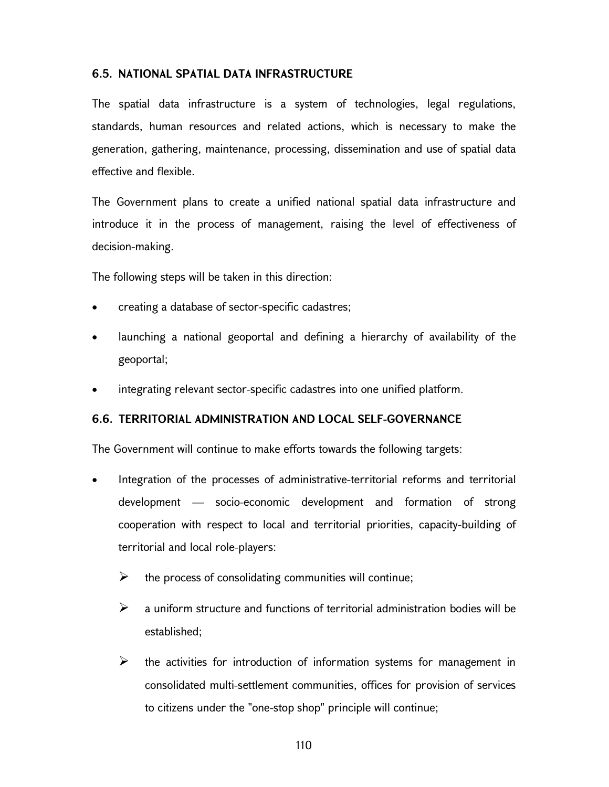# 6.5. NATIONAL SPATIAL DATA INFRASTRUCTURE

The spatial data infrastructure is a system of technologies, legal regulations, standards, human resources and related actions, which is necessary to make the generation, gathering, maintenance, processing, dissemination and use of spatial data effective and flexible.

The Government plans to create a unified national spatial data infrastructure and introduce it in the process of management, raising the level of effectiveness of decision-making.

The following steps will be taken in this direction:

- creating a database of sector-specific cadastres;
- launching a national geoportal and defining a hierarchy of availability of the geoportal;
- integrating relevant sector-specific cadastres into one unified platform.

## 6.6. TERRITORIAL ADMINISTRATION AND LOCAL SELF-GOVERNANCE

The Government will continue to make efforts towards the following targets:

- Integration of the processes of administrative-territorial reforms and territorial development — socio-economic development and formation of strong cooperation with respect to local and territorial priorities, capacity-building of territorial and local role-players:
	- $\triangleright$  the process of consolidating communities will continue;
	- $\triangleright$  a uniform structure and functions of territorial administration bodies will be established;
	- $\triangleright$  the activities for introduction of information systems for management in consolidated multi-settlement communities, offices for provision of services to citizens under the "one-stop shop" principle will continue;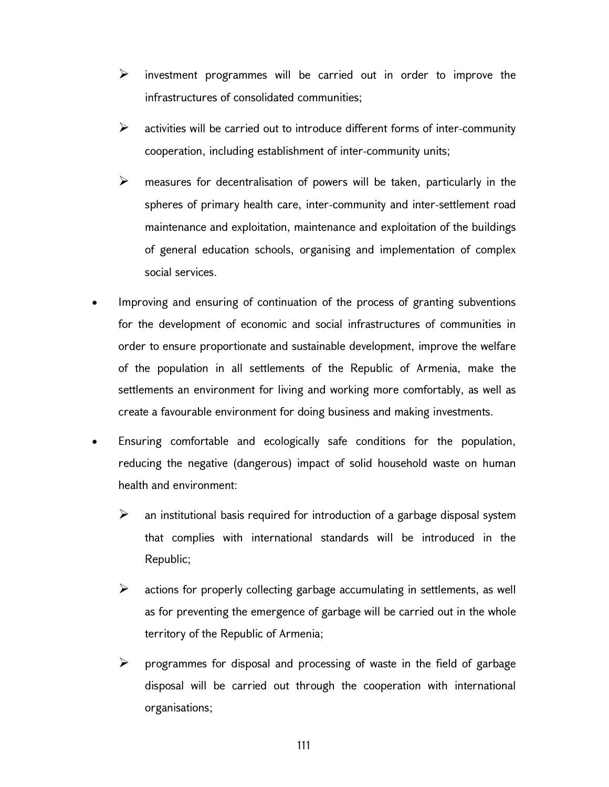- $\triangleright$  investment programmes will be carried out in order to improve the infrastructures of consolidated communities;
- $\triangleright$  activities will be carried out to introduce different forms of inter-community cooperation, including establishment of inter-community units;
- $\triangleright$  measures for decentralisation of powers will be taken, particularly in the spheres of primary health care, inter-community and inter-settlement road maintenance and exploitation, maintenance and exploitation of the buildings of general education schools, organising and implementation of complex social services.
- Improving and ensuring of continuation of the process of granting subventions for the development of economic and social infrastructures of communities in order to ensure proportionate and sustainable development, improve the welfare of the population in all settlements of the Republic of Armenia, make the settlements an environment for living and working more comfortably, as well as create a favourable environment for doing business and making investments.
- Ensuring comfortable and ecologically safe conditions for the population, reducing the negative (dangerous) impact of solid household waste on human health and environment:
	- $\triangleright$  an institutional basis required for introduction of a garbage disposal system that complies with international standards will be introduced in the Republic;
	- $\triangleright$  actions for properly collecting garbage accumulating in settlements, as well as for preventing the emergence of garbage will be carried out in the whole territory of the Republic of Armenia;
	- $\triangleright$  programmes for disposal and processing of waste in the field of garbage disposal will be carried out through the cooperation with international organisations;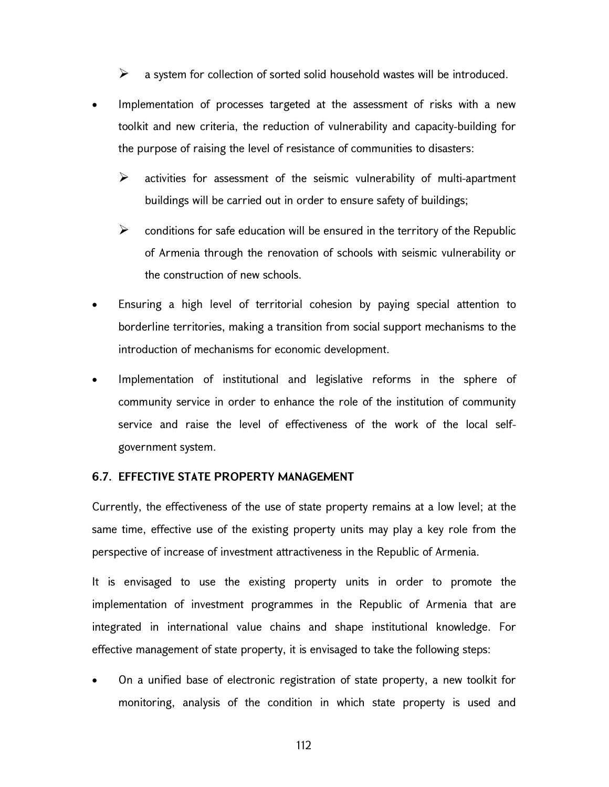$\triangleright$  a system for collection of sorted solid household wastes will be introduced.

- Implementation of processes targeted at the assessment of risks with a new toolkit and new criteria, the reduction of vulnerability and capacity-building for the purpose of raising the level of resistance of communities to disasters:
	- $\triangleright$  activities for assessment of the seismic vulnerability of multi-apartment buildings will be carried out in order to ensure safety of buildings;
	- $\triangleright$  conditions for safe education will be ensured in the territory of the Republic of Armenia through the renovation of schools with seismic vulnerability or the construction of new schools.
- Ensuring a high level of territorial cohesion by paying special attention to borderline territories, making a transition from social support mechanisms to the introduction of mechanisms for economic development.
- Implementation of institutional and legislative reforms in the sphere of community service in order to enhance the role of the institution of community service and raise the level of effectiveness of the work of the local selfgovernment system.

### 6.7. EFFECTIVE STATE PROPERTY MANAGEMENT

Currently, the effectiveness of the use of state property remains at a low level; at the same time, effective use of the existing property units may play a key role from the perspective of increase of investment attractiveness in the Republic of Armenia.

It is envisaged to use the existing property units in order to promote the implementation of investment programmes in the Republic of Armenia that are integrated in international value chains and shape institutional knowledge. For effective management of state property, it is envisaged to take the following steps:

 On a unified base of electronic registration of state property, a new toolkit for monitoring, analysis of the condition in which state property is used and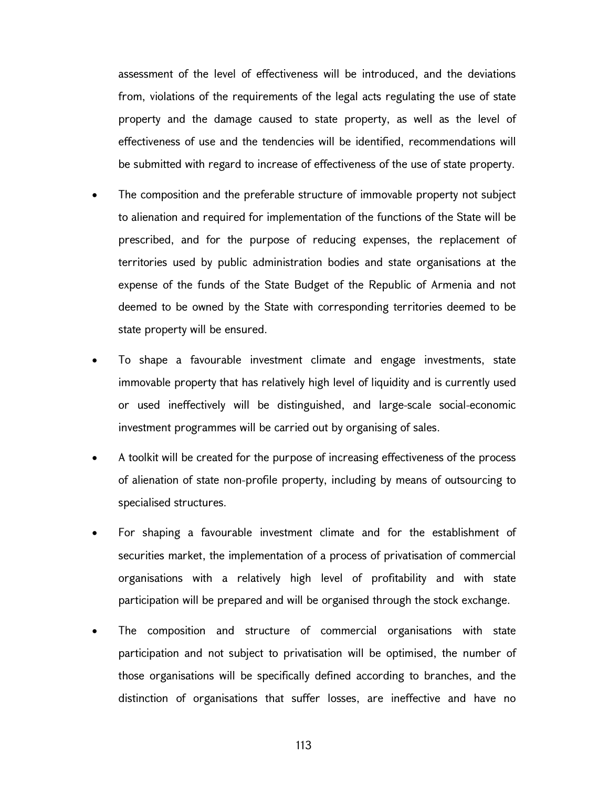assessment of the level of effectiveness will be introduced, and the deviations from, violations of the requirements of the legal acts regulating the use of state property and the damage caused to state property, as well as the level of effectiveness of use and the tendencies will be identified, recommendations will be submitted with regard to increase of effectiveness of the use of state property.

- The composition and the preferable structure of immovable property not subject to alienation and required for implementation of the functions of the State will be prescribed, and for the purpose of reducing expenses, the replacement of territories used by public administration bodies and state organisations at the expense of the funds of the State Budget of the Republic of Armenia and not deemed to be owned by the State with corresponding territories deemed to be state property will be ensured.
- To shape a favourable investment climate and engage investments, state immovable property that has relatively high level of liquidity and is currently used or used ineffectively will be distinguished, and large-scale social-economic investment programmes will be carried out by organising of sales.
- A toolkit will be created for the purpose of increasing effectiveness of the process of alienation of state non-profile property, including by means of outsourcing to specialised structures.
- For shaping a favourable investment climate and for the establishment of securities market, the implementation of a process of privatisation of commercial organisations with a relatively high level of profitability and with state participation will be prepared and will be organised through the stock exchange.
- The composition and structure of commercial organisations with state participation and not subject to privatisation will be optimised, the number of those organisations will be specifically defined according to branches, and the distinction of organisations that suffer losses, are ineffective and have no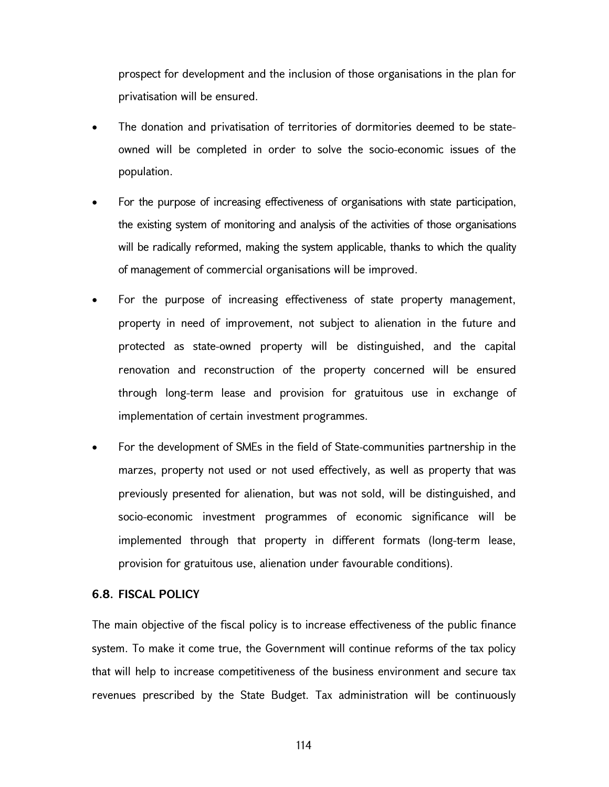prospect for development and the inclusion of those organisations in the plan for privatisation will be ensured.

- The donation and privatisation of territories of dormitories deemed to be stateowned will be completed in order to solve the socio-economic issues of the population.
- For the purpose of increasing effectiveness of organisations with state participation, the existing system of monitoring and analysis of the activities of those organisations will be radically reformed, making the system applicable, thanks to which the quality of management of commercial organisations will be improved.
- For the purpose of increasing effectiveness of state property management, property in need of improvement, not subject to alienation in the future and protected as state-owned property will be distinguished, and the capital renovation and reconstruction of the property concerned will be ensured through long-term lease and provision for gratuitous use in exchange of implementation of certain investment programmes.
- For the development of SMEs in the field of State-communities partnership in the marzes, property not used or not used effectively, as well as property that was previously presented for alienation, but was not sold, will be distinguished, and socio-economic investment programmes of economic significance will be implemented through that property in different formats (long-term lease, provision for gratuitous use, alienation under favourable conditions).

### 6.8. FISCAL POLICY

The main objective of the fiscal policy is to increase effectiveness of the public finance system. To make it come true, the Government will continue reforms of the tax policy that will help to increase competitiveness of the business environment and secure tax revenues prescribed by the State Budget. Tax administration will be continuously

114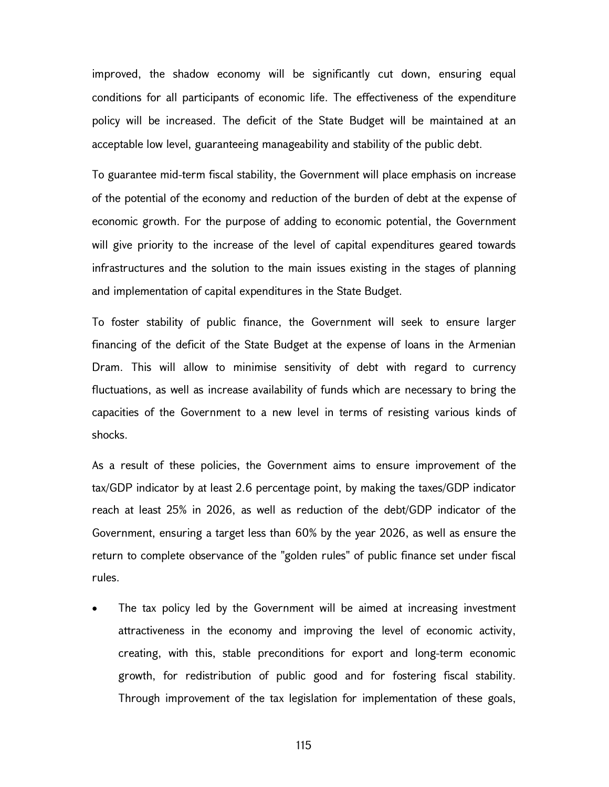improved, the shadow economy will be significantly cut down, ensuring equal conditions for all participants of economic life. The effectiveness of the expenditure policy will be increased. The deficit of the State Budget will be maintained at an acceptable low level, guaranteeing manageability and stability of the public debt.

To guarantee mid-term fiscal stability, the Government will place emphasis on increase of the potential of the economy and reduction of the burden of debt at the expense of economic growth. For the purpose of adding to economic potential, the Government will give priority to the increase of the level of capital expenditures geared towards infrastructures and the solution to the main issues existing in the stages of planning and implementation of capital expenditures in the State Budget.

To foster stability of public finance, the Government will seek to ensure larger financing of the deficit of the State Budget at the expense of loans in the Armenian Dram. This will allow to minimise sensitivity of debt with regard to currency fluctuations, as well as increase availability of funds which are necessary to bring the capacities of the Government to a new level in terms of resisting various kinds of shocks.

As a result of these policies, the Government aims to ensure improvement of the tax/GDP indicator by at least 2.6 percentage point, by making the taxes/GDP indicator reach at least 25% in 2026, as well as reduction of the debt/GDP indicator of the Government, ensuring a target less than 60% by the year 2026, as well as ensure the return to complete observance of the "golden rules" of public finance set under fiscal rules.

 The tax policy led by the Government will be aimed at increasing investment attractiveness in the economy and improving the level of economic activity, creating, with this, stable preconditions for export and long-term economic growth, for redistribution of public good and for fostering fiscal stability. Through improvement of the tax legislation for implementation of these goals,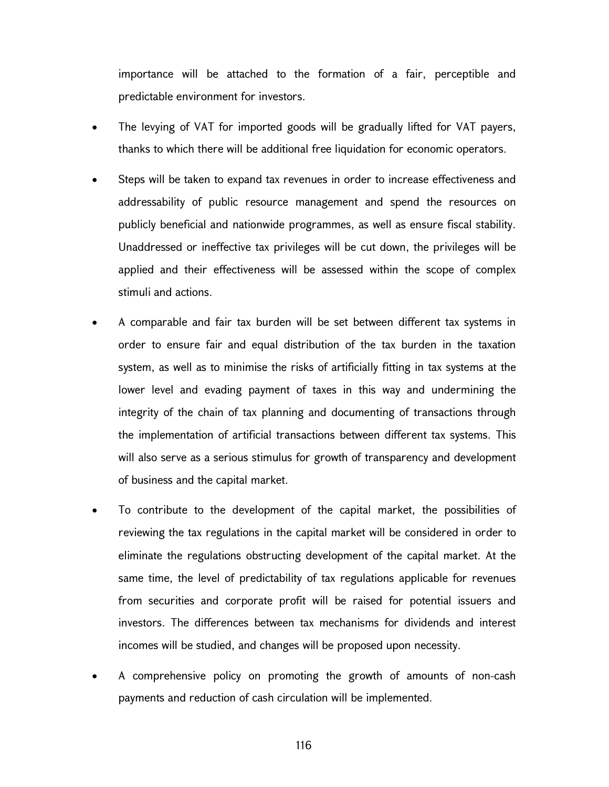importance will be attached to the formation of a fair, perceptible and predictable environment for investors.

- The levying of VAT for imported goods will be gradually lifted for VAT payers, thanks to which there will be additional free liquidation for economic operators.
- Steps will be taken to expand tax revenues in order to increase effectiveness and addressability of public resource management and spend the resources on publicly beneficial and nationwide programmes, as well as ensure fiscal stability. Unaddressed or ineffective tax privileges will be cut down, the privileges will be applied and their effectiveness will be assessed within the scope of complex stimuli and actions.
- A comparable and fair tax burden will be set between different tax systems in order to ensure fair and equal distribution of the tax burden in the taxation system, as well as to minimise the risks of artificially fitting in tax systems at the lower level and evading payment of taxes in this way and undermining the integrity of the chain of tax planning and documenting of transactions through the implementation of artificial transactions between different tax systems. This will also serve as a serious stimulus for growth of transparency and development of business and the capital market.
- To contribute to the development of the capital market, the possibilities of reviewing the tax regulations in the capital market will be considered in order to eliminate the regulations obstructing development of the capital market. At the same time, the level of predictability of tax regulations applicable for revenues from securities and corporate profit will be raised for potential issuers and investors. The differences between tax mechanisms for dividends and interest incomes will be studied, and changes will be proposed upon necessity.
- A comprehensive policy on promoting the growth of amounts of non-cash payments and reduction of cash circulation will be implemented.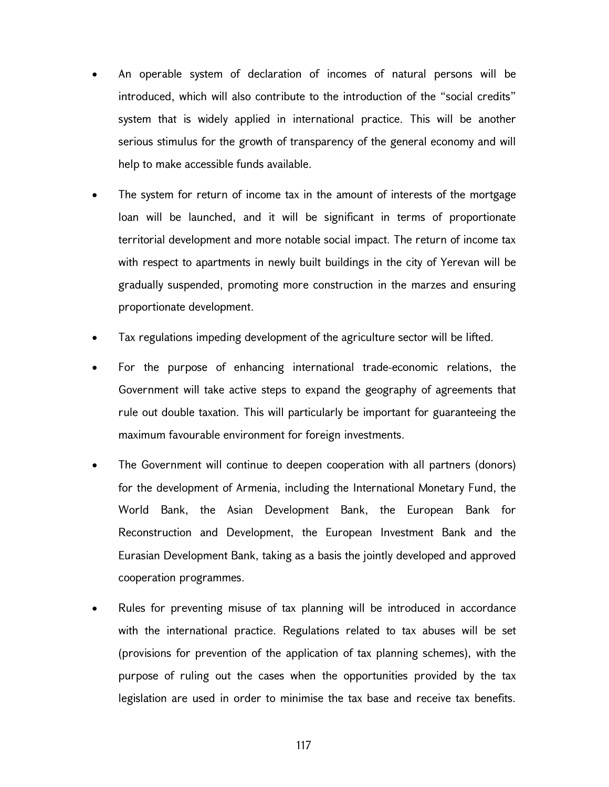- An operable system of declaration of incomes of natural persons will be introduced, which will also contribute to the introduction of the "social credits" system that is widely applied in international practice. This will be another serious stimulus for the growth of transparency of the general economy and will help to make accessible funds available.
- The system for return of income tax in the amount of interests of the mortgage loan will be launched, and it will be significant in terms of proportionate territorial development and more notable social impact. The return of income tax with respect to apartments in newly built buildings in the city of Yerevan will be gradually suspended, promoting more construction in the marzes and ensuring proportionate development.
- Tax regulations impeding development of the agriculture sector will be lifted.
- For the purpose of enhancing international trade-economic relations, the Government will take active steps to expand the geography of agreements that rule out double taxation. This will particularly be important for guaranteeing the maximum favourable environment for foreign investments.
- The Government will continue to deepen cooperation with all partners (donors) for the development of Armenia, including the International Monetary Fund, the World Bank, the Asian Development Bank, the European Bank for Reconstruction and Development, the European Investment Bank and the Eurasian Development Bank, taking as a basis the jointly developed and approved cooperation programmes.
- Rules for preventing misuse of tax planning will be introduced in accordance with the international practice. Regulations related to tax abuses will be set (provisions for prevention of the application of tax planning schemes), with the purpose of ruling out the cases when the opportunities provided by the tax legislation are used in order to minimise the tax base and receive tax benefits.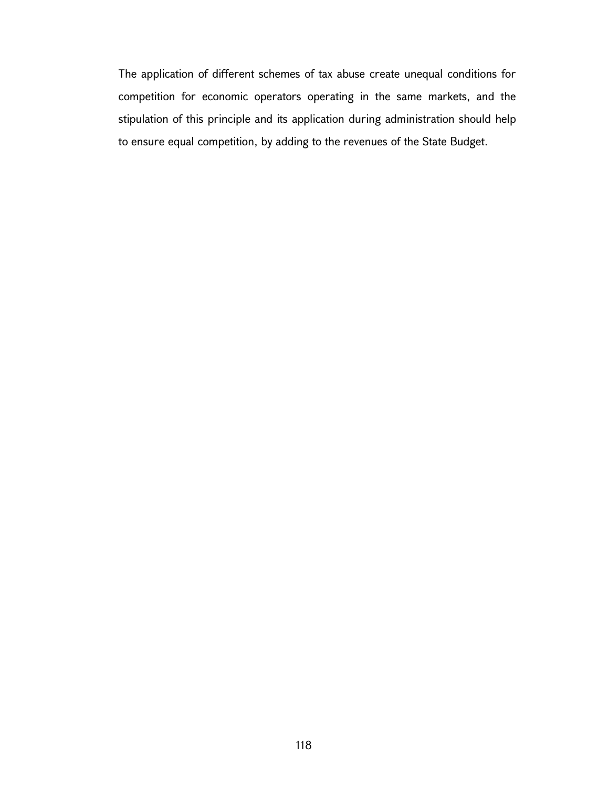The application of different schemes of tax abuse create unequal conditions for competition for economic operators operating in the same markets, and the stipulation of this principle and its application during administration should help to ensure equal competition, by adding to the revenues of the State Budget.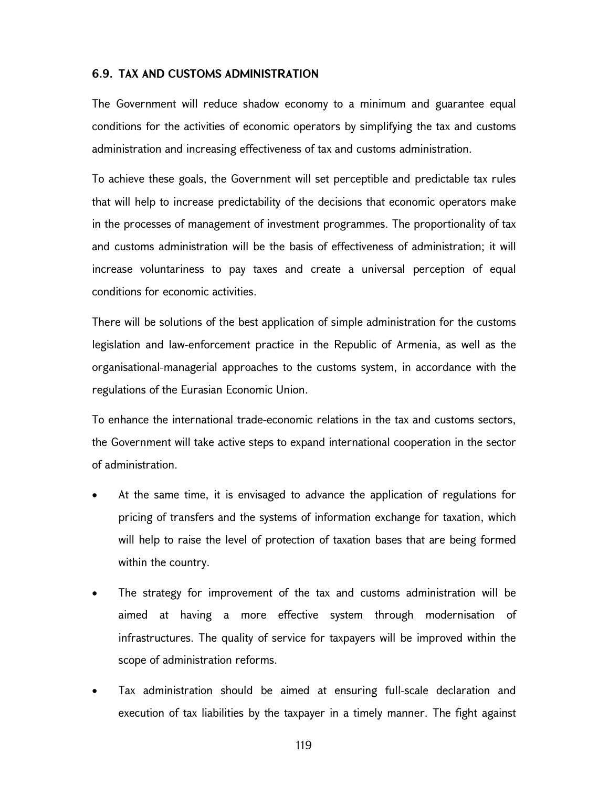#### 6.9. TAX AND CUSTOMS ADMINISTRATION

The Government will reduce shadow economy to a minimum and guarantee equal conditions for the activities of economic operators by simplifying the tax and customs administration and increasing effectiveness of tax and customs administration.

To achieve these goals, the Government will set perceptible and predictable tax rules that will help to increase predictability of the decisions that economic operators make in the processes of management of investment programmes. The proportionality of tax and customs administration will be the basis of effectiveness of administration; it will increase voluntariness to pay taxes and create a universal perception of equal conditions for economic activities.

There will be solutions of the best application of simple administration for the customs legislation and law-enforcement practice in the Republic of Armenia, as well as the organisational-managerial approaches to the customs system, in accordance with the regulations of the Eurasian Economic Union.

To enhance the international trade-economic relations in the tax and customs sectors, the Government will take active steps to expand international cooperation in the sector of administration.

- At the same time, it is envisaged to advance the application of regulations for pricing of transfers and the systems of information exchange for taxation, which will help to raise the level of protection of taxation bases that are being formed within the country.
- The strategy for improvement of the tax and customs administration will be aimed at having a more effective system through modernisation of infrastructures. The quality of service for taxpayers will be improved within the scope of administration reforms.
- Tax administration should be aimed at ensuring full-scale declaration and execution of tax liabilities by the taxpayer in a timely manner. The fight against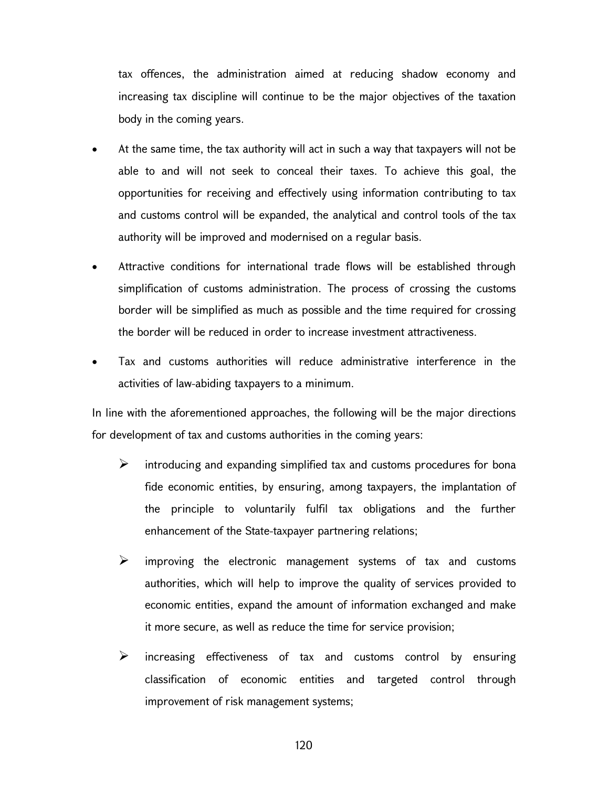tax offences, the administration aimed at reducing shadow economy and increasing tax discipline will continue to be the major objectives of the taxation body in the coming years.

- At the same time, the tax authority will act in such a way that taxpayers will not be able to and will not seek to conceal their taxes. To achieve this goal, the opportunities for receiving and effectively using information contributing to tax and customs control will be expanded, the analytical and control tools of the tax authority will be improved and modernised on a regular basis.
- Attractive conditions for international trade flows will be established through simplification of customs administration. The process of crossing the customs border will be simplified as much as possible and the time required for crossing the border will be reduced in order to increase investment attractiveness.
- Tax and customs authorities will reduce administrative interference in the activities of law-abiding taxpayers to a minimum.

In line with the aforementioned approaches, the following will be the major directions for development of tax and customs authorities in the coming years:

- $\triangleright$  introducing and expanding simplified tax and customs procedures for bona fide economic entities, by ensuring, among taxpayers, the implantation of the principle to voluntarily fulfil tax obligations and the further enhancement of the State-taxpayer partnering relations;
- $\triangleright$  improving the electronic management systems of tax and customs authorities, which will help to improve the quality of services provided to economic entities, expand the amount of information exchanged and make it more secure, as well as reduce the time for service provision;
- $\triangleright$  increasing effectiveness of tax and customs control by ensuring classification of economic entities and targeted control through improvement of risk management systems;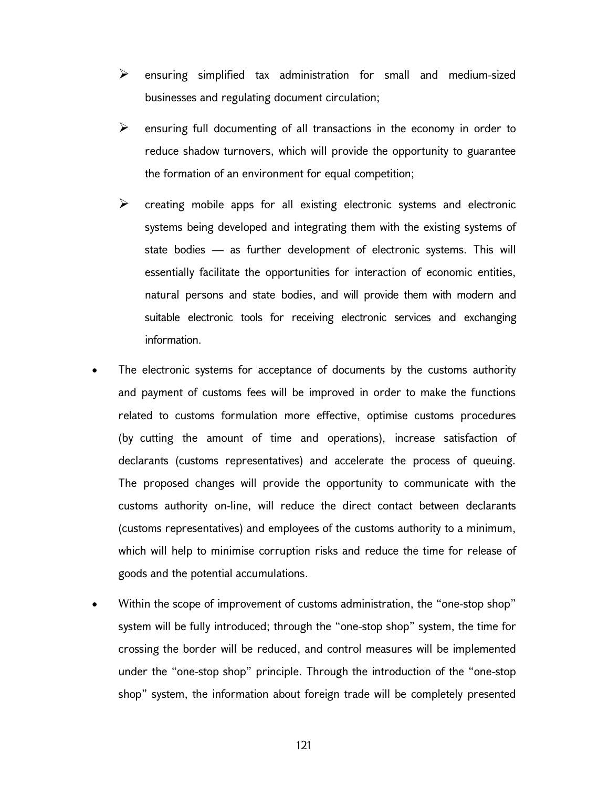- $\triangleright$  ensuring simplified tax administration for small and medium-sized businesses and regulating document circulation;
- $\triangleright$  ensuring full documenting of all transactions in the economy in order to reduce shadow turnovers, which will provide the opportunity to guarantee the formation of an environment for equal competition;
- $\triangleright$  creating mobile apps for all existing electronic systems and electronic systems being developed and integrating them with the existing systems of state bodies — as further development of electronic systems. This will essentially facilitate the opportunities for interaction of economic entities, natural persons and state bodies, and will provide them with modern and suitable electronic tools for receiving electronic services and exchanging information.
- The electronic systems for acceptance of documents by the customs authority and payment of customs fees will be improved in order to make the functions related to customs formulation more effective, optimise customs procedures (by cutting the amount of time and operations), increase satisfaction of declarants (customs representatives) and accelerate the process of queuing. The proposed changes will provide the opportunity to communicate with the customs authority on-line, will reduce the direct contact between declarants (customs representatives) and employees of the customs authority to a minimum, which will help to minimise corruption risks and reduce the time for release of goods and the potential accumulations.
- Within the scope of improvement of customs administration, the "one-stop shop" system will be fully introduced; through the "one-stop shop" system, the time for crossing the border will be reduced, and control measures will be implemented under the "one-stop shop" principle. Through the introduction of the "one-stop shop" system, the information about foreign trade will be completely presented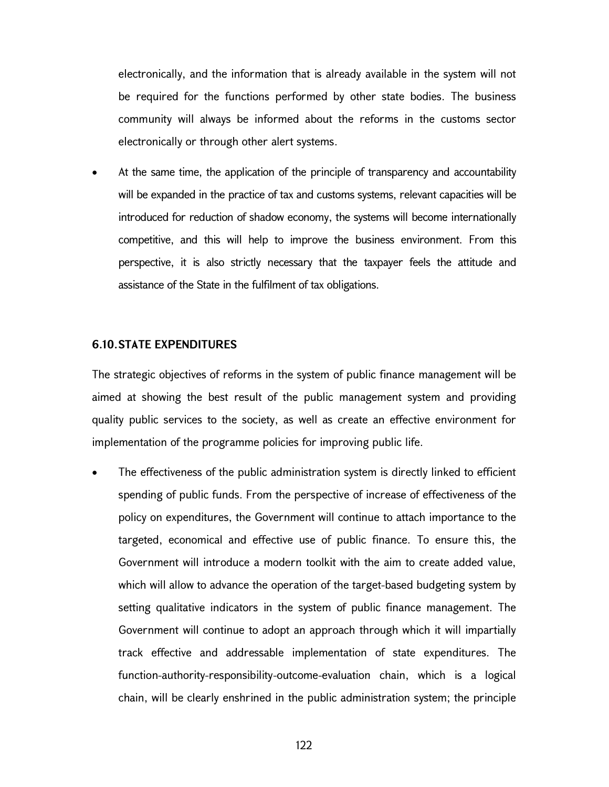electronically, and the information that is already available in the system will not be required for the functions performed by other state bodies. The business community will always be informed about the reforms in the customs sector electronically or through other alert systems.

 At the same time, the application of the principle of transparency and accountability will be expanded in the practice of tax and customs systems, relevant capacities will be introduced for reduction of shadow economy, the systems will become internationally competitive, and this will help to improve the business environment. From this perspective, it is also strictly necessary that the taxpayer feels the attitude and assistance of the State in the fulfilment of tax obligations.

#### 6.10. STATE EXPENDITURES

The strategic objectives of reforms in the system of public finance management will be aimed at showing the best result of the public management system and providing quality public services to the society, as well as create an effective environment for implementation of the programme policies for improving public life.

 The effectiveness of the public administration system is directly linked to efficient spending of public funds. From the perspective of increase of effectiveness of the policy on expenditures, the Government will continue to attach importance to the targeted, economical and effective use of public finance. To ensure this, the Government will introduce a modern toolkit with the aim to create added value, which will allow to advance the operation of the target-based budgeting system by setting qualitative indicators in the system of public finance management. The Government will continue to adopt an approach through which it will impartially track effective and addressable implementation of state expenditures. The function-authority-responsibility-outcome-evaluation chain, which is a logical chain, will be clearly enshrined in the public administration system; the principle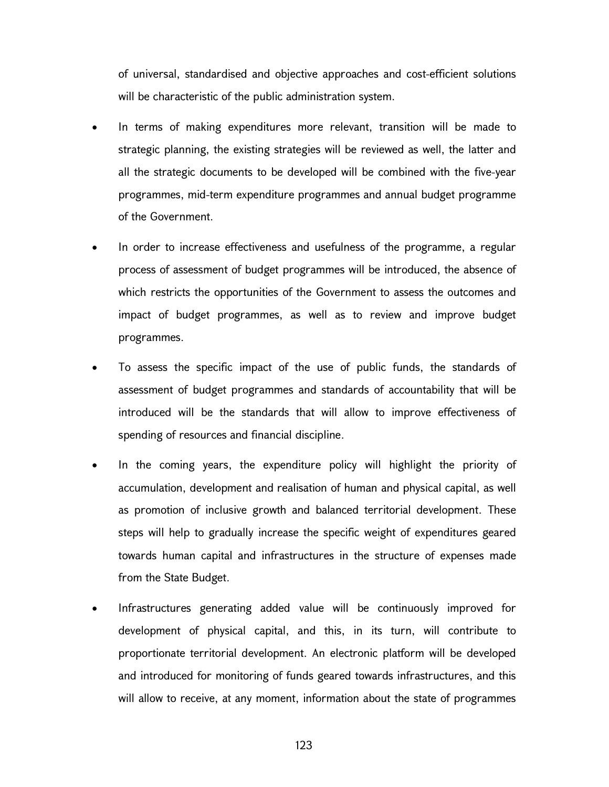of universal, standardised and objective approaches and cost-efficient solutions will be characteristic of the public administration system.

- In terms of making expenditures more relevant, transition will be made to strategic planning, the existing strategies will be reviewed as well, the latter and all the strategic documents to be developed will be combined with the five-year programmes, mid-term expenditure programmes and annual budget programme of the Government.
- In order to increase effectiveness and usefulness of the programme, a regular process of assessment of budget programmes will be introduced, the absence of which restricts the opportunities of the Government to assess the outcomes and impact of budget programmes, as well as to review and improve budget programmes.
- To assess the specific impact of the use of public funds, the standards of assessment of budget programmes and standards of accountability that will be introduced will be the standards that will allow to improve effectiveness of spending of resources and financial discipline.
- In the coming years, the expenditure policy will highlight the priority of accumulation, development and realisation of human and physical capital, as well as promotion of inclusive growth and balanced territorial development. These steps will help to gradually increase the specific weight of expenditures geared towards human capital and infrastructures in the structure of expenses made from the State Budget.
- Infrastructures generating added value will be continuously improved for development of physical capital, and this, in its turn, will contribute to proportionate territorial development. An electronic platform will be developed and introduced for monitoring of funds geared towards infrastructures, and this will allow to receive, at any moment, information about the state of programmes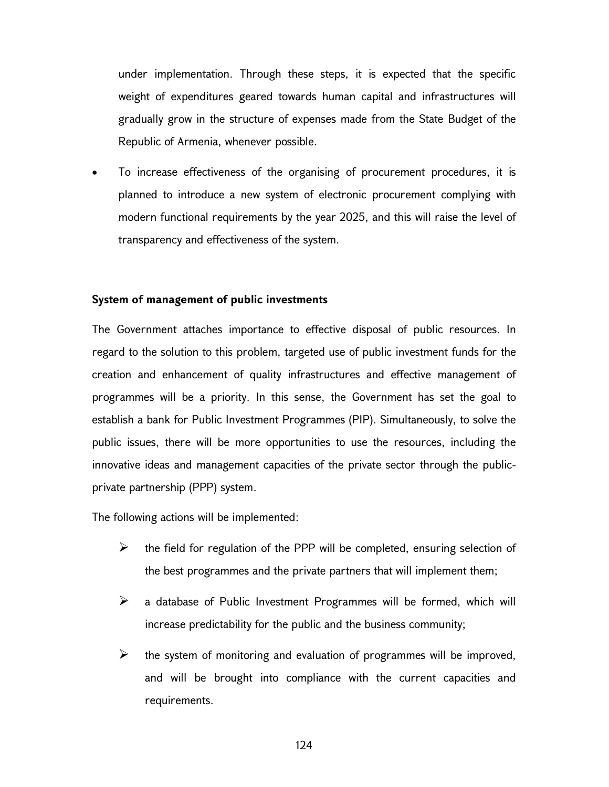under implementation. Through these steps, it is expected that the specific weight of expenditures geared towards human capital and infrastructures will gradually grow in the structure of expenses made from the State Budget of the Republic of Armenia, whenever possible.

 To increase effectiveness of the organising of procurement procedures, it is planned to introduce a new system of electronic procurement complying with modern functional requirements by the year 2025, and this will raise the level of transparency and effectiveness of the system.

#### System of management of public investments

The Government attaches importance to effective disposal of public resources. In regard to the solution to this problem, targeted use of public investment funds for the creation and enhancement of quality infrastructures and effective management of programmes will be a priority. In this sense, the Government has set the goal to establish a bank for Public Investment Programmes (PIP). Simultaneously, to solve the public issues, there will be more opportunities to use the resources, including the innovative ideas and management capacities of the private sector through the publicprivate partnership (PPP) system.

The following actions will be implemented:

- $\triangleright$  the field for regulation of the PPP will be completed, ensuring selection of the best programmes and the private partners that will implement them;
- $\triangleright$  a database of Public Investment Programmes will be formed, which will increase predictability for the public and the business community;
- $\triangleright$  the system of monitoring and evaluation of programmes will be improved, and will be brought into compliance with the current capacities and requirements.

124